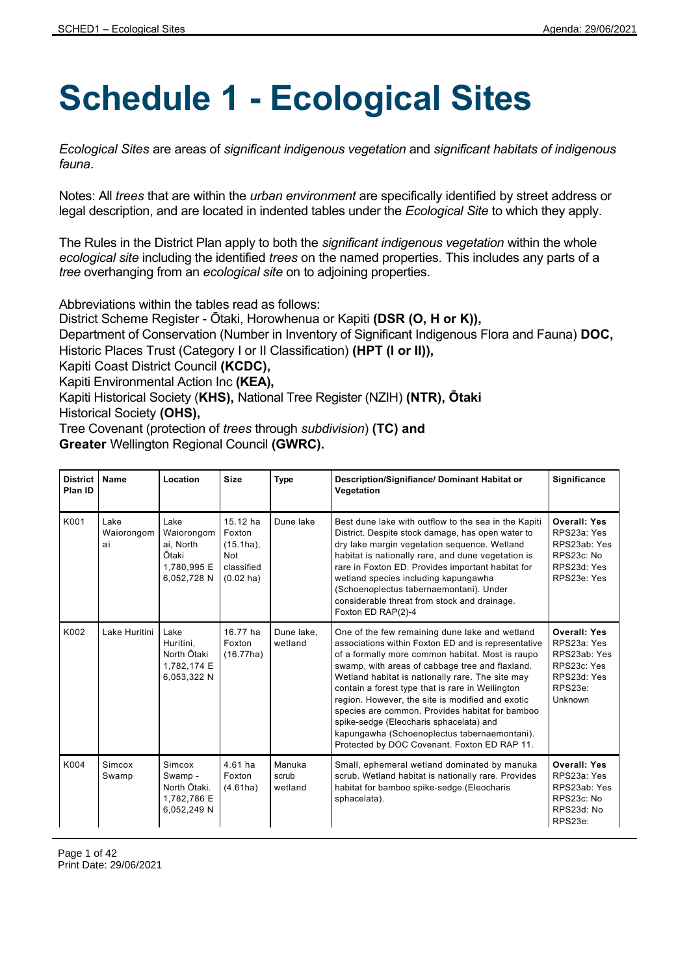## **Schedule 1 - Ecological Sites**

*Ecological Sites* are areas of *significant indigenous vegetation* and *significant habitats of indigenous fauna*.

Notes: All *trees* that are within the *urban environment* are specifically identified by street address or legal description, and are located in indented tables under the *Ecological Site* to which they apply.

The Rules in the District Plan apply to both the *significant indigenous vegetation* within the whole *ecological site* including the identified *trees* on the named properties. This includes any parts of a *tree* overhanging from an *ecological site* on to adjoining properties.

Abbreviations within the tables read as follows:

District Scheme Register - Ōtaki, Horowhenua or Kapiti **(DSR (O, H or K)),**

Department of Conservation (Number in Inventory of Significant Indigenous Flora and Fauna) **DOC,** Historic Places Trust (Category I or II Classification) **(HPT (I or II)),**

Kapiti Coast District Council **(KCDC),**

Kapiti Environmental Action Inc **(KEA),**

Kapiti Historical Society (**KHS),** National Tree Register (NZIH) **(NTR), Ōtaki** Historical Society **(OHS),**

Tree Covenant (protection of *trees* through *subdivision*) **(TC) and**

**Greater** Wellington Regional Council **(GWRC).**

| <b>District</b><br>Plan ID | Name                     | Location                                                               | <b>Size</b>                                                                           | <b>Type</b>                | Description/Signifiance/ Dominant Habitat or<br>Vegetation                                                                                                                                                                                                                                                                                                                                                                                                                                                                                                             | Significance                                                                                           |
|----------------------------|--------------------------|------------------------------------------------------------------------|---------------------------------------------------------------------------------------|----------------------------|------------------------------------------------------------------------------------------------------------------------------------------------------------------------------------------------------------------------------------------------------------------------------------------------------------------------------------------------------------------------------------------------------------------------------------------------------------------------------------------------------------------------------------------------------------------------|--------------------------------------------------------------------------------------------------------|
| K001                       | Lake<br>Waiorongom<br>ai | Lake<br>Waiorongom<br>ai, North<br>Ōtaki<br>1,780,995 E<br>6,052,728 N | 15.12 ha<br>Foxton<br>$(15.1ha)$ ,<br><b>Not</b><br>classified<br>$(0.02 \text{ ha})$ | Dune lake                  | Best dune lake with outflow to the sea in the Kapiti<br>District. Despite stock damage, has open water to<br>dry lake margin vegetation sequence. Wetland<br>habitat is nationally rare, and dune vegetation is<br>rare in Foxton ED. Provides important habitat for<br>wetland species including kapungawha<br>(Schoenoplectus tabernaemontani). Under<br>considerable threat from stock and drainage.<br>Foxton ED RAP(2)-4                                                                                                                                          | <b>Overall: Yes</b><br>RPS23a: Yes<br>RPS23ab: Yes<br>RPS23c: No<br>RPS23d: Yes<br>RPS23e: Yes         |
| K002                       | Lake Huritini            | Lake<br>Huritini,<br>North Ōtaki<br>1,782,174 E<br>6,053,322 N         | 16.77 ha<br>Foxton<br>(16.77ha)                                                       | Dune lake,<br>wetland      | One of the few remaining dune lake and wetland<br>associations within Foxton ED and is representative<br>of a formally more common habitat. Most is raupo<br>swamp, with areas of cabbage tree and flaxland.<br>Wetland habitat is nationally rare. The site may<br>contain a forest type that is rare in Wellington<br>region. However, the site is modified and exotic<br>species are common. Provides habitat for bamboo<br>spike-sedge (Eleocharis sphacelata) and<br>kapungawha (Schoenoplectus tabernaemontani).<br>Protected by DOC Covenant. Foxton ED RAP 11. | <b>Overall: Yes</b><br>RPS23a: Yes<br>RPS23ab: Yes<br>RPS23c: Yes<br>RPS23d: Yes<br>RPS23e:<br>Unknown |
| K004                       | Simcox<br>Swamp          | Simcox<br>Swamp -<br>North Ōtaki.<br>1,782,786 E<br>6,052,249 N        | $4.61$ ha<br>Foxton<br>(4.61ha)                                                       | Manuka<br>scrub<br>wetland | Small, ephemeral wetland dominated by manuka<br>scrub. Wetland habitat is nationally rare. Provides<br>habitat for bamboo spike-sedge (Eleocharis<br>sphacelata).                                                                                                                                                                                                                                                                                                                                                                                                      | <b>Overall: Yes</b><br>RPS23a: Yes<br>RPS23ab: Yes<br>RPS23c: No<br>RPS23d: No<br>RPS23e:              |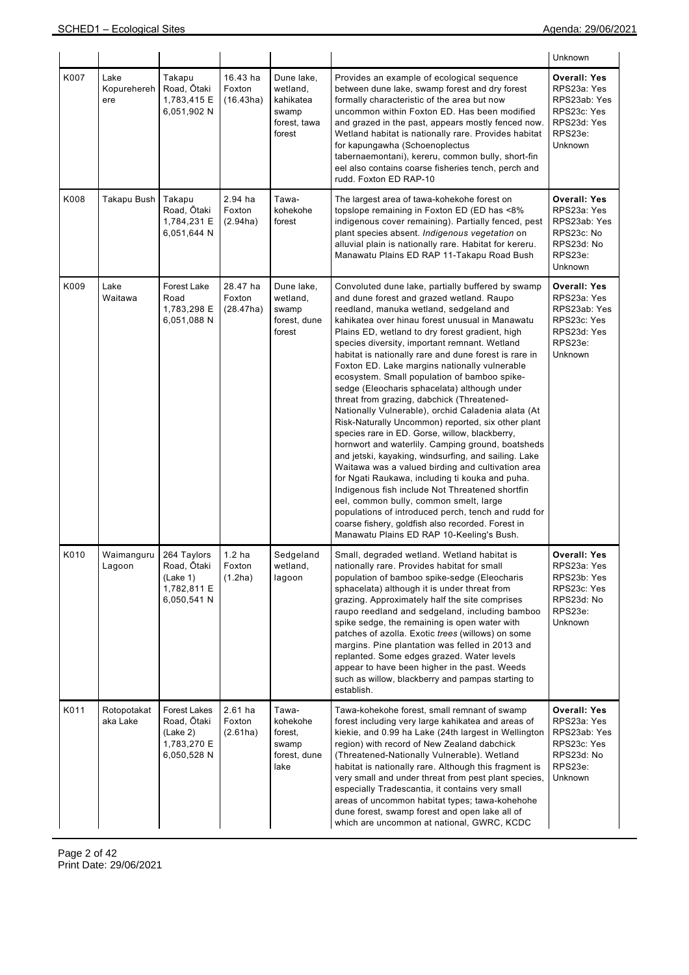|      |                            |                                                                       |                                        |                                                                        |                                                                                                                                                                                                                                                                                                                                                                                                                                                                                                                                                                                                                                                                                                                                                                                                                                                                                                                                                                                                                                                                                                                                                                                                   | Unknown                                                                                                       |
|------|----------------------------|-----------------------------------------------------------------------|----------------------------------------|------------------------------------------------------------------------|---------------------------------------------------------------------------------------------------------------------------------------------------------------------------------------------------------------------------------------------------------------------------------------------------------------------------------------------------------------------------------------------------------------------------------------------------------------------------------------------------------------------------------------------------------------------------------------------------------------------------------------------------------------------------------------------------------------------------------------------------------------------------------------------------------------------------------------------------------------------------------------------------------------------------------------------------------------------------------------------------------------------------------------------------------------------------------------------------------------------------------------------------------------------------------------------------|---------------------------------------------------------------------------------------------------------------|
| K007 | Lake<br>Kopurehereh<br>ere | Takapu<br>Road, Ōtaki<br>1,783,415 E<br>6,051,902 N                   | 16.43 ha<br>Foxton<br>(16.43ha)        | Dune lake,<br>wetland,<br>kahikatea<br>swamp<br>forest, tawa<br>forest | Provides an example of ecological sequence<br>between dune lake, swamp forest and dry forest<br>formally characteristic of the area but now<br>uncommon within Foxton ED. Has been modified<br>and grazed in the past, appears mostly fenced now.<br>Wetland habitat is nationally rare. Provides habitat<br>for kapungawha (Schoenoplectus<br>tabernaemontani), kereru, common bully, short-fin<br>eel also contains coarse fisheries tench, perch and<br>rudd. Foxton ED RAP-10                                                                                                                                                                                                                                                                                                                                                                                                                                                                                                                                                                                                                                                                                                                 | <b>Overall: Yes</b><br>RPS23a: Yes<br>RPS23ab: Yes<br>RPS23c: Yes<br>RPS23d: Yes<br>RPS23e:<br>Unknown        |
| K008 | Takapu Bush                | Takapu<br>Road, Ōtaki<br>1,784,231 E<br>6,051,644 N                   | 2.94 ha<br>Foxton<br>(2.94ha)          | Tawa-<br>kohekohe<br>forest                                            | The largest area of tawa-kohekohe forest on<br>topslope remaining in Foxton ED (ED has <8%<br>indigenous cover remaining). Partially fenced, pest<br>plant species absent. Indigenous vegetation on<br>alluvial plain is nationally rare. Habitat for kereru.<br>Manawatu Plains ED RAP 11-Takapu Road Bush                                                                                                                                                                                                                                                                                                                                                                                                                                                                                                                                                                                                                                                                                                                                                                                                                                                                                       | <b>Overall: Yes</b><br>RPS23a: Yes<br>RPS23ab: Yes<br>RPS23c: No<br>RPS23d: No<br>RPS23e:<br>Unknown          |
| K009 | Lake<br>Waitawa            | Forest Lake<br>Road<br>1,783,298 E<br>6,051,088 N                     | 28.47 ha<br>Foxton<br>(28.47ha)        | Dune lake,<br>wetland,<br>swamp<br>forest, dune<br>forest              | Convoluted dune lake, partially buffered by swamp<br>and dune forest and grazed wetland. Raupo<br>reedland, manuka wetland, sedgeland and<br>kahikatea over hinau forest unusual in Manawatu<br>Plains ED, wetland to dry forest gradient, high<br>species diversity, important remnant. Wetland<br>habitat is nationally rare and dune forest is rare in<br>Foxton ED. Lake margins nationally vulnerable<br>ecosystem. Small population of bamboo spike-<br>sedge (Eleocharis sphacelata) although under<br>threat from grazing, dabchick (Threatened-<br>Nationally Vulnerable), orchid Caladenia alata (At<br>Risk-Naturally Uncommon) reported, six other plant<br>species rare in ED. Gorse, willow, blackberry,<br>hornwort and waterlily. Camping ground, boatsheds<br>and jetski, kayaking, windsurfing, and sailing. Lake<br>Waitawa was a valued birding and cultivation area<br>for Ngati Raukawa, including ti kouka and puha.<br>Indigenous fish include Not Threatened shortfin<br>eel, common bully, common smelt, large<br>populations of introduced perch, tench and rudd for<br>coarse fishery, goldfish also recorded. Forest in<br>Manawatu Plains ED RAP 10-Keeling's Bush. | <b>Overall: Yes</b><br>RPS23a: Yes<br>RPS23ab: Yes<br>RPS23c: Yes<br>RPS23d: Yes<br>RPS23e:<br><b>Unknown</b> |
| K010 | Waimanguru<br>Lagoon       | 264 Taylors<br>Road, Ōtaki<br>(Lake 1)<br>1,782,811 E<br>6,050,541 N  | 1.2 <sub>ha</sub><br>Foxton<br>(1.2ha) | Sedgeland<br>wetland,<br>lagoon                                        | Small, degraded wetland. Wetland habitat is<br>nationally rare. Provides habitat for small<br>population of bamboo spike-sedge (Eleocharis<br>sphacelata) although it is under threat from<br>grazing. Approximately half the site comprises<br>raupo reedland and sedgeland, including bamboo<br>spike sedge, the remaining is open water with<br>patches of azolla. Exotic trees (willows) on some<br>margins. Pine plantation was felled in 2013 and<br>replanted. Some edges grazed. Water levels<br>appear to have been higher in the past. Weeds<br>such as willow, blackberry and pampas starting to<br>establish.                                                                                                                                                                                                                                                                                                                                                                                                                                                                                                                                                                         | <b>Overall: Yes</b><br>RPS23a: Yes<br>RPS23b: Yes<br>RPS23c: Yes<br>RPS23d: No<br>RPS23e:<br>Unknown          |
| K011 | Rotopotakat<br>aka Lake    | Forest Lakes<br>Road, Ōtaki<br>(Lake 2)<br>1,783,270 E<br>6,050,528 N | $2.61$ ha<br>Foxton<br>(2.61ha)        | Tawa-<br>kohekohe<br>forest,<br>swamp<br>forest, dune<br>lake          | Tawa-kohekohe forest, small remnant of swamp<br>forest including very large kahikatea and areas of<br>kiekie, and 0.99 ha Lake (24th largest in Wellington<br>region) with record of New Zealand dabchick<br>(Threatened-Nationally Vulnerable). Wetland<br>habitat is nationally rare. Although this fragment is<br>very small and under threat from pest plant species,<br>especially Tradescantia, it contains very small<br>areas of uncommon habitat types; tawa-kohehohe<br>dune forest, swamp forest and open lake all of<br>which are uncommon at national, GWRC, KCDC                                                                                                                                                                                                                                                                                                                                                                                                                                                                                                                                                                                                                    | <b>Overall: Yes</b><br>RPS23a: Yes<br>RPS23ab: Yes<br>RPS23c: Yes<br>RPS23d: No<br>RPS23e:<br>Unknown         |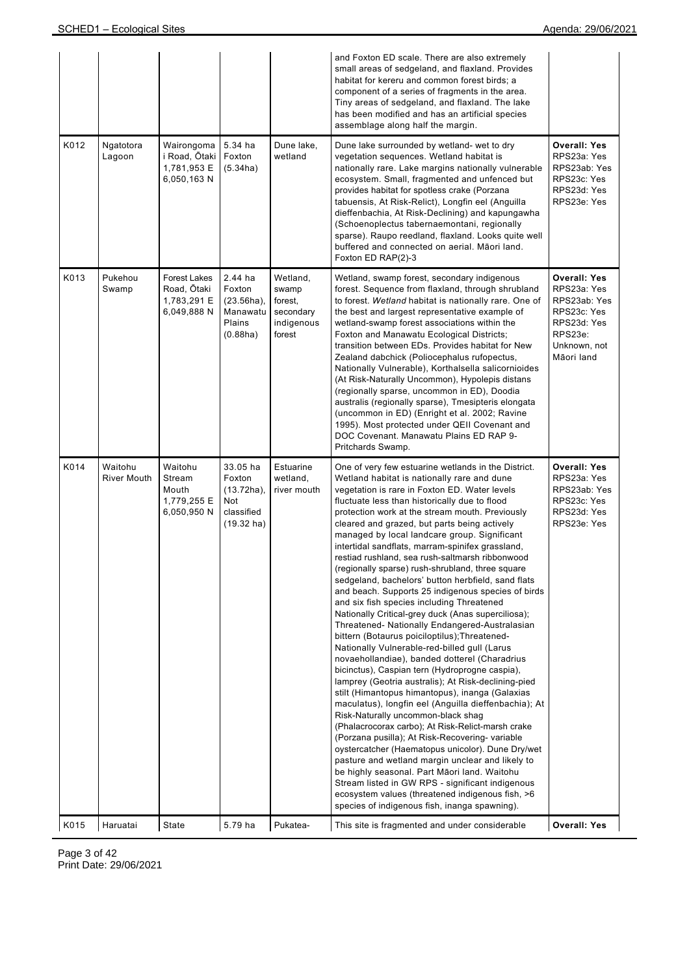|      |                               |                                                           |                                                                           |                                                                   | and Foxton ED scale. There are also extremely<br>small areas of sedgeland, and flaxland. Provides<br>habitat for kereru and common forest birds; a<br>component of a series of fragments in the area.<br>Tiny areas of sedgeland, and flaxland. The lake<br>has been modified and has an artificial species<br>assemblage along half the margin.                                                                                                                                                                                                                                                                                                                                                                                                                                                                                                                                                                                                                                                                                                                                                                                                                                                                                                                                                                                                                                                                                                                                                                                                                                                                          |                                                                                                                           |
|------|-------------------------------|-----------------------------------------------------------|---------------------------------------------------------------------------|-------------------------------------------------------------------|---------------------------------------------------------------------------------------------------------------------------------------------------------------------------------------------------------------------------------------------------------------------------------------------------------------------------------------------------------------------------------------------------------------------------------------------------------------------------------------------------------------------------------------------------------------------------------------------------------------------------------------------------------------------------------------------------------------------------------------------------------------------------------------------------------------------------------------------------------------------------------------------------------------------------------------------------------------------------------------------------------------------------------------------------------------------------------------------------------------------------------------------------------------------------------------------------------------------------------------------------------------------------------------------------------------------------------------------------------------------------------------------------------------------------------------------------------------------------------------------------------------------------------------------------------------------------------------------------------------------------|---------------------------------------------------------------------------------------------------------------------------|
| K012 | Ngatotora<br>Lagoon           | Wairongoma<br>i Road, Ōtaki<br>1,781,953 E<br>6,050,163 N | 5.34 ha<br>Foxton<br>(5.34ha)                                             | Dune lake,<br>wetland                                             | Dune lake surrounded by wetland- wet to dry<br>vegetation sequences. Wetland habitat is<br>nationally rare. Lake margins nationally vulnerable<br>ecosystem. Small, fragmented and unfenced but<br>provides habitat for spotless crake (Porzana<br>tabuensis, At Risk-Relict), Longfin eel (Anguilla<br>dieffenbachia, At Risk-Declining) and kapungawha<br>(Schoenoplectus tabernaemontani, regionally<br>sparse). Raupo reedland, flaxland. Looks quite well<br>buffered and connected on aerial. Māori land.<br>Foxton ED RAP(2)-3                                                                                                                                                                                                                                                                                                                                                                                                                                                                                                                                                                                                                                                                                                                                                                                                                                                                                                                                                                                                                                                                                     | <b>Overall: Yes</b><br>RPS23a: Yes<br>RPS23ab: Yes<br>RPS23c: Yes<br>RPS23d: Yes<br>RPS23e: Yes                           |
| K013 | Pukehou<br>Swamp              | Forest Lakes<br>Road, Ōtaki<br>1,783,291 E<br>6,049,888 N | 2.44 ha<br>Foxton<br>$(23.56ha)$ ,<br>Manawatu<br>Plains<br>(0.88ha)      | Wetland,<br>swamp<br>forest,<br>secondary<br>indigenous<br>forest | Wetland, swamp forest, secondary indigenous<br>forest. Sequence from flaxland, through shrubland<br>to forest. Wetland habitat is nationally rare. One of<br>the best and largest representative example of<br>wetland-swamp forest associations within the<br>Foxton and Manawatu Ecological Districts;<br>transition between EDs. Provides habitat for New<br>Zealand dabchick (Poliocephalus rufopectus,<br>Nationally Vulnerable), Korthalsella salicornioides<br>(At Risk-Naturally Uncommon), Hypolepis distans<br>(regionally sparse, uncommon in ED), Doodia<br>australis (regionally sparse), Tmesipteris elongata<br>(uncommon in ED) (Enright et al. 2002; Ravine<br>1995). Most protected under QEII Covenant and<br>DOC Covenant. Manawatu Plains ED RAP 9-<br>Pritchards Swamp.                                                                                                                                                                                                                                                                                                                                                                                                                                                                                                                                                                                                                                                                                                                                                                                                                             | <b>Overall: Yes</b><br>RPS23a: Yes<br>RPS23ab: Yes<br>RPS23c: Yes<br>RPS23d: Yes<br>RPS23e:<br>Unknown, not<br>Māori land |
| K014 | Waitohu<br><b>River Mouth</b> | Waitohu<br>Stream<br>Mouth<br>1,779,255 E<br>6,050,950 N  | 33.05 ha<br>Foxton<br>$(13.72ha)$ ,<br>Not<br>classified<br>$(19.32)$ ha) | Estuarine<br>wetland,<br>river mouth                              | One of very few estuarine wetlands in the District.<br>Wetland habitat is nationally rare and dune<br>vegetation is rare in Foxton ED. Water levels<br>fluctuate less than historically due to flood<br>protection work at the stream mouth. Previously<br>cleared and grazed, but parts being actively<br>managed by local landcare group. Significant<br>intertidal sandflats, marram-spinifex grassland,<br>restiad rushland, sea rush-saltmarsh ribbonwood<br>(regionally sparse) rush-shrubland, three square<br>sedgeland, bachelors' button herbfield, sand flats<br>and beach. Supports 25 indigenous species of birds<br>and six fish species including Threatened<br>Nationally Critical-grey duck (Anas superciliosa);<br>Threatened- Nationally Endangered-Australasian<br>bittern (Botaurus poiciloptilus); Threatened-<br>Nationally Vulnerable-red-billed gull (Larus<br>novaehollandiae), banded dotterel (Charadrius<br>bicinctus), Caspian tern (Hydroprogne caspia),<br>lamprey (Geotria australis); At Risk-declining-pied<br>stilt (Himantopus himantopus), inanga (Galaxias<br>maculatus), longfin eel (Anguilla dieffenbachia); At<br>Risk-Naturally uncommon-black shaq<br>(Phalacrocorax carbo); At Risk-Relict-marsh crake<br>(Porzana pusilla); At Risk-Recovering- variable<br>oystercatcher (Haematopus unicolor). Dune Dry/wet<br>pasture and wetland margin unclear and likely to<br>be highly seasonal. Part Māori land. Waitohu<br>Stream listed in GW RPS - significant indigenous<br>ecosystem values (threatened indigenous fish, >6<br>species of indigenous fish, inanga spawning). | <b>Overall: Yes</b><br>RPS23a: Yes<br>RPS23ab: Yes<br>RPS23c: Yes<br>RPS23d: Yes<br>RPS23e: Yes                           |
| K015 | Haruatai                      | State                                                     | 5.79 ha                                                                   | Pukatea-                                                          | This site is fragmented and under considerable                                                                                                                                                                                                                                                                                                                                                                                                                                                                                                                                                                                                                                                                                                                                                                                                                                                                                                                                                                                                                                                                                                                                                                                                                                                                                                                                                                                                                                                                                                                                                                            | <b>Overall: Yes</b>                                                                                                       |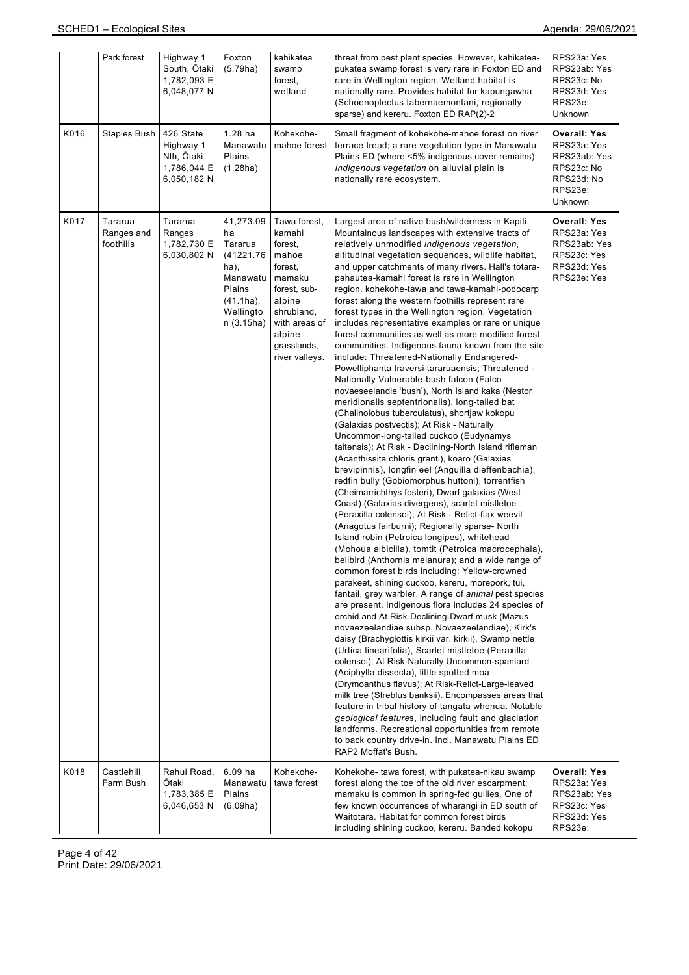|      | Park forest                        | Highway 1<br>South, Ōtaki<br>1,782,093 E<br>6,048,077 N            | Foxton<br>(5.79ha)                                                                                                | kahikatea<br>swamp<br>forest,<br>wetland                                                                                                                            | threat from pest plant species. However, kahikatea-<br>pukatea swamp forest is very rare in Foxton ED and<br>rare in Wellington region. Wetland habitat is<br>nationally rare. Provides habitat for kapungawha<br>(Schoenoplectus tabernaemontani, regionally<br>sparse) and kereru. Foxton ED RAP(2)-2                                                                                                                                                                                                                                                                                                                                                                                                                                                                                                                                                                                                                                                                                                                                                                                                                                                                                                                                                                                                                                                                                                                                                                                                                                                                                                                                                                                                                                                                                                                                                                                                                                                                                                                                                                                                                                                                                                                                                                                                                                                                                                                                                                                                                                                      | RPS23a: Yes<br>RPS23ab: Yes<br>RPS23c: No<br>RPS23d: Yes<br>RPS23e:<br>Unknown                       |
|------|------------------------------------|--------------------------------------------------------------------|-------------------------------------------------------------------------------------------------------------------|---------------------------------------------------------------------------------------------------------------------------------------------------------------------|--------------------------------------------------------------------------------------------------------------------------------------------------------------------------------------------------------------------------------------------------------------------------------------------------------------------------------------------------------------------------------------------------------------------------------------------------------------------------------------------------------------------------------------------------------------------------------------------------------------------------------------------------------------------------------------------------------------------------------------------------------------------------------------------------------------------------------------------------------------------------------------------------------------------------------------------------------------------------------------------------------------------------------------------------------------------------------------------------------------------------------------------------------------------------------------------------------------------------------------------------------------------------------------------------------------------------------------------------------------------------------------------------------------------------------------------------------------------------------------------------------------------------------------------------------------------------------------------------------------------------------------------------------------------------------------------------------------------------------------------------------------------------------------------------------------------------------------------------------------------------------------------------------------------------------------------------------------------------------------------------------------------------------------------------------------------------------------------------------------------------------------------------------------------------------------------------------------------------------------------------------------------------------------------------------------------------------------------------------------------------------------------------------------------------------------------------------------------------------------------------------------------------------------------------------------|------------------------------------------------------------------------------------------------------|
| K016 | Staples Bush                       | 426 State<br>Highway 1<br>Nth, Otaki<br>1,786,044 E<br>6,050,182 N | 1.28 ha<br>Manawatu<br>Plains<br>(1.28ha)                                                                         | Kohekohe-<br>mahoe forest                                                                                                                                           | Small fragment of kohekohe-mahoe forest on river<br>terrace tread; a rare vegetation type in Manawatu<br>Plains ED (where <5% indigenous cover remains).<br>Indigenous vegetation on alluvial plain is<br>nationally rare ecosystem.                                                                                                                                                                                                                                                                                                                                                                                                                                                                                                                                                                                                                                                                                                                                                                                                                                                                                                                                                                                                                                                                                                                                                                                                                                                                                                                                                                                                                                                                                                                                                                                                                                                                                                                                                                                                                                                                                                                                                                                                                                                                                                                                                                                                                                                                                                                         | <b>Overall: Yes</b><br>RPS23a: Yes<br>RPS23ab: Yes<br>RPS23c: No<br>RPS23d: No<br>RPS23e:<br>Unknown |
| K017 | Tararua<br>Ranges and<br>foothills | Tararua<br>Ranges<br>1,782,730 E<br>6,030,802 N                    | 41,273.09<br>ha<br>Tararua<br>(41221.76)<br>ha),<br>Manawatu<br>Plains<br>$(41.1ha)$ ,<br>Wellingto<br>n (3.15ha) | Tawa forest,<br>kamahi<br>forest,<br>mahoe<br>forest,<br>mamaku<br>forest, sub-<br>alpine<br>shrubland,<br>with areas of<br>alpine<br>grasslands,<br>river valleys. | Largest area of native bush/wilderness in Kapiti.<br>Mountainous landscapes with extensive tracts of<br>relatively unmodified <i>indigenous vegetation</i> ,<br>altitudinal vegetation sequences, wildlife habitat,<br>and upper catchments of many rivers. Hall's totara-<br>pahautea-kamahi forest is rare in Wellington<br>region, kohekohe-tawa and tawa-kamahi-podocarp<br>forest along the western foothills represent rare<br>forest types in the Wellington region. Vegetation<br>includes representative examples or rare or unique<br>forest communities as well as more modified forest<br>communities. Indigenous fauna known from the site<br>include: Threatened-Nationally Endangered-<br>Powelliphanta traversi tararuaensis; Threatened -<br>Nationally Vulnerable-bush falcon (Falco<br>novaeseelandie 'bush'), North Island kaka (Nestor<br>meridionalis septentrionalis), long-tailed bat<br>(Chalinolobus tuberculatus), shortjaw kokopu<br>(Galaxias postvectis); At Risk - Naturally<br>Uncommon-long-tailed cuckoo (Eudynamys<br>taitensis); At Risk - Declining-North Island rifleman<br>(Acanthissita chloris granti), koaro (Galaxias<br>brevipinnis), longfin eel (Anguilla dieffenbachia),<br>redfin bully (Gobiomorphus huttoni), torrentfish<br>(Cheimarrichthys fosteri), Dwarf galaxias (West<br>Coast) (Galaxias divergens), scarlet mistletoe<br>(Peraxilla colensoi); At Risk - Relict-flax weevil<br>(Anagotus fairburni); Regionally sparse- North<br>Island robin (Petroica longipes), whitehead<br>(Mohoua albicilla), tomtit (Petroica macrocephala),<br>bellbird (Anthornis melanura); and a wide range of<br>common forest birds including: Yellow-crowned<br>parakeet, shining cuckoo, kereru, morepork, tui,<br>fantail, grey warbler. A range of animal pest species<br>are present. Indigenous flora includes 24 species of<br>orchid and At Risk-Declining-Dwarf musk (Mazus<br>novaezeelandiae subsp. Novaezeelandiae), Kirk's<br>daisy (Brachyglottis kirkii var. kirkii), Swamp nettle<br>(Urtica linearifolia), Scarlet mistletoe (Peraxilla<br>colensoi); At Risk-Naturally Uncommon-spaniard<br>(Aciphylla dissecta), little spotted moa<br>(Drymoanthus flavus); At Risk-Relict-Large-leaved<br>milk tree (Streblus banksii). Encompasses areas that<br>feature in tribal history of tangata whenua. Notable<br>geological features, including fault and glaciation<br>landforms. Recreational opportunities from remote<br>to back country drive-in. Incl. Manawatu Plains ED<br>RAP2 Moffat's Bush. | <b>Overall: Yes</b><br>RPS23a: Yes<br>RPS23ab: Yes<br>RPS23c: Yes<br>RPS23d: Yes<br>RPS23e: Yes      |
| K018 | Castlehill<br>Farm Bush            | Rahui Road,<br>Ōtaki<br>1,783,385 E<br>6,046,653 N                 | 6.09 ha<br>Manawatu<br>Plains<br>(6.09ha)                                                                         | Kohekohe-<br>tawa forest                                                                                                                                            | Kohekohe- tawa forest, with pukatea-nikau swamp<br>forest along the toe of the old river escarpment;<br>mamaku is common in spring-fed gullies. One of<br>few known occurrences of wharangi in ED south of<br>Waitotara. Habitat for common forest birds<br>including shining cuckoo, kereru. Banded kokopu                                                                                                                                                                                                                                                                                                                                                                                                                                                                                                                                                                                                                                                                                                                                                                                                                                                                                                                                                                                                                                                                                                                                                                                                                                                                                                                                                                                                                                                                                                                                                                                                                                                                                                                                                                                                                                                                                                                                                                                                                                                                                                                                                                                                                                                  | <b>Overall: Yes</b><br>RPS23a: Yes<br>RPS23ab: Yes<br>RPS23c: Yes<br>RPS23d: Yes<br>RPS23e:          |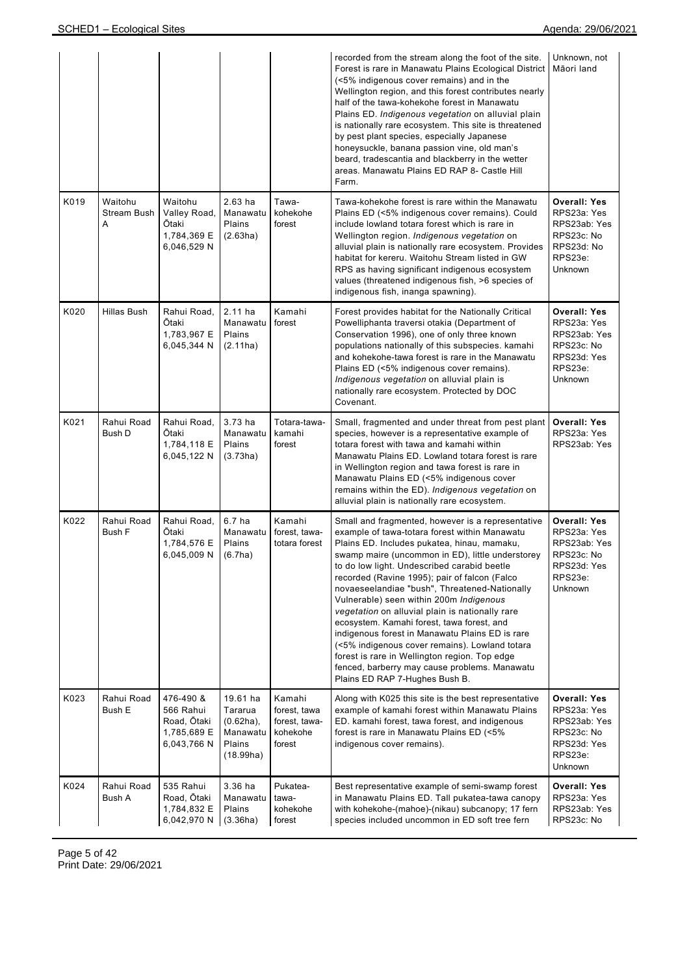|      |                                    |                                                                     |                                                                        |                                                               | recorded from the stream along the foot of the site.<br>Forest is rare in Manawatu Plains Ecological District<br>(<5% indigenous cover remains) and in the<br>Wellington region, and this forest contributes nearly<br>half of the tawa-kohekohe forest in Manawatu<br>Plains ED. Indigenous vegetation on alluvial plain<br>is nationally rare ecosystem. This site is threatened<br>by pest plant species, especially Japanese<br>honeysuckle, banana passion vine, old man's<br>beard, tradescantia and blackberry in the wetter<br>areas. Manawatu Plains ED RAP 8- Castle Hill<br>Farm.                                                                                                                                                | Unknown, not<br>Māori land                                                                                   |
|------|------------------------------------|---------------------------------------------------------------------|------------------------------------------------------------------------|---------------------------------------------------------------|---------------------------------------------------------------------------------------------------------------------------------------------------------------------------------------------------------------------------------------------------------------------------------------------------------------------------------------------------------------------------------------------------------------------------------------------------------------------------------------------------------------------------------------------------------------------------------------------------------------------------------------------------------------------------------------------------------------------------------------------|--------------------------------------------------------------------------------------------------------------|
| K019 | Waitohu<br><b>Stream Bush</b><br>Α | Waitohu<br>Valley Road,<br>Ōtaki<br>1,784,369 E<br>6,046,529 N      | 2.63 ha<br>Manawatu<br>Plains<br>(2.63ha)                              | Tawa-<br>kohekohe<br>forest                                   | Tawa-kohekohe forest is rare within the Manawatu<br>Plains ED (<5% indigenous cover remains). Could<br>include lowland totara forest which is rare in<br>Wellington region. Indigenous vegetation on<br>alluvial plain is nationally rare ecosystem. Provides<br>habitat for kereru. Waitohu Stream listed in GW<br>RPS as having significant indigenous ecosystem<br>values (threatened indigenous fish, >6 species of<br>indigenous fish, inanga spawning).                                                                                                                                                                                                                                                                               | <b>Overall: Yes</b><br>RPS23a: Yes<br>RPS23ab: Yes<br>RPS23c: No<br>RPS23d: No<br>RPS23e:<br>Unknown         |
| K020 | Hillas Bush                        | Rahui Road,<br>Ōtaki<br>1,783,967 E<br>6,045,344 N                  | $2.11$ ha<br>Manawatu<br>Plains<br>(2.11ha)                            | Kamahi<br>forest                                              | Forest provides habitat for the Nationally Critical<br>Powelliphanta traversi otakia (Department of<br>Conservation 1996), one of only three known<br>populations nationally of this subspecies. kamahi<br>and kohekohe-tawa forest is rare in the Manawatu<br>Plains ED (<5% indigenous cover remains).<br>Indigenous vegetation on alluvial plain is<br>nationally rare ecosystem. Protected by DOC<br>Covenant.                                                                                                                                                                                                                                                                                                                          | <b>Overall: Yes</b><br>RPS23a: Yes<br>RPS23ab: Yes<br>RPS23c: No<br>RPS23d: Yes<br>RPS23e:<br><b>Unknown</b> |
| K021 | Rahui Road<br>Bush D               | Rahui Road,<br>Ōtaki<br>1,784,118 E<br>6,045,122 N                  | $3.73$ ha<br>Manawatu<br>Plains<br>(3.73ha)                            | Totara-tawa-<br>kamahi<br>forest                              | Small, fragmented and under threat from pest plant<br>species, however is a representative example of<br>totara forest with tawa and kamahi within<br>Manawatu Plains ED. Lowland totara forest is rare<br>in Wellington region and tawa forest is rare in<br>Manawatu Plains ED (<5% indigenous cover<br>remains within the ED). Indigenous vegetation on<br>alluvial plain is nationally rare ecosystem.                                                                                                                                                                                                                                                                                                                                  | <b>Overall: Yes</b><br>RPS23a: Yes<br>RPS23ab: Yes                                                           |
| K022 | Rahui Road<br><b>Bush F</b>        | Rahui Road,<br>Ōtaki<br>1,784,576 E<br>6,045,009 N                  | 6.7 <sub>ha</sub><br>Manawatu<br>Plains<br>(6.7ha)                     | Kamahi<br>forest. tawa-<br>totara forest                      | Small and fragmented, however is a representative<br>example of tawa-totara forest within Manawatu<br>Plains ED. Includes pukatea, hinau, mamaku,<br>swamp maire (uncommon in ED), little understorey<br>to do low light. Undescribed carabid beetle<br>recorded (Ravine 1995); pair of falcon (Falco<br>novaeseelandiae "bush", Threatened-Nationally<br>Vulnerable) seen within 200m Indigenous<br>vegetation on alluvial plain is nationally rare<br>ecosystem. Kamahi forest, tawa forest, and<br>indigenous forest in Manawatu Plains ED is rare<br>(<5% indigenous cover remains). Lowland totara<br>forest is rare in Wellington region. Top edge<br>fenced, barberry may cause problems. Manawatu<br>Plains ED RAP 7-Hughes Bush B. | <b>Overall: Yes</b><br>RPS23a: Yes<br>RPS23ab: Yes<br>RPS23c: No<br>RPS23d: Yes<br>RPS23e:<br><b>Unknown</b> |
| K023 | Rahui Road<br>Bush E               | 476-490 &<br>566 Rahui<br>Road, Ōtaki<br>1,785,689 E<br>6,043,766 N | 19.61 ha<br>Tararua<br>$(0.62ha)$ ,<br>Manawatu<br>Plains<br>(18.99ha) | Kamahi<br>forest, tawa<br>forest, tawa-<br>kohekohe<br>forest | Along with K025 this site is the best representative<br>example of kamahi forest within Manawatu Plains<br>ED. kamahi forest, tawa forest, and indigenous<br>forest is rare in Manawatu Plains ED (<5%)<br>indigenous cover remains).                                                                                                                                                                                                                                                                                                                                                                                                                                                                                                       | <b>Overall: Yes</b><br>RPS23a: Yes<br>RPS23ab: Yes<br>RPS23c: No<br>RPS23d: Yes<br>RPS23e:<br>Unknown        |
| K024 | Rahui Road<br>Bush A               | 535 Rahui<br>Road, Ōtaki<br>1,784,832 E<br>6,042,970 N              | 3.36 ha<br>Manawatu<br>Plains<br>(3.36ha)                              | Pukatea-<br>tawa-<br>kohekohe<br>forest                       | Best representative example of semi-swamp forest<br>in Manawatu Plains ED. Tall pukatea-tawa canopy<br>with kohekohe-(mahoe)-(nikau) subcanopy; 17 fern<br>species included uncommon in ED soft tree fern                                                                                                                                                                                                                                                                                                                                                                                                                                                                                                                                   | <b>Overall: Yes</b><br>RPS23a: Yes<br>RPS23ab: Yes<br>RPS23c: No                                             |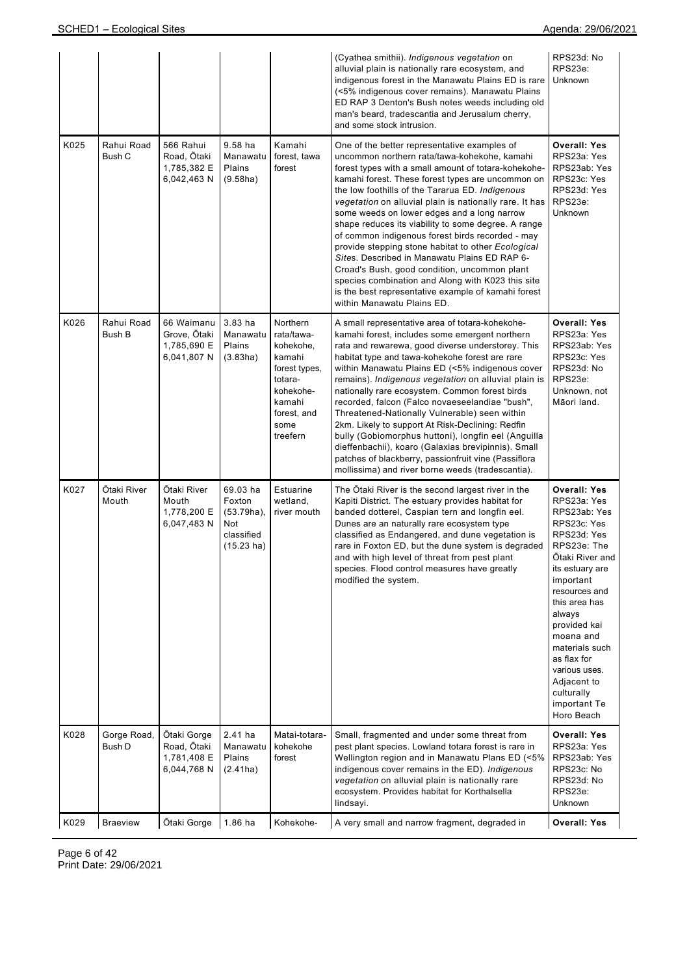|      |                       |                                                          |                                                                                  |                                                                                                                                     | (Cyathea smithii). Indigenous vegetation on<br>alluvial plain is nationally rare ecosystem, and<br>indigenous forest in the Manawatu Plains ED is rare<br>(<5% indigenous cover remains). Manawatu Plains<br>ED RAP 3 Denton's Bush notes weeds including old<br>man's beard, tradescantia and Jerusalum cherry,<br>and some stock intrusion.                                                                                                                                                                                                                                                                                                                                                                                                                                      | RPS23d: No<br>RPS23e:<br>Unknown                                                                                                                                                                                                                                                                                                         |
|------|-----------------------|----------------------------------------------------------|----------------------------------------------------------------------------------|-------------------------------------------------------------------------------------------------------------------------------------|------------------------------------------------------------------------------------------------------------------------------------------------------------------------------------------------------------------------------------------------------------------------------------------------------------------------------------------------------------------------------------------------------------------------------------------------------------------------------------------------------------------------------------------------------------------------------------------------------------------------------------------------------------------------------------------------------------------------------------------------------------------------------------|------------------------------------------------------------------------------------------------------------------------------------------------------------------------------------------------------------------------------------------------------------------------------------------------------------------------------------------|
| K025 | Rahui Road<br>Bush C  | 566 Rahui<br>Road, Ōtaki<br>1,785,382 E<br>6,042,463 N   | 9.58 ha<br>Manawatu<br>Plains<br>(9.58ha)                                        | Kamahi<br>forest, tawa<br>forest                                                                                                    | One of the better representative examples of<br>uncommon northern rata/tawa-kohekohe, kamahi<br>forest types with a small amount of totara-kohekohe-<br>kamahi forest. These forest types are uncommon on<br>the low foothills of the Tararua ED. Indigenous<br>vegetation on alluvial plain is nationally rare. It has<br>some weeds on lower edges and a long narrow<br>shape reduces its viability to some degree. A range<br>of common indigenous forest birds recorded - may<br>provide stepping stone habitat to other Ecological<br>Sites. Described in Manawatu Plains ED RAP 6-<br>Croad's Bush, good condition, uncommon plant<br>species combination and Along with K023 this site<br>is the best representative example of kamahi forest<br>within Manawatu Plains ED. | <b>Overall: Yes</b><br>RPS23a: Yes<br>RPS23ab: Yes<br>RPS23c: Yes<br>RPS23d: Yes<br>RPS23e:<br>Unknown                                                                                                                                                                                                                                   |
| K026 | Rahui Road<br>Bush B  | 66 Waimanu<br>Grove, Ōtaki<br>1,785,690 E<br>6,041,807 N | 3.83 ha<br>Manawatu<br>Plains<br>(3.83ha)                                        | Northern<br>rata/tawa-<br>kohekohe,<br>kamahi<br>forest types,<br>totara-<br>kohekohe-<br>kamahi<br>forest, and<br>some<br>treefern | A small representative area of totara-kohekohe-<br>kamahi forest, includes some emergent northern<br>rata and rewarewa, good diverse understorey. This<br>habitat type and tawa-kohekohe forest are rare<br>within Manawatu Plains ED (<5% indigenous cover<br>remains). Indigenous vegetation on alluvial plain is<br>nationally rare ecosystem. Common forest birds<br>recorded, falcon (Falco novaeseelandiae "bush",<br>Threatened-Nationally Vulnerable) seen within<br>2km. Likely to support At Risk-Declining: Redfin<br>bully (Gobiomorphus huttoni), longfin eel (Anguilla<br>dieffenbachii), koaro (Galaxias brevipinnis). Small<br>patches of blackberry, passionfruit vine (Passiflora<br>mollissima) and river borne weeds (tradescantia).                           | <b>Overall: Yes</b><br>RPS23a: Yes<br>RPS23ab: Yes<br>RPS23c: Yes<br>RPS23d: No<br>RPS23e:<br>Unknown, not<br>Māori land.                                                                                                                                                                                                                |
| K027 | Ōtaki River<br>Mouth  | Ōtaki River<br>Mouth<br>1,778,200 E<br>6,047,483 N       | 69.03 ha<br>Foxton<br>$(53.79ha)$ ,<br>Not<br>classified<br>$(15.23 \text{ ha})$ | Estuarine<br>wetland,<br>river mouth                                                                                                | The Otaki River is the second largest river in the<br>Kapiti District. The estuary provides habitat for<br>banded dotterel, Caspian tern and longfin eel.<br>Dunes are an naturally rare ecosystem type<br>classified as Endangered, and dune vegetation is<br>rare in Foxton ED, but the dune system is degraded<br>and with high level of threat from pest plant<br>species. Flood control measures have greatly<br>modified the system.                                                                                                                                                                                                                                                                                                                                         | <b>Overall: Yes</b><br>RPS23a: Yes<br>RPS23ab: Yes<br>RPS23c: Yes<br>RPS23d: Yes<br>RPS23e: The<br>Ōtaki River and<br>its estuary are<br>important<br>resources and<br>this area has<br>always<br>provided kai<br>moana and<br>materials such<br>as flax for<br>various uses.<br>Adjacent to<br>culturally<br>important Te<br>Horo Beach |
| K028 | Gorge Road,<br>Bush D | Ōtaki Gorge<br>Road, Ōtaki<br>1,781,408 E<br>6,044,768 N | $2.41$ ha<br>Manawatu<br>Plains<br>(2.41ha)                                      | Matai-totara-<br>kohekohe<br>forest                                                                                                 | Small, fragmented and under some threat from<br>pest plant species. Lowland totara forest is rare in<br>Wellington region and in Manawatu Plans ED (<5%<br>indigenous cover remains in the ED). Indigenous<br>vegetation on alluvial plain is nationally rare<br>ecosystem. Provides habitat for Korthalsella<br>lindsayi.                                                                                                                                                                                                                                                                                                                                                                                                                                                         | <b>Overall: Yes</b><br>RPS23a: Yes<br>RPS23ab: Yes<br>RPS23c: No<br>RPS23d: No<br>RPS23e:<br>Unknown                                                                                                                                                                                                                                     |
| K029 | <b>Braeview</b>       | Ōtaki Gorge                                              | $1.86$ ha                                                                        | Kohekohe-                                                                                                                           | A very small and narrow fragment, degraded in                                                                                                                                                                                                                                                                                                                                                                                                                                                                                                                                                                                                                                                                                                                                      | <b>Overall: Yes</b>                                                                                                                                                                                                                                                                                                                      |

Page 6 of 42 Print Date: 29/06/2021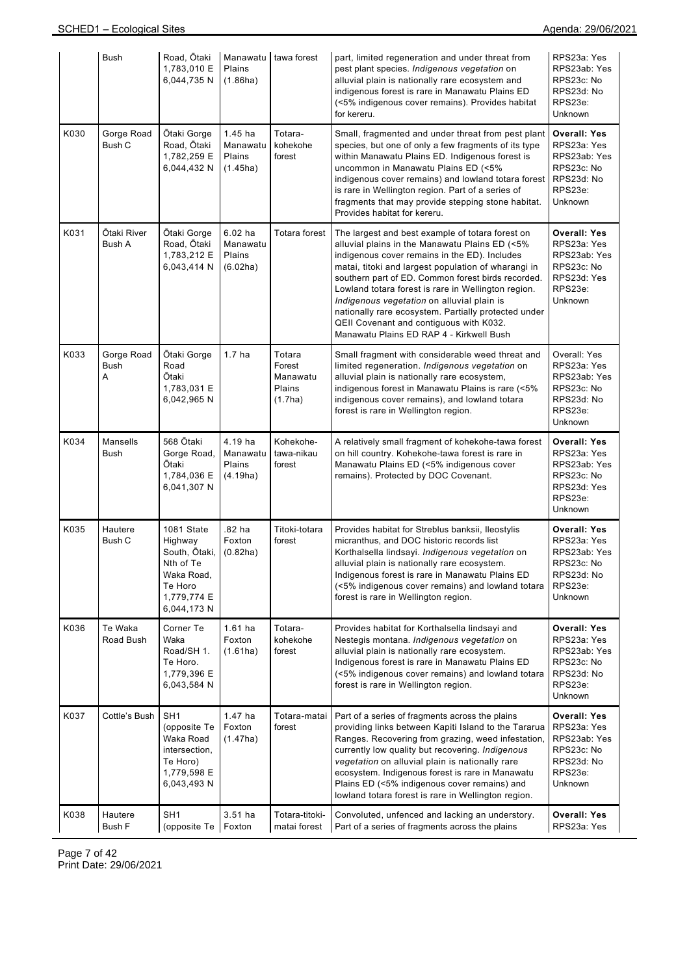|      | Bush                    | Road, Ōtaki<br>1,783,010 E<br>6,044,735 N                                                                  | Manawatu<br>Plains<br>(1.86ha)              | tawa forest                                       | part, limited regeneration and under threat from<br>pest plant species. Indigenous vegetation on<br>alluvial plain is nationally rare ecosystem and<br>indigenous forest is rare in Manawatu Plains ED<br>(<5% indigenous cover remains). Provides habitat<br>for kereru.                                                                                                                                                                                                                                            | RPS23a: Yes<br>RPS23ab: Yes<br>RPS23c: No<br>RPS23d: No<br>RPS23e:<br>Unknown                         |
|------|-------------------------|------------------------------------------------------------------------------------------------------------|---------------------------------------------|---------------------------------------------------|----------------------------------------------------------------------------------------------------------------------------------------------------------------------------------------------------------------------------------------------------------------------------------------------------------------------------------------------------------------------------------------------------------------------------------------------------------------------------------------------------------------------|-------------------------------------------------------------------------------------------------------|
| K030 | Gorge Road<br>Bush C    | Ōtaki Gorge<br>Road, Ōtaki<br>1,782,259 E<br>6,044,432 N                                                   | $1.45$ ha<br>Manawatu<br>Plains<br>(1.45ha) | Totara-<br>kohekohe<br>forest                     | Small, fragmented and under threat from pest plant<br>species, but one of only a few fragments of its type<br>within Manawatu Plains ED. Indigenous forest is<br>uncommon in Manawatu Plains ED (<5%<br>indigenous cover remains) and lowland totara forest<br>is rare in Wellington region. Part of a series of<br>fragments that may provide stepping stone habitat.<br>Provides habitat for kereru.                                                                                                               | <b>Overall: Yes</b><br>RPS23a: Yes<br>RPS23ab: Yes<br>RPS23c: No<br>RPS23d: No<br>RPS23e:<br>Unknown  |
| K031 | Ōtaki River<br>Bush A   | Otaki Gorge<br>Road, Ōtaki<br>1,783,212 E<br>6,043,414 N                                                   | $6.02$ ha<br>Manawatu<br>Plains<br>(6.02ha) | Totara forest                                     | The largest and best example of totara forest on<br>alluvial plains in the Manawatu Plains ED (<5%<br>indigenous cover remains in the ED). Includes<br>matai, titoki and largest population of wharangi in<br>southern part of ED. Common forest birds recorded.<br>Lowland totara forest is rare in Wellington region.<br>Indigenous vegetation on alluvial plain is<br>nationally rare ecosystem. Partially protected under<br>QEII Covenant and contiguous with K032.<br>Manawatu Plains ED RAP 4 - Kirkwell Bush | <b>Overall: Yes</b><br>RPS23a: Yes<br>RPS23ab: Yes<br>RPS23c: No<br>RPS23d: Yes<br>RPS23e:<br>Unknown |
| K033 | Gorge Road<br>Bush<br>Α | Ōtaki Gorge<br>Road<br>Ōtaki<br>1,783,031 E<br>6,042,965 N                                                 | 1.7 <sub>ha</sub>                           | Totara<br>Forest<br>Manawatu<br>Plains<br>(1.7ha) | Small fragment with considerable weed threat and<br>limited regeneration. Indigenous vegetation on<br>alluvial plain is nationally rare ecosystem,<br>indigenous forest in Manawatu Plains is rare (<5%<br>indigenous cover remains), and lowland totara<br>forest is rare in Wellington region.                                                                                                                                                                                                                     | Overall: Yes<br>RPS23a: Yes<br>RPS23ab: Yes<br>RPS23c: No<br>RPS23d: No<br>RPS23e:<br>Unknown         |
| K034 | Mansells<br><b>Bush</b> | 568 Ōtaki<br>Gorge Road,<br>Ōtaki<br>1,784,036 E<br>6,041,307 N                                            | 4.19 ha<br>Manawatu<br>Plains<br>(4.19ha)   | Kohekohe-<br>tawa-nikau<br>forest                 | A relatively small fragment of kohekohe-tawa forest<br>on hill country. Kohekohe-tawa forest is rare in<br>Manawatu Plains ED (<5% indigenous cover<br>remains). Protected by DOC Covenant.                                                                                                                                                                                                                                                                                                                          | <b>Overall: Yes</b><br>RPS23a: Yes<br>RPS23ab: Yes<br>RPS23c: No<br>RPS23d: Yes<br>RPS23e:<br>Unknown |
| K035 | Hautere<br>Bush C       | 1081 State<br>Highway<br>South, Ōtaki,<br>Nth of Te<br>Waka Road,<br>Te Horo<br>1,779,774 E<br>6,044,173 N | .82 ha<br>Foxton<br>(0.82ha)                | Titoki-totara<br>forest                           | Provides habitat for Streblus banksii, Ileostylis<br>micranthus, and DOC historic records list<br>Korthalsella lindsayi. Indigenous vegetation on<br>alluvial plain is nationally rare ecosystem.<br>Indigenous forest is rare in Manawatu Plains ED<br>(<5% indigenous cover remains) and lowland totara<br>forest is rare in Wellington region.                                                                                                                                                                    | <b>Overall: Yes</b><br>RPS23a: Yes<br>RPS23ab: Yes<br>RPS23c: No<br>RPS23d: No<br>RPS23e:<br>Unknown  |
| K036 | Te Waka<br>Road Bush    | Corner Te<br>Waka<br>Road/SH 1.<br>Te Horo.<br>1,779,396 E<br>6,043,584 N                                  | $1.61$ ha<br>Foxton<br>(1.61ha)             | Totara-<br>kohekohe<br>forest                     | Provides habitat for Korthalsella lindsayi and<br>Nestegis montana. Indigenous vegetation on<br>alluvial plain is nationally rare ecosystem.<br>Indigenous forest is rare in Manawatu Plains ED<br>(<5% indigenous cover remains) and lowland totara<br>forest is rare in Wellington region.                                                                                                                                                                                                                         | <b>Overall: Yes</b><br>RPS23a: Yes<br>RPS23ab: Yes<br>RPS23c: No<br>RPS23d: No<br>RPS23e:<br>Unknown  |
| K037 | Cottle's Bush           | SH <sub>1</sub><br>(opposite Te<br>Waka Road<br>intersection,<br>Te Horo)<br>1,779,598 E<br>6,043,493 N    | 1.47 ha<br>Foxton<br>(1.47ha)               | Totara-matai<br>forest                            | Part of a series of fragments across the plains<br>providing links between Kapiti Island to the Tararua<br>Ranges. Recovering from grazing, weed infestation,<br>currently low quality but recovering. Indigenous<br>vegetation on alluvial plain is nationally rare<br>ecosystem. Indigenous forest is rare in Manawatu<br>Plains ED (<5% indigenous cover remains) and<br>lowland totara forest is rare in Wellington region.                                                                                      | <b>Overall: Yes</b><br>RPS23a: Yes<br>RPS23ab: Yes<br>RPS23c: No<br>RPS23d: No<br>RPS23e:<br>Unknown  |
| K038 | Hautere<br>Bush F       | SH <sub>1</sub><br>(opposite Te   Foxton                                                                   | 3.51 ha                                     | Totara-titoki-<br>matai forest                    | Convoluted, unfenced and lacking an understory.<br>Part of a series of fragments across the plains                                                                                                                                                                                                                                                                                                                                                                                                                   | <b>Overall: Yes</b><br>RPS23a: Yes                                                                    |

Page 7 of 42 Print Date: 29/06/2021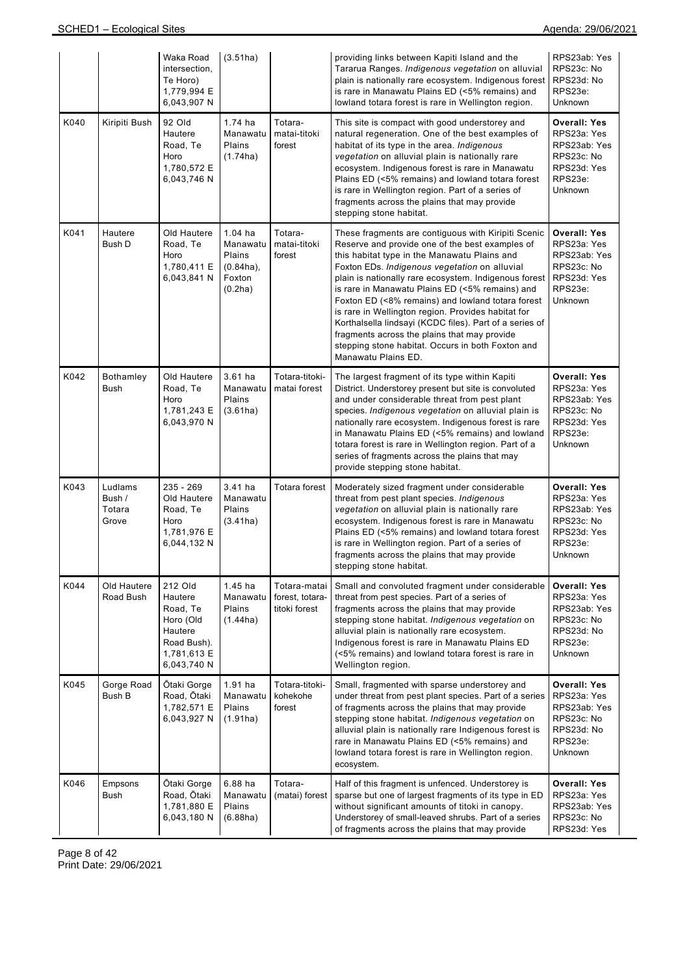|      |                                      | Waka Road<br>intersection,<br>Te Horo)<br>1,779,994 E<br>6,043,907 N                                | (3.51ha)                                                          |                                                  | providing links between Kapiti Island and the<br>Tararua Ranges. Indigenous vegetation on alluvial<br>plain is nationally rare ecosystem. Indigenous forest<br>is rare in Manawatu Plains ED (<5% remains) and<br>lowland totara forest is rare in Wellington region.                                                                                                                                                                                                                                                                                                                                                 | RPS23ab: Yes<br>RPS23c: No<br>RPS23d: No<br>RPS23e:<br>Unknown                                               |
|------|--------------------------------------|-----------------------------------------------------------------------------------------------------|-------------------------------------------------------------------|--------------------------------------------------|-----------------------------------------------------------------------------------------------------------------------------------------------------------------------------------------------------------------------------------------------------------------------------------------------------------------------------------------------------------------------------------------------------------------------------------------------------------------------------------------------------------------------------------------------------------------------------------------------------------------------|--------------------------------------------------------------------------------------------------------------|
| K040 | Kiripiti Bush                        | 92 Old<br>Hautere<br>Road, Te<br>Horo<br>1,780,572 E<br>6,043,746 N                                 | 1.74 ha<br>Manawatu<br>Plains<br>(1.74ha)                         | Totara-<br>matai-titoki<br>forest                | This site is compact with good understorey and<br>natural regeneration. One of the best examples of<br>habitat of its type in the area. Indigenous<br>vegetation on alluvial plain is nationally rare<br>ecosystem. Indigenous forest is rare in Manawatu<br>Plains ED (<5% remains) and lowland totara forest<br>is rare in Wellington region. Part of a series of<br>fragments across the plains that may provide<br>stepping stone habitat.                                                                                                                                                                        | <b>Overall: Yes</b><br>RPS23a: Yes<br>RPS23ab: Yes<br>RPS23c: No<br>RPS23d: Yes<br>RPS23e:<br><b>Unknown</b> |
| K041 | Hautere<br>Bush D                    | Old Hautere<br>Road, Te<br>Horo<br>1,780,411 E<br>6,043,841 N                                       | $1.04$ ha<br>Manawatu<br>Plains<br>(0.84ha),<br>Foxton<br>(0.2ha) | Totara-<br>matai-titoki<br>forest                | These fragments are contiguous with Kiripiti Scenic<br>Reserve and provide one of the best examples of<br>this habitat type in the Manawatu Plains and<br>Foxton EDs. Indigenous vegetation on alluvial<br>plain is nationally rare ecosystem. Indigenous forest<br>is rare in Manawatu Plains ED (<5% remains) and<br>Foxton ED (<8% remains) and lowland totara forest<br>is rare in Wellington region. Provides habitat for<br>Korthalsella lindsayi (KCDC files). Part of a series of<br>fragments across the plains that may provide<br>stepping stone habitat. Occurs in both Foxton and<br>Manawatu Plains ED. | <b>Overall: Yes</b><br>RPS23a: Yes<br>RPS23ab: Yes<br>RPS23c: No<br>RPS23d: Yes<br>RPS23e:<br>Unknown        |
| K042 | Bothamley<br>Bush                    | Old Hautere<br>Road, Te<br>Horo<br>1,781,243 E<br>6,043,970 N                                       | $3.61$ ha<br>Manawatu<br>Plains<br>(3.61ha)                       | Totara-titoki-<br>matai forest                   | The largest fragment of its type within Kapiti<br>District. Understorey present but site is convoluted<br>and under considerable threat from pest plant<br>species. Indigenous vegetation on alluvial plain is<br>nationally rare ecosystem. Indigenous forest is rare<br>in Manawatu Plains ED (<5% remains) and lowland<br>totara forest is rare in Wellington region. Part of a<br>series of fragments across the plains that may<br>provide stepping stone habitat.                                                                                                                                               | <b>Overall: Yes</b><br>RPS23a: Yes<br>RPS23ab: Yes<br>RPS23c: No<br>RPS23d: Yes<br>RPS23e:<br>Unknown        |
| K043 | Ludlams<br>Bush /<br>Totara<br>Grove | $235 - 269$<br>Old Hautere<br>Road, Te<br>Horo<br>1,781,976 E<br>6,044,132 N                        | 3.41 ha<br>Manawatu<br>Plains<br>(3.41ha)                         | Totara forest                                    | Moderately sized fragment under considerable<br>threat from pest plant species. Indigenous<br>vegetation on alluvial plain is nationally rare<br>ecosystem. Indigenous forest is rare in Manawatu<br>Plains ED (<5% remains) and lowland totara forest<br>is rare in Wellington region. Part of a series of<br>fragments across the plains that may provide<br>stepping stone habitat.                                                                                                                                                                                                                                | <b>Overall: Yes</b><br>RPS23a: Yes<br>RPS23ab: Yes<br>RPS23c: No<br>RPS23d: Yes<br>RPS23e:<br><b>Unknown</b> |
| K044 | Old Hautere<br>Road Bush             | 212 Old<br>Hautere<br>Road, Te<br>Horo (Old<br>Hautere<br>Road Bush).<br>1,781,613 E<br>6,043,740 N | $1.45$ ha<br>Manawatu<br>Plains<br>(1.44ha)                       | Totara-matai<br>forest, totara-<br>titoki forest | Small and convoluted fragment under considerable<br>threat from pest species. Part of a series of<br>fragments across the plains that may provide<br>stepping stone habitat. Indigenous vegetation on<br>alluvial plain is nationally rare ecosystem.<br>Indigenous forest is rare in Manawatu Plains ED<br>(<5% remains) and lowland totara forest is rare in<br>Wellington region.                                                                                                                                                                                                                                  | <b>Overall: Yes</b><br>RPS23a: Yes<br>RPS23ab: Yes<br>RPS23c: No<br>RPS23d: No<br>RPS23e:<br>Unknown         |
| K045 | Gorge Road<br>Bush B                 | Otaki Gorge<br>Road, Ōtaki<br>1,782,571 E<br>6,043,927 N                                            | $1.91$ ha<br>Manawatu<br>Plains<br>(1.91ha)                       | Totara-titoki-<br>kohekohe<br>forest             | Small, fragmented with sparse understorey and<br>under threat from pest plant species. Part of a series<br>of fragments across the plains that may provide<br>stepping stone habitat. Indigenous vegetation on<br>alluvial plain is nationally rare Indigenous forest is<br>rare in Manawatu Plains ED (<5% remains) and<br>lowland totara forest is rare in Wellington region.<br>ecosystem.                                                                                                                                                                                                                         | <b>Overall: Yes</b><br>RPS23a: Yes<br>RPS23ab: Yes<br>RPS23c: No<br>RPS23d: No<br>RPS23e:<br>Unknown         |
| K046 | Empsons<br>Bush                      | Ōtaki Gorge<br>Road, Ōtaki<br>1,781,880 E<br>6,043,180 N                                            | 6.88 ha<br>Manawatu<br>Plains<br>(6.88ha)                         | Totara-<br>(matai) forest                        | Half of this fragment is unfenced. Understorey is<br>sparse but one of largest fragments of its type in ED<br>without significant amounts of titoki in canopy.<br>Understorey of small-leaved shrubs. Part of a series<br>of fragments across the plains that may provide                                                                                                                                                                                                                                                                                                                                             | <b>Overall: Yes</b><br>RPS23a: Yes<br>RPS23ab: Yes<br>RPS23c: No<br>RPS23d: Yes                              |

Page 8 of 42 Print Date: 29/06/2021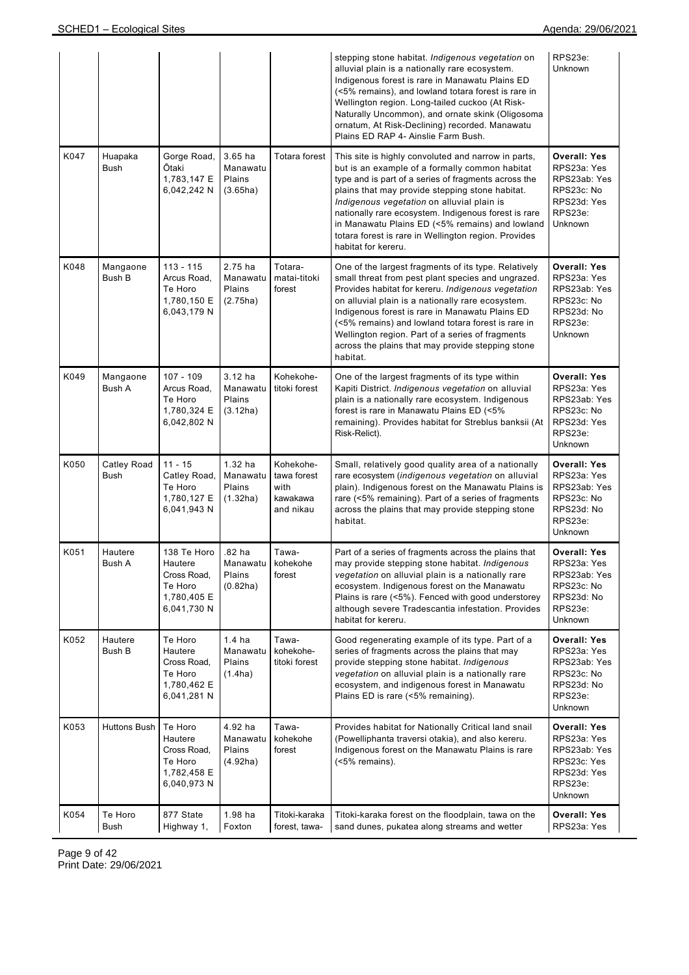|      |                            |                                                                                |                                                    |                                                           | stepping stone habitat. Indigenous vegetation on<br>alluvial plain is a nationally rare ecosystem.<br>Indigenous forest is rare in Manawatu Plains ED<br>(<5% remains), and lowland totara forest is rare in<br>Wellington region. Long-tailed cuckoo (At Risk-<br>Naturally Uncommon), and ornate skink (Oligosoma<br>ornatum, At Risk-Declining) recorded. Manawatu<br>Plains ED RAP 4- Ainslie Farm Bush.                                             | RPS23e:<br><b>Unknown</b>                                                                                    |
|------|----------------------------|--------------------------------------------------------------------------------|----------------------------------------------------|-----------------------------------------------------------|----------------------------------------------------------------------------------------------------------------------------------------------------------------------------------------------------------------------------------------------------------------------------------------------------------------------------------------------------------------------------------------------------------------------------------------------------------|--------------------------------------------------------------------------------------------------------------|
| K047 | Huapaka<br>Bush            | Gorge Road,<br>Ōtaki<br>1,783,147 E<br>6,042,242 N                             | $3.65$ ha<br>Manawatu<br>Plains<br>(3.65ha)        | Totara forest                                             | This site is highly convoluted and narrow in parts,<br>but is an example of a formally common habitat<br>type and is part of a series of fragments across the<br>plains that may provide stepping stone habitat.<br>Indigenous vegetation on alluvial plain is<br>nationally rare ecosystem. Indigenous forest is rare<br>in Manawatu Plains ED (<5% remains) and lowland<br>totara forest is rare in Wellington region. Provides<br>habitat for kereru. | <b>Overall: Yes</b><br>RPS23a: Yes<br>RPS23ab: Yes<br>RPS23c: No<br>RPS23d: Yes<br>RPS23e:<br>Unknown        |
| K048 | Mangaone<br><b>Bush B</b>  | 113 - 115<br>Arcus Road,<br>Te Horo<br>1,780,150 E<br>6,043,179 N              | 2.75 ha<br>Manawatu<br>Plains<br>(2.75ha)          | Totara-<br>matai-titoki<br>forest                         | One of the largest fragments of its type. Relatively<br>small threat from pest plant species and ungrazed.<br>Provides habitat for kereru. Indigenous vegetation<br>on alluvial plain is a nationally rare ecosystem.<br>Indigenous forest is rare in Manawatu Plains ED<br>(<5% remains) and lowland totara forest is rare in<br>Wellington region. Part of a series of fragments<br>across the plains that may provide stepping stone<br>habitat.      | <b>Overall: Yes</b><br>RPS23a: Yes<br>RPS23ab: Yes<br>RPS23c: No<br>RPS23d: No<br>RPS23e:<br>Unknown         |
| K049 | Mangaone<br>Bush A         | 107 - 109<br>Arcus Road,<br>Te Horo<br>1,780,324 E<br>6,042,802 N              | $3.12$ ha<br>Manawatu<br>Plains<br>(3.12ha)        | Kohekohe-<br>titoki forest                                | One of the largest fragments of its type within<br>Kapiti District. Indigenous vegetation on alluvial<br>plain is a nationally rare ecosystem. Indigenous<br>forest is rare in Manawatu Plains ED (<5%<br>remaining). Provides habitat for Streblus banksii (At<br>Risk-Relict).                                                                                                                                                                         | <b>Overall: Yes</b><br>RPS23a: Yes<br>RPS23ab: Yes<br>RPS23c: No<br>RPS23d: Yes<br>RPS23e:<br><b>Unknown</b> |
| K050 | Catley Road<br><b>Bush</b> | $11 - 15$<br>Catley Road,<br>Te Horo<br>1,780,127 E<br>6,041,943 N             | 1.32 ha<br>Manawatu<br>Plains<br>(1.32ha)          | Kohekohe-<br>tawa forest<br>with<br>kawakawa<br>and nikau | Small, relatively good quality area of a nationally<br>rare ecosystem (indigenous vegetation on alluvial<br>plain). Indigenous forest on the Manawatu Plains is<br>rare (<5% remaining). Part of a series of fragments<br>across the plains that may provide stepping stone<br>habitat.                                                                                                                                                                  | <b>Overall: Yes</b><br>RPS23a: Yes<br>RPS23ab: Yes<br>RPS23c: No<br>RPS23d: No<br>RPS23e:<br>Unknown         |
| K051 | Hautere<br>Bush A          | 138 Te Horo<br>Hautere<br>Cross Road,<br>Te Horo<br>1,780,405 E<br>6,041,730 N | .82 ha<br>Manawatu<br>Plains<br>(0.82ha)           | Tawa-<br>kohekohe<br>forest                               | Part of a series of fragments across the plains that<br>may provide stepping stone habitat. Indigenous<br>vegetation on alluvial plain is a nationally rare<br>ecosystem. Indigenous forest on the Manawatu<br>Plains is rare (<5%). Fenced with good understorey<br>although severe Tradescantia infestation. Provides<br>habitat for kereru.                                                                                                           | <b>Overall: Yes</b><br>RPS23a: Yes<br>RPS23ab: Yes<br>RPS23c: No<br>RPS23d: No<br>RPS23e:<br>Unknown         |
| K052 | Hautere<br>Bush B          | Te Horo<br>Hautere<br>Cross Road,<br>Te Horo<br>1,780,462 E<br>6,041,281 N     | 1.4 <sub>ha</sub><br>Manawatu<br>Plains<br>(1.4ha) | Tawa-<br>kohekohe-<br>titoki forest                       | Good regenerating example of its type. Part of a<br>series of fragments across the plains that may<br>provide stepping stone habitat. Indigenous<br>vegetation on alluvial plain is a nationally rare<br>ecosystem, and indigenous forest in Manawatu<br>Plains ED is rare (<5% remaining).                                                                                                                                                              | <b>Overall: Yes</b><br>RPS23a: Yes<br>RPS23ab: Yes<br>RPS23c: No<br>RPS23d: No<br>RPS23e:<br>Unknown         |
| K053 | <b>Huttons Bush</b>        | Te Horo<br>Hautere<br>Cross Road,<br>Te Horo<br>1,782,458 E<br>6,040,973 N     | 4.92 ha<br>Manawatu<br>Plains<br>(4.92ha)          | Tawa-<br>kohekohe<br>forest                               | Provides habitat for Nationally Critical land snail<br>(Powelliphanta traversi otakia), and also kereru.<br>Indigenous forest on the Manawatu Plains is rare<br>(<5% remains).                                                                                                                                                                                                                                                                           | <b>Overall: Yes</b><br>RPS23a: Yes<br>RPS23ab: Yes<br>RPS23c: Yes<br>RPS23d: Yes<br>RPS23e:<br>Unknown       |
| K054 | Te Horo<br>Bush            | 877 State<br>Highway 1,                                                        | 1.98 ha<br>Foxton                                  | Titoki-karaka<br>forest, tawa-                            | Titoki-karaka forest on the floodplain, tawa on the<br>sand dunes, pukatea along streams and wetter                                                                                                                                                                                                                                                                                                                                                      | <b>Overall: Yes</b><br>RPS23a: Yes                                                                           |

Page 9 of 42 Print Date: 29/06/2021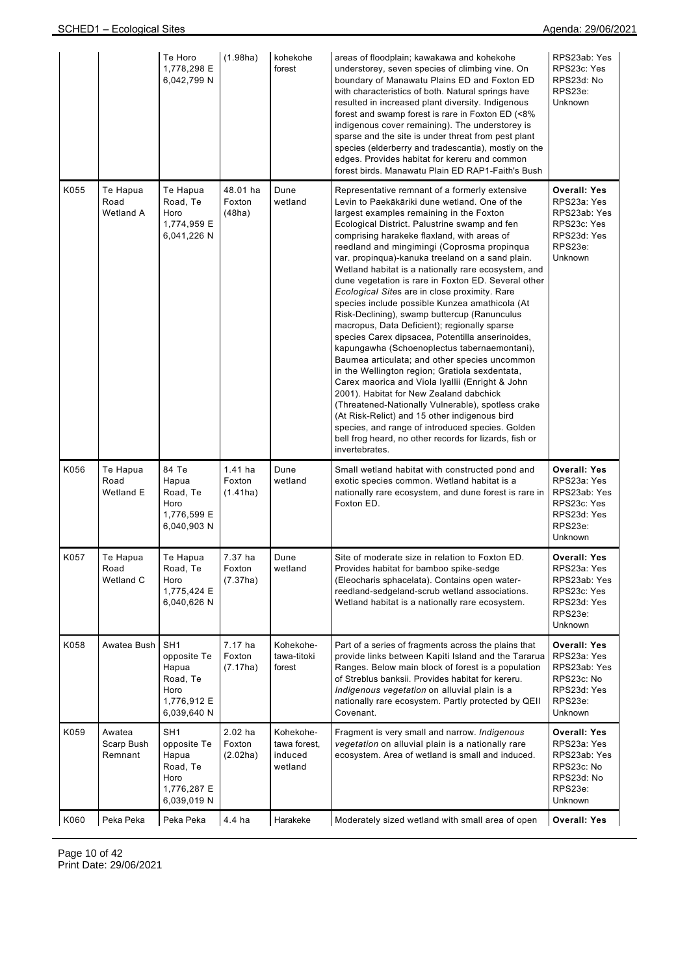|      |                                 | Te Horo<br>1,778,298 E<br>6,042,799 N                                                     | (1.98ha)                        | kohekohe<br>forest                              | areas of floodplain; kawakawa and kohekohe<br>understorey, seven species of climbing vine. On<br>boundary of Manawatu Plains ED and Foxton ED<br>with characteristics of both. Natural springs have<br>resulted in increased plant diversity. Indigenous<br>forest and swamp forest is rare in Foxton ED (<8%<br>indigenous cover remaining). The understorey is<br>sparse and the site is under threat from pest plant<br>species (elderberry and tradescantia), mostly on the<br>edges. Provides habitat for kereru and common<br>forest birds. Manawatu Plain ED RAP1-Faith's Bush                                                                                                                                                                                                                                                                                                                                                                                                                                                                                                                                                                                                                       | RPS23ab: Yes<br>RPS23c: Yes<br>RPS23d: No<br>RPS23e:<br>Unknown                                        |
|------|---------------------------------|-------------------------------------------------------------------------------------------|---------------------------------|-------------------------------------------------|-------------------------------------------------------------------------------------------------------------------------------------------------------------------------------------------------------------------------------------------------------------------------------------------------------------------------------------------------------------------------------------------------------------------------------------------------------------------------------------------------------------------------------------------------------------------------------------------------------------------------------------------------------------------------------------------------------------------------------------------------------------------------------------------------------------------------------------------------------------------------------------------------------------------------------------------------------------------------------------------------------------------------------------------------------------------------------------------------------------------------------------------------------------------------------------------------------------|--------------------------------------------------------------------------------------------------------|
| K055 | Te Hapua<br>Road<br>Wetland A   | Te Hapua<br>Road, Te<br>Horo<br>1,774,959 E<br>6,041,226 N                                | 48.01 ha<br>Foxton<br>(48ha)    | Dune<br>wetland                                 | Representative remnant of a formerly extensive<br>Levin to Paekākāriki dune wetland. One of the<br>largest examples remaining in the Foxton<br>Ecological District. Palustrine swamp and fen<br>comprising harakeke flaxland, with areas of<br>reedland and mingimingi (Coprosma propinqua<br>var. propinqua)-kanuka treeland on a sand plain.<br>Wetland habitat is a nationally rare ecosystem, and<br>dune vegetation is rare in Foxton ED. Several other<br>Ecological Sites are in close proximity. Rare<br>species include possible Kunzea amathicola (At<br>Risk-Declining), swamp buttercup (Ranunculus<br>macropus, Data Deficient); regionally sparse<br>species Carex dipsacea, Potentilla anserinoides,<br>kapungawha (Schoenoplectus tabernaemontani),<br>Baumea articulata; and other species uncommon<br>in the Wellington region; Gratiola sexdentata,<br>Carex maorica and Viola Iyallii (Enright & John<br>2001). Habitat for New Zealand dabchick<br>(Threatened-Nationally Vulnerable), spotless crake<br>(At Risk-Relict) and 15 other indigenous bird<br>species, and range of introduced species. Golden<br>bell frog heard, no other records for lizards, fish or<br>invertebrates. | <b>Overall: Yes</b><br>RPS23a: Yes<br>RPS23ab: Yes<br>RPS23c: Yes<br>RPS23d: Yes<br>RPS23e:<br>Unknown |
| K056 | Te Hapua<br>Road<br>Wetland E   | 84 Te<br>Hapua<br>Road, Te<br>Horo<br>1,776,599 E<br>6,040,903 N                          | $1.41$ ha<br>Foxton<br>(1.41ha) | Dune<br>wetland                                 | Small wetland habitat with constructed pond and<br>exotic species common. Wetland habitat is a<br>nationally rare ecosystem, and dune forest is rare in<br>Foxton ED.                                                                                                                                                                                                                                                                                                                                                                                                                                                                                                                                                                                                                                                                                                                                                                                                                                                                                                                                                                                                                                       | <b>Overall: Yes</b><br>RPS23a: Yes<br>RPS23ab: Yes<br>RPS23c: Yes<br>RPS23d: Yes<br>RPS23e:<br>Unknown |
| K057 | Te Hapua<br>Road<br>Wetland C   | Te Hapua<br>Road, Te<br>Horo<br>1,775,424 E<br>6,040,626 N                                | 7.37 ha<br>Foxton<br>(7.37ha)   | Dune<br>wetland                                 | Site of moderate size in relation to Foxton ED.<br>Provides habitat for bamboo spike-sedge<br>(Eleocharis sphacelata). Contains open water-<br>reedland-sedgeland-scrub wetland associations.<br>Wetland habitat is a nationally rare ecosystem.                                                                                                                                                                                                                                                                                                                                                                                                                                                                                                                                                                                                                                                                                                                                                                                                                                                                                                                                                            | <b>Overall: Yes</b><br>RPS23a: Yes<br>RPS23ab: Yes<br>RPS23c: Yes<br>RPS23d: Yes<br>RPS23e:<br>Unknown |
| K058 | Awatea Bush                     | SH <sub>1</sub><br>opposite Te<br>Hapua<br>Road, Te<br>Horo<br>1,776,912 E<br>6,039,640 N | 7.17 ha<br>Foxton<br>(7.17ha)   | Kohekohe-<br>tawa-titoki<br>forest              | Part of a series of fragments across the plains that<br>provide links between Kapiti Island and the Tararua<br>Ranges. Below main block of forest is a population<br>of Streblus banksii. Provides habitat for kereru.<br>Indigenous vegetation on alluvial plain is a<br>nationally rare ecosystem. Partly protected by QEII<br>Covenant.                                                                                                                                                                                                                                                                                                                                                                                                                                                                                                                                                                                                                                                                                                                                                                                                                                                                  | <b>Overall: Yes</b><br>RPS23a: Yes<br>RPS23ab: Yes<br>RPS23c: No<br>RPS23d: Yes<br>RPS23e:<br>Unknown  |
| K059 | Awatea<br>Scarp Bush<br>Remnant | SH1<br>opposite Te<br>Hapua<br>Road, Te<br>Horo<br>1,776,287 E<br>6,039,019 N             | $2.02$ ha<br>Foxton<br>(2.02ha) | Kohekohe-<br>tawa forest,<br>induced<br>wetland | Fragment is very small and narrow. Indigenous<br>vegetation on alluvial plain is a nationally rare<br>ecosystem. Area of wetland is small and induced.                                                                                                                                                                                                                                                                                                                                                                                                                                                                                                                                                                                                                                                                                                                                                                                                                                                                                                                                                                                                                                                      | <b>Overall: Yes</b><br>RPS23a: Yes<br>RPS23ab: Yes<br>RPS23c: No<br>RPS23d: No<br>RPS23e:<br>Unknown   |
| K060 | Peka Peka                       | Peka Peka                                                                                 | 4.4 ha                          | Harakeke                                        | Moderately sized wetland with small area of open                                                                                                                                                                                                                                                                                                                                                                                                                                                                                                                                                                                                                                                                                                                                                                                                                                                                                                                                                                                                                                                                                                                                                            | <b>Overall: Yes</b>                                                                                    |

Page 10 of 42 Print Date: 29/06/2021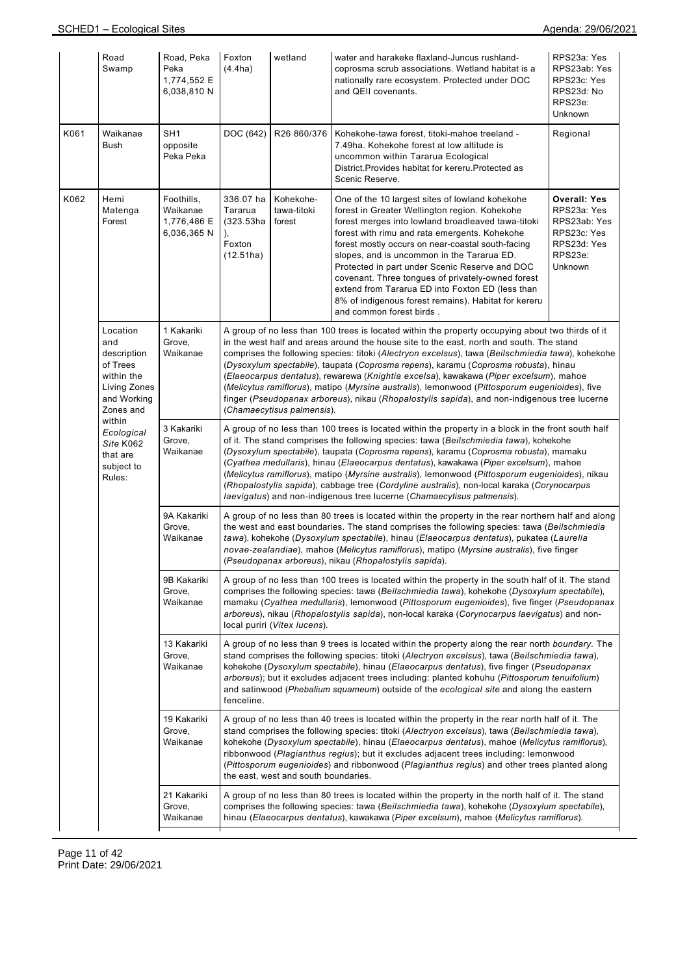|      | Road<br>Swamp                                                                                        | Road, Peka<br>Peka<br>1,774,552 E<br>6,038,810 N    | Foxton<br>(4.4ha)                                                                                                                                                                                                                                                                                                                                                                                                                                                                                                                                                                                                                                      | wetland                                                                                                                                                                                                                                                                                                                                                                                                                                                                                                                                                                                                                                                                                                           | water and harakeke flaxland-Juncus rushland-<br>coprosma scrub associations. Wetland habitat is a<br>nationally rare ecosystem. Protected under DOC<br>and QEII covenants.                                                                                                                                                                                                                                                                                                                                                                                | RPS23a: Yes<br>RPS23ab: Yes<br>RPS23c: Yes<br>RPS23d: No<br>RPS23e:<br><b>Unknown</b>                  |  |  |  |
|------|------------------------------------------------------------------------------------------------------|-----------------------------------------------------|--------------------------------------------------------------------------------------------------------------------------------------------------------------------------------------------------------------------------------------------------------------------------------------------------------------------------------------------------------------------------------------------------------------------------------------------------------------------------------------------------------------------------------------------------------------------------------------------------------------------------------------------------------|-------------------------------------------------------------------------------------------------------------------------------------------------------------------------------------------------------------------------------------------------------------------------------------------------------------------------------------------------------------------------------------------------------------------------------------------------------------------------------------------------------------------------------------------------------------------------------------------------------------------------------------------------------------------------------------------------------------------|-----------------------------------------------------------------------------------------------------------------------------------------------------------------------------------------------------------------------------------------------------------------------------------------------------------------------------------------------------------------------------------------------------------------------------------------------------------------------------------------------------------------------------------------------------------|--------------------------------------------------------------------------------------------------------|--|--|--|
| K061 | Waikanae<br><b>Bush</b>                                                                              | SH <sub>1</sub><br>opposite<br>Peka Peka            | DOC (642)                                                                                                                                                                                                                                                                                                                                                                                                                                                                                                                                                                                                                                              | R26 860/376                                                                                                                                                                                                                                                                                                                                                                                                                                                                                                                                                                                                                                                                                                       | Kohekohe-tawa forest, titoki-mahoe treeland -<br>7.49ha. Kohekohe forest at low altitude is<br>uncommon within Tararua Ecological<br>District. Provides habitat for kereru. Protected as<br>Scenic Reserve.                                                                                                                                                                                                                                                                                                                                               | Regional                                                                                               |  |  |  |
| K062 | Hemi<br>Matenga<br>Forest                                                                            | Foothills,<br>Waikanae<br>1,776,486 E<br>6,036,365N | 336.07 ha<br>Tararua<br>$(323.53)$ ha<br>Foxton<br>(12.51ha)                                                                                                                                                                                                                                                                                                                                                                                                                                                                                                                                                                                           | Kohekohe-<br>tawa-titoki<br>forest                                                                                                                                                                                                                                                                                                                                                                                                                                                                                                                                                                                                                                                                                | One of the 10 largest sites of lowland kohekohe<br>forest in Greater Wellington region. Kohekohe<br>forest merges into lowland broadleaved tawa-titoki<br>forest with rimu and rata emergents. Kohekohe<br>forest mostly occurs on near-coastal south-facing<br>slopes, and is uncommon in the Tararua ED.<br>Protected in part under Scenic Reserve and DOC<br>covenant. Three tongues of privately-owned forest<br>extend from Tararua ED into Foxton ED (less than<br>8% of indigenous forest remains). Habitat for kereru<br>and common forest birds. | <b>Overall: Yes</b><br>RPS23a: Yes<br>RPS23ab: Yes<br>RPS23c: Yes<br>RPS23d: Yes<br>RPS23e:<br>Unknown |  |  |  |
|      | Location<br>and<br>description<br>of Trees<br>within the<br>Living Zones<br>and Working<br>Zones and | 1 Kakariki<br>Grove,<br>Waikanae                    |                                                                                                                                                                                                                                                                                                                                                                                                                                                                                                                                                                                                                                                        | A group of no less than 100 trees is located within the property occupying about two thirds of it<br>in the west half and areas around the house site to the east, north and south. The stand<br>comprises the following species: titoki (Alectryon excelsus), tawa (Beilschmiedia tawa), kohekohe<br>(Dysoxylum spectabile), taupata (Coprosma repens), karamu (Coprosma robusta), hinau<br>(Elaeocarpus dentatus), rewarewa (Knightia excelsa), kawakawa (Piper excelsum), mahoe<br>(Melicytus ramiflorus), matipo (Myrsine australis), lemonwood (Pittosporum eugenioides), five<br>finger (Pseudopanax arboreus), nikau (Rhopalostylis sapida), and non-indigenous tree lucerne<br>(Chamaecytisus palmensis). |                                                                                                                                                                                                                                                                                                                                                                                                                                                                                                                                                           |                                                                                                        |  |  |  |
|      | within<br>Ecological<br>Site K062<br>that are<br>subject to<br>Rules:                                | 3 Kakariki<br>Grove,<br>Waikanae                    | A group of no less than 100 trees is located within the property in a block in the front south half<br>of it. The stand comprises the following species: tawa (Beilschmiedia tawa), kohekohe<br>(Dysoxylum spectabile), taupata (Coprosma repens), karamu (Coprosma robusta), mamaku<br>(Cyathea medullaris), hinau (Elaeocarpus dentatus), kawakawa (Piper excelsum), mahoe<br>(Melicytus ramiflorus), matipo (Myrsine australis), lemonwood (Pittosporum eugenioides), nikau<br>(Rhopalostylis sapida), cabbage tree (Cordyline australis), non-local karaka (Corynocarpus<br>laevigatus) and non-indigenous tree lucerne (Chamaecytisus palmensis). |                                                                                                                                                                                                                                                                                                                                                                                                                                                                                                                                                                                                                                                                                                                   |                                                                                                                                                                                                                                                                                                                                                                                                                                                                                                                                                           |                                                                                                        |  |  |  |
|      |                                                                                                      | 9A Kakariki<br>Grove,<br>Waikanae                   | A group of no less than 80 trees is located within the property in the rear northern half and along<br>the west and east boundaries. The stand comprises the following species: tawa (Beilschmiedia<br>tawa), kohekohe (Dysoxylum spectabile), hinau (Elaeocarpus dentatus), pukatea (Laurelia<br>novae-zealandiae), mahoe (Melicytus ramiflorus), matipo (Myrsine australis), five finger<br>(Pseudopanax arboreus), nikau (Rhopalostylis sapida).                                                                                                                                                                                                    |                                                                                                                                                                                                                                                                                                                                                                                                                                                                                                                                                                                                                                                                                                                   |                                                                                                                                                                                                                                                                                                                                                                                                                                                                                                                                                           |                                                                                                        |  |  |  |
|      |                                                                                                      | 9B Kakariki<br>Grove,<br>Waikanae                   | A group of no less than 100 trees is located within the property in the south half of it. The stand<br>comprises the following species: tawa (Beilschmiedia tawa), kohekohe (Dysoxylum spectabile),<br>mamaku (Cyathea medullaris), lemonwood (Pittosporum eugenioides), five finger (Pseudopanax<br>arboreus), nikau (Rhopalostylis sapida), non-local karaka (Corynocarpus laevigatus) and non-<br>local puriri (Vitex lucens).                                                                                                                                                                                                                      |                                                                                                                                                                                                                                                                                                                                                                                                                                                                                                                                                                                                                                                                                                                   |                                                                                                                                                                                                                                                                                                                                                                                                                                                                                                                                                           |                                                                                                        |  |  |  |
|      |                                                                                                      | 13 Kakariki<br>Grove,<br>Waikanae                   | A group of no less than 9 trees is located within the property along the rear north boundary. The<br>stand comprises the following species: titoki (Alectryon excelsus), tawa (Beilschmiedia tawa),<br>kohekohe (Dysoxylum spectabile), hinau (Elaeocarpus dentatus), five finger (Pseudopanax<br>arboreus); but it excludes adjacent trees including: planted kohuhu (Pittosporum tenuifolium)<br>and satinwood (Phebalium squameum) outside of the ecological site and along the eastern<br>fenceline.                                                                                                                                               |                                                                                                                                                                                                                                                                                                                                                                                                                                                                                                                                                                                                                                                                                                                   |                                                                                                                                                                                                                                                                                                                                                                                                                                                                                                                                                           |                                                                                                        |  |  |  |
|      |                                                                                                      | 19 Kakariki<br>Grove,<br>Waikanae                   |                                                                                                                                                                                                                                                                                                                                                                                                                                                                                                                                                                                                                                                        | the east, west and south boundaries.                                                                                                                                                                                                                                                                                                                                                                                                                                                                                                                                                                                                                                                                              | A group of no less than 40 trees is located within the property in the rear north half of it. The<br>stand comprises the following species: titoki (Alectryon excelsus), tawa (Beilschmiedia tawa),<br>kohekohe (Dysoxylum spectabile), hinau (Elaeocarpus dentatus), mahoe (Melicytus ramiflorus),<br>ribbonwood (Plagianthus regius); but it excludes adjacent trees including: lemonwood<br>(Pittosporum eugenioides) and ribbonwood (Plagianthus regius) and other trees planted along                                                                |                                                                                                        |  |  |  |
|      |                                                                                                      | 21 Kakariki<br>Grove,<br>Waikanae                   |                                                                                                                                                                                                                                                                                                                                                                                                                                                                                                                                                                                                                                                        |                                                                                                                                                                                                                                                                                                                                                                                                                                                                                                                                                                                                                                                                                                                   | A group of no less than 80 trees is located within the property in the north half of it. The stand<br>comprises the following species: tawa (Beilschmiedia tawa), kohekohe (Dysoxylum spectabile),<br>hinau (Elaeocarpus dentatus), kawakawa (Piper excelsum), mahoe (Melicytus ramiflorus).                                                                                                                                                                                                                                                              |                                                                                                        |  |  |  |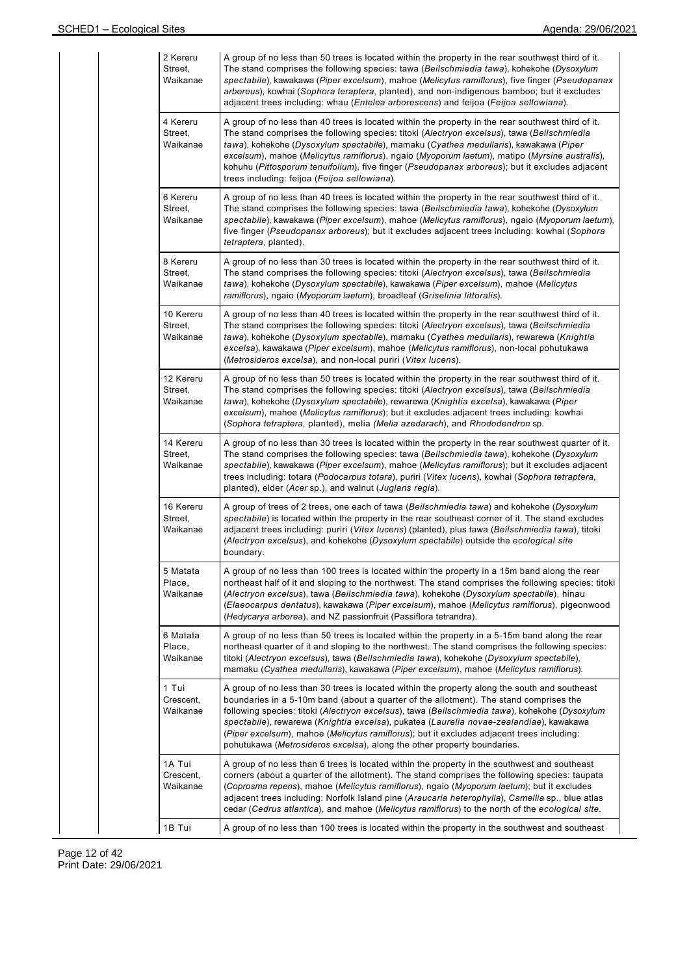| 2 Kereru<br>Street,<br>Waikanae  | A group of no less than 50 trees is located within the property in the rear southwest third of it.<br>The stand comprises the following species: tawa (Beilschmiedia tawa), kohekohe (Dysoxylum<br>spectabile), kawakawa (Piper excelsum), mahoe (Melicytus ramiflorus), five finger (Pseudopanax<br>arboreus), kowhai (Sophora teraptera, planted), and non-indigenous bamboo; but it excludes<br>adjacent trees including: whau ( <i>Entelea arborescens</i> ) and feijoa ( <i>Feijoa sellowiana</i> ).                                                    |
|----------------------------------|--------------------------------------------------------------------------------------------------------------------------------------------------------------------------------------------------------------------------------------------------------------------------------------------------------------------------------------------------------------------------------------------------------------------------------------------------------------------------------------------------------------------------------------------------------------|
| 4 Kereru<br>Street,<br>Waikanae  | A group of no less than 40 trees is located within the property in the rear southwest third of it.<br>The stand comprises the following species: titoki (Alectryon excelsus), tawa (Beilschmiedia<br>tawa), kohekohe (Dysoxylum spectabile), mamaku (Cyathea medullaris), kawakawa (Piper<br>excelsum), mahoe (Melicytus ramiflorus), ngaio (Myoporum laetum), matipo (Myrsine australis),<br>kohuhu (Pittosporum tenuifolium), five finger (Pseudopanax arboreus); but it excludes adjacent<br>trees including: feijoa (Feijoa sellowiana).                 |
| 6 Kereru<br>Street.<br>Waikanae  | A group of no less than 40 trees is located within the property in the rear southwest third of it.<br>The stand comprises the following species: tawa (Beilschmiedia tawa), kohekohe (Dysoxylum<br>spectabile), kawakawa (Piper excelsum), mahoe (Melicytus ramiflorus), ngaio (Myoporum laetum),<br>five finger (Pseudopanax arboreus); but it excludes adjacent trees including: kowhai (Sophora<br><i>tetraptera</i> , planted).                                                                                                                          |
| 8 Kereru<br>Street,<br>Waikanae  | A group of no less than 30 trees is located within the property in the rear southwest third of it.<br>The stand comprises the following species: titoki (Alectryon excelsus), tawa (Beilschmiedia<br>tawa), kohekohe (Dysoxylum spectabile), kawakawa (Piper excelsum), mahoe (Melicytus<br>ramiflorus), ngaio (Myoporum laetum), broadleaf (Griselinia littoralis).                                                                                                                                                                                         |
| 10 Kereru<br>Street,<br>Waikanae | A group of no less than 40 trees is located within the property in the rear southwest third of it.<br>The stand comprises the following species: titoki (Alectryon excelsus), tawa (Beilschmiedia<br>tawa), kohekohe (Dysoxylum spectabile), mamaku (Cyathea medullaris), rewarewa (Knightia<br>excelsa), kawakawa (Piper excelsum), mahoe (Melicytus ramiflorus), non-local pohutukawa<br>(Metrosideros excelsa), and non-local puriri (Vitex lucens).                                                                                                      |
| 12 Kereru<br>Street,<br>Waikanae | A group of no less than 50 trees is located within the property in the rear southwest third of it.<br>The stand comprises the following species: titoki (Alectryon excelsus), tawa (Beilschmiedia<br>tawa), kohekohe (Dysoxylum spectabile), rewarewa (Knightia excelsa), kawakawa (Piper<br>excelsum), mahoe (Melicytus ramiflorus); but it excludes adjacent trees including: kowhai<br>(Sophora tetraptera, planted), melia (Melia azedarach), and Rhododendron sp.                                                                                       |
| 14 Kereru<br>Street,<br>Waikanae | A group of no less than 30 trees is located within the property in the rear southwest quarter of it.<br>The stand comprises the following species: tawa (Beilschmiedia tawa), kohekohe (Dysoxylum<br>spectabile), kawakawa (Piper excelsum), mahoe (Melicytus ramiflorus); but it excludes adjacent<br>trees including: totara (Podocarpus totara), puriri (Vitex lucens), kowhai (Sophora tetraptera,<br>planted), elder (Acer sp.), and walnut (Juglans regia).                                                                                            |
| 16 Kereru<br>Street.<br>Waikanae | A group of trees of 2 trees, one each of tawa (Beilschmiedia tawa) and kohekohe (Dysoxylum<br>spectabile) is located within the property in the rear southeast corner of it. The stand excludes<br>adjacent trees including: puriri (Vitex lucens) (planted), plus tawa (Beilschmiedia tawa), titoki<br>(Alectryon excelsus), and kohekohe (Dysoxylum spectabile) outside the ecological site<br>boundary.                                                                                                                                                   |
| 5 Matata<br>Place,<br>Waikanae   | A group of no less than 100 trees is located within the property in a 15m band along the rear<br>northeast half of it and sloping to the northwest. The stand comprises the following species: titoki<br>(Alectryon excelsus), tawa (Beilschmiedia tawa), kohekohe (Dysoxylum spectabile), hinau<br>(Elaeocarpus dentatus), kawakawa (Piper excelsum), mahoe (Melicytus ramiflorus), pigeonwood<br>(Hedycarya arborea), and NZ passionfruit (Passiflora tetrandra).                                                                                          |
| 6 Matata<br>Place,<br>Waikanae   | A group of no less than 50 trees is located within the property in a 5-15m band along the rear<br>northeast quarter of it and sloping to the northwest. The stand comprises the following species:<br>titoki (Alectryon excelsus), tawa (Beilschmiedia tawa), kohekohe (Dysoxylum spectabile),<br>mamaku (Cyathea medullaris), kawakawa (Piper excelsum), mahoe (Melicytus ramiflorus).                                                                                                                                                                      |
| 1 Tui<br>Crescent,<br>Waikanae   | A group of no less than 30 trees is located within the property along the south and southeast<br>boundaries in a 5-10m band (about a quarter of the allotment). The stand comprises the<br>following species: titoki (Alectryon excelsus), tawa (Beilschmiedia tawa), kohekohe (Dysoxylum<br>spectabile), rewarewa (Knightia excelsa), pukatea (Laurelia novae-zealandiae), kawakawa<br>(Piper excelsum), mahoe (Melicytus ramiflorus); but it excludes adjacent trees including:<br>pohutukawa (Metrosideros excelsa), along the other property boundaries. |
| 1A Tui<br>Crescent,<br>Waikanae  | A group of no less than 6 trees is located within the property in the southwest and southeast<br>corners (about a quarter of the allotment). The stand comprises the following species: taupata<br>(Coprosma repens), mahoe (Melicytus ramiflorus), ngaio (Myoporum laetum); but it excludes<br>adjacent trees including: Norfolk Island pine (Araucaria heterophylla), Camellia sp., blue atlas<br>cedar (Cedrus atlantica), and mahoe (Melicytus ramiflorus) to the north of the ecological site.                                                          |
| 1B Tui                           | A group of no less than 100 trees is located within the property in the southwest and southeast                                                                                                                                                                                                                                                                                                                                                                                                                                                              |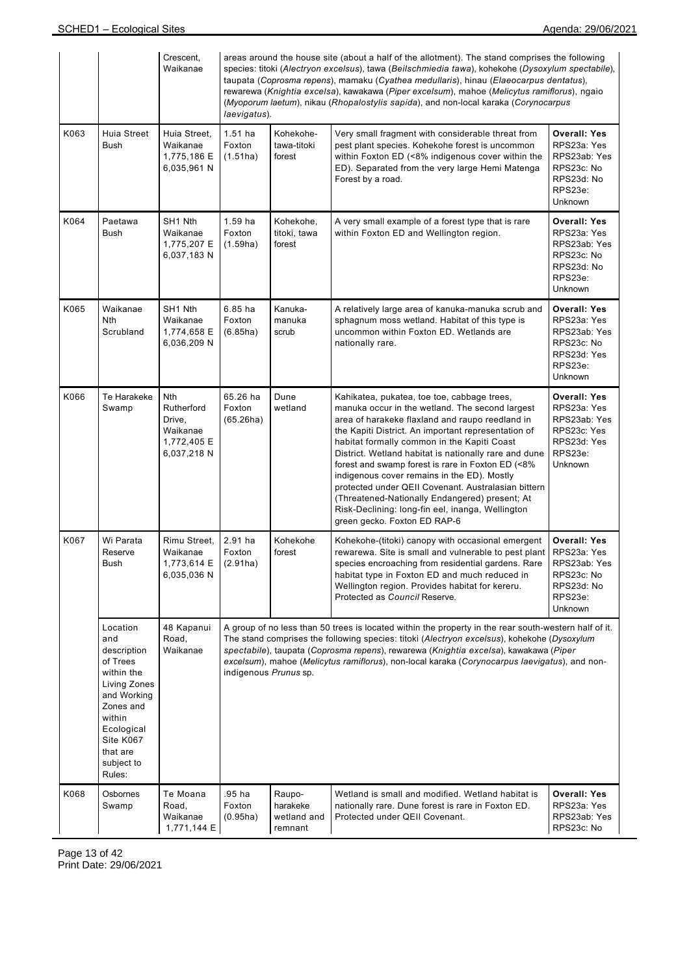|      |                                                                                                                                                                               | Crescent,<br>Waikanae                                                 | areas around the house site (about a half of the allotment). The stand comprises the following<br>species: titoki (Alectryon excelsus), tawa (Beilschmiedia tawa), kohekohe (Dysoxylum spectabile),<br>taupata (Coprosma repens), mamaku (Cyathea medullaris), hinau (Elaeocarpus dentatus),<br>rewarewa (Knightia excelsa), kawakawa (Piper excelsum), mahoe (Melicytus ramiflorus), ngaio<br>(Myoporum laetum), nikau (Rhopalostylis sapida), and non-local karaka (Corynocarpus<br>laevigatus). |                                              |                                                                                                                                                                                                                                                                                                                                                                                                                                                                                                                                                                                                                   |                                                                                                        |  |  |  |
|------|-------------------------------------------------------------------------------------------------------------------------------------------------------------------------------|-----------------------------------------------------------------------|----------------------------------------------------------------------------------------------------------------------------------------------------------------------------------------------------------------------------------------------------------------------------------------------------------------------------------------------------------------------------------------------------------------------------------------------------------------------------------------------------|----------------------------------------------|-------------------------------------------------------------------------------------------------------------------------------------------------------------------------------------------------------------------------------------------------------------------------------------------------------------------------------------------------------------------------------------------------------------------------------------------------------------------------------------------------------------------------------------------------------------------------------------------------------------------|--------------------------------------------------------------------------------------------------------|--|--|--|
| K063 | Huia Street<br><b>Bush</b>                                                                                                                                                    | Huia Street,<br>Waikanae<br>1,775,186 E<br>6,035,961 N                | $1.51$ ha<br>Foxton<br>(1.51ha)                                                                                                                                                                                                                                                                                                                                                                                                                                                                    | Kohekohe-<br>tawa-titoki<br>forest           | Very small fragment with considerable threat from<br>pest plant species. Kohekohe forest is uncommon<br>within Foxton ED (<8% indigenous cover within the<br>ED). Separated from the very large Hemi Matenga<br>Forest by a road.                                                                                                                                                                                                                                                                                                                                                                                 | <b>Overall: Yes</b><br>RPS23a: Yes<br>RPS23ab: Yes<br>RPS23c: No<br>RPS23d: No<br>RPS23e:<br>Unknown   |  |  |  |
| K064 | Paetawa<br><b>Bush</b>                                                                                                                                                        | SH1 Nth<br>Waikanae<br>1,775,207 E<br>6,037,183 N                     | 1.59 ha<br>Foxton<br>(1.59ha)                                                                                                                                                                                                                                                                                                                                                                                                                                                                      | Kohekohe,<br>titoki, tawa<br>forest          | A very small example of a forest type that is rare<br>within Foxton ED and Wellington region.                                                                                                                                                                                                                                                                                                                                                                                                                                                                                                                     | <b>Overall: Yes</b><br>RPS23a: Yes<br>RPS23ab: Yes<br>RPS23c: No<br>RPS23d: No<br>RPS23e:<br>Unknown   |  |  |  |
| K065 | Waikanae<br><b>Nth</b><br>Scrubland                                                                                                                                           | SH1 Nth<br>Waikanae<br>1,774,658 E<br>6,036,209 N                     | $6.85$ ha<br>Foxton<br>(6.85ha)                                                                                                                                                                                                                                                                                                                                                                                                                                                                    | Kanuka-<br>manuka<br>scrub                   | A relatively large area of kanuka-manuka scrub and<br>sphagnum moss wetland. Habitat of this type is<br>uncommon within Foxton ED. Wetlands are<br>nationally rare.                                                                                                                                                                                                                                                                                                                                                                                                                                               | Overall: Yes<br>RPS23a: Yes<br>RPS23ab: Yes<br>RPS23c: No<br>RPS23d: Yes<br>RPS23e:<br><b>Unknown</b>  |  |  |  |
| K066 | Te Harakeke<br>Swamp                                                                                                                                                          | Nth<br>Rutherford<br>Drive,<br>Waikanae<br>1,772,405 E<br>6,037,218 N | 65.26 ha<br>Foxton<br>(65.26ha)                                                                                                                                                                                                                                                                                                                                                                                                                                                                    | Dune<br>wetland                              | Kahikatea, pukatea, toe toe, cabbage trees,<br>manuka occur in the wetland. The second largest<br>area of harakeke flaxland and raupo reedland in<br>the Kapiti District. An important representation of<br>habitat formally common in the Kapiti Coast<br>District. Wetland habitat is nationally rare and dune<br>forest and swamp forest is rare in Foxton ED (<8%<br>indigenous cover remains in the ED). Mostly<br>protected under QEII Covenant. Australasian bittern<br>(Threatened-Nationally Endangered) present; At<br>Risk-Declining: long-fin eel, inanga, Wellington<br>green gecko. Foxton ED RAP-6 | <b>Overall: Yes</b><br>RPS23a: Yes<br>RPS23ab: Yes<br>RPS23c: Yes<br>RPS23d: Yes<br>RPS23e:<br>Unknown |  |  |  |
| K067 | Wi Parata<br>Reserve<br>Bush                                                                                                                                                  | Rimu Street,<br>Waikanae<br>1,773,614 E<br>6,035,036 N                | 2.91 ha<br>Foxton<br>(2.91ha)                                                                                                                                                                                                                                                                                                                                                                                                                                                                      | Kohekohe<br>forest                           | Kohekohe-(titoki) canopy with occasional emergent<br>rewarewa. Site is small and vulnerable to pest plant<br>species encroaching from residential gardens. Rare<br>habitat type in Foxton ED and much reduced in<br>Wellington region. Provides habitat for kereru.<br>Protected as Council Reserve.                                                                                                                                                                                                                                                                                                              | <b>Overall: Yes</b><br>RPS23a: Yes<br>RPS23ab: Yes<br>RPS23c: No<br>RPS23d: No<br>RPS23e:<br>Unknown   |  |  |  |
|      | Location<br>and<br>description<br>of Trees<br>within the<br>Living Zones<br>and Working<br>Zones and<br>within<br>Ecological<br>Site K067<br>that are<br>subject to<br>Rules: | 48 Kapanui<br>Road,<br>Waikanae                                       | A group of no less than 50 trees is located within the property in the rear south-western half of it.<br>The stand comprises the following species: titoki (Alectryon excelsus), kohekohe (Dysoxylum<br>spectabile), taupata (Coprosma repens), rewarewa (Knightia excelsa), kawakawa (Piper<br>excelsum), mahoe (Melicytus ramiflorus), non-local karaka (Corynocarpus laevigatus), and non-<br>indigenous Prunus sp.                                                                             |                                              |                                                                                                                                                                                                                                                                                                                                                                                                                                                                                                                                                                                                                   |                                                                                                        |  |  |  |
| K068 | Osbornes<br>Swamp                                                                                                                                                             | Te Moana<br>Road,<br>Waikanae<br>1,771,144 E                          | .95 ha<br>Foxton<br>(0.95ha)                                                                                                                                                                                                                                                                                                                                                                                                                                                                       | Raupo-<br>harakeke<br>wetland and<br>remnant | Wetland is small and modified. Wetland habitat is<br>nationally rare. Dune forest is rare in Foxton ED.<br>Protected under QEII Covenant.                                                                                                                                                                                                                                                                                                                                                                                                                                                                         | <b>Overall: Yes</b><br>RPS23a: Yes<br>RPS23ab: Yes<br>RPS23c: No                                       |  |  |  |

Page 13 of 42 Print Date: 29/06/2021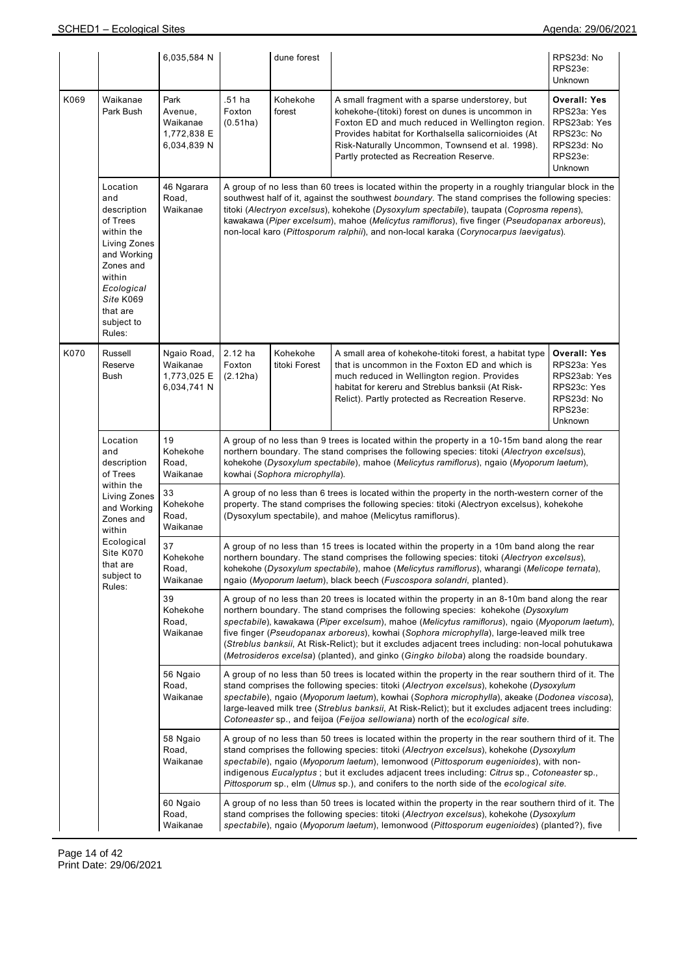|      |                                                                                                                                                                               | 6,035,584 N                                               |                               | dune forest                                                                                                                                                                                                                                                                                                                                                                                                                                                                                                                                                                          |                                                                                                                                                                                                                                                                                                                                                                                                                                                                                            | RPS23d: No<br>RPS23e:<br>Unknown                                                                            |  |  |  |  |
|------|-------------------------------------------------------------------------------------------------------------------------------------------------------------------------------|-----------------------------------------------------------|-------------------------------|--------------------------------------------------------------------------------------------------------------------------------------------------------------------------------------------------------------------------------------------------------------------------------------------------------------------------------------------------------------------------------------------------------------------------------------------------------------------------------------------------------------------------------------------------------------------------------------|--------------------------------------------------------------------------------------------------------------------------------------------------------------------------------------------------------------------------------------------------------------------------------------------------------------------------------------------------------------------------------------------------------------------------------------------------------------------------------------------|-------------------------------------------------------------------------------------------------------------|--|--|--|--|
| K069 | Waikanae<br>Park Bush                                                                                                                                                         | Park<br>Avenue,<br>Waikanae<br>1,772,838 E<br>6,034,839 N | .51 ha<br>Foxton<br>(0.51ha)  | Kohekohe<br>forest                                                                                                                                                                                                                                                                                                                                                                                                                                                                                                                                                                   | A small fragment with a sparse understorey, but<br>kohekohe-(titoki) forest on dunes is uncommon in<br>Foxton ED and much reduced in Wellington region.<br>Provides habitat for Korthalsella salicornioides (At<br>Risk-Naturally Uncommon, Townsend et al. 1998).<br>Partly protected as Recreation Reserve.                                                                                                                                                                              | <b>Overall: Yes</b><br>RPS23a: Yes<br>RPS23ab: Yes<br>RPS23c: No<br>RPS23d: No<br>RPS23e:<br><b>Unknown</b> |  |  |  |  |
|      | Location<br>and<br>description<br>of Trees<br>within the<br>Living Zones<br>and Working<br>Zones and<br>within<br>Ecological<br>Site K069<br>that are<br>subject to<br>Rules: | 46 Ngarara<br>Road,<br>Waikanae                           |                               | A group of no less than 60 trees is located within the property in a roughly triangular block in the<br>southwest half of it, against the southwest <i>boundary</i> . The stand comprises the following species:<br>titoki (Alectryon excelsus), kohekohe (Dysoxylum spectabile), taupata (Coprosma repens),<br>kawakawa (Piper excelsum), mahoe (Melicytus ramiflorus), five finger (Pseudopanax arboreus),<br>non-local karo (Pittosporum ralphii), and non-local karaka (Corynocarpus laevigatus).                                                                                |                                                                                                                                                                                                                                                                                                                                                                                                                                                                                            |                                                                                                             |  |  |  |  |
| K070 | Russell<br>Reserve<br><b>Bush</b>                                                                                                                                             | Ngaio Road,<br>Waikanae<br>1,773,025 E<br>6,034,741 N     | 2.12 ha<br>Foxton<br>(2.12ha) | Kohekohe<br>titoki Forest                                                                                                                                                                                                                                                                                                                                                                                                                                                                                                                                                            | A small area of kohekohe-titoki forest, a habitat type<br>that is uncommon in the Foxton ED and which is<br>much reduced in Wellington region. Provides<br>habitat for kereru and Streblus banksii (At Risk-<br>Relict). Partly protected as Recreation Reserve.                                                                                                                                                                                                                           | <b>Overall: Yes</b><br>RPS23a: Yes<br>RPS23ab: Yes<br>RPS23c: Yes<br>RPS23d: No<br>RPS23e:<br>Unknown       |  |  |  |  |
|      | Location<br>and<br>description<br>of Trees                                                                                                                                    | 19<br>Kohekohe<br>Road,<br>Waikanae                       |                               | A group of no less than 9 trees is located within the property in a 10-15m band along the rear<br>northern boundary. The stand comprises the following species: titoki (Alectryon excelsus),<br>kohekohe (Dysoxylum spectabile), mahoe (Melicytus ramiflorus), ngaio (Myoporum laetum),<br>kowhai (Sophora microphylla).                                                                                                                                                                                                                                                             |                                                                                                                                                                                                                                                                                                                                                                                                                                                                                            |                                                                                                             |  |  |  |  |
|      | within the<br>Living Zones<br>and Working<br>Zones and<br>within                                                                                                              | 33<br>Kohekohe<br>Road,<br>Waikanae                       |                               | A group of no less than 6 trees is located within the property in the north-western corner of the<br>property. The stand comprises the following species: titoki (Alectryon excelsus), kohekohe<br>(Dysoxylum spectabile), and mahoe (Melicytus ramiflorus).                                                                                                                                                                                                                                                                                                                         |                                                                                                                                                                                                                                                                                                                                                                                                                                                                                            |                                                                                                             |  |  |  |  |
|      | Ecological<br>Site K070<br>that are<br>subject to<br>Rules:                                                                                                                   | 37<br>Kohekohe<br>Road,<br>Waikanae                       |                               | A group of no less than 15 trees is located within the property in a 10m band along the rear<br>northern boundary. The stand comprises the following species: titoki (Alectryon excelsus),<br>kohekohe (Dysoxylum spectabile), mahoe (Melicytus ramiflorus), wharangi (Melicope ternata),<br>ngaio (Myoporum laetum), black beech (Fuscospora solandri, planted).                                                                                                                                                                                                                    |                                                                                                                                                                                                                                                                                                                                                                                                                                                                                            |                                                                                                             |  |  |  |  |
|      |                                                                                                                                                                               | 39<br>Kohekohe<br>Road,<br>Waikanae                       |                               | A group of no less than 20 trees is located within the property in an 8-10m band along the rear<br>northern boundary. The stand comprises the following species: kohekohe (Dysoxylum<br>spectabile), kawakawa (Piper excelsum), mahoe (Melicytus ramiflorus), ngaio (Myoporum laetum),<br>five finger (Pseudopanax arboreus), kowhai (Sophora microphylla), large-leaved milk tree<br>(Streblus banksii, At Risk-Relict); but it excludes adjacent trees including: non-local pohutukawa<br>(Metrosideros excelsa) (planted), and ginko (Gingko biloba) along the roadside boundary. |                                                                                                                                                                                                                                                                                                                                                                                                                                                                                            |                                                                                                             |  |  |  |  |
|      |                                                                                                                                                                               | 56 Ngaio<br>Road,<br>Waikanae                             |                               |                                                                                                                                                                                                                                                                                                                                                                                                                                                                                                                                                                                      | A group of no less than 50 trees is located within the property in the rear southern third of it. The<br>stand comprises the following species: titoki (Alectryon excelsus), kohekohe (Dysoxylum<br>spectabile), ngaio (Myoporum laetum), kowhai (Sophora microphylla), akeake (Dodonea viscosa),<br>large-leaved milk tree (Streblus banksii, At Risk-Relict); but it excludes adjacent trees including:<br>Cotoneaster sp., and feijoa (Feijoa sellowiana) north of the ecological site. |                                                                                                             |  |  |  |  |
|      |                                                                                                                                                                               | 58 Ngaio<br>Road,<br>Waikanae                             |                               |                                                                                                                                                                                                                                                                                                                                                                                                                                                                                                                                                                                      | A group of no less than 50 trees is located within the property in the rear southern third of it. The<br>stand comprises the following species: titoki (Alectryon excelsus), kohekohe (Dysoxylum<br>spectabile), ngaio (Myoporum laetum), lemonwood (Pittosporum eugenioides), with non-<br>indigenous Eucalyptus; but it excludes adjacent trees including: Citrus sp., Cotoneaster sp.,<br>Pittosporum sp., elm (Ulmus sp.), and conifers to the north side of the ecological site.      |                                                                                                             |  |  |  |  |
|      |                                                                                                                                                                               | 60 Ngaio<br>Road,<br>Waikanae                             |                               |                                                                                                                                                                                                                                                                                                                                                                                                                                                                                                                                                                                      | A group of no less than 50 trees is located within the property in the rear southern third of it. The<br>stand comprises the following species: titoki (Alectryon excelsus), kohekohe (Dysoxylum<br>spectabile), ngaio (Myoporum laetum), lemonwood (Pittosporum eugenioides) (planted?), five                                                                                                                                                                                             |                                                                                                             |  |  |  |  |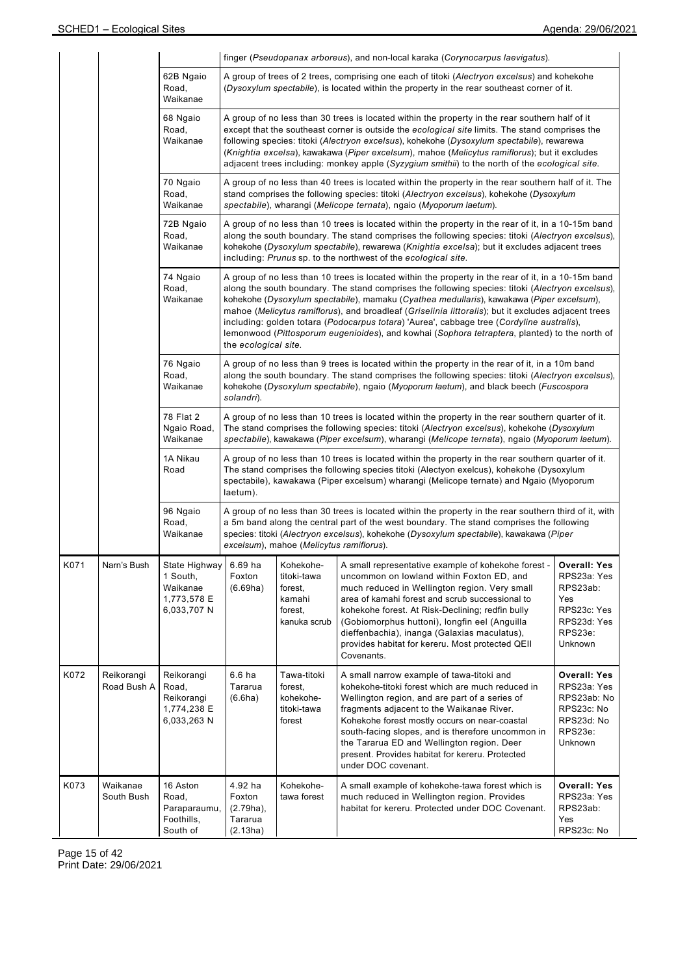|      |                           |                                                                             |                                                                                                                                                                                                                                                                                                                                                                                                                                                                                                   |                                                                                                                                                                                                                                                                                                                                                                                                                                                                                                                                                                                                                                   | finger (Pseudopanax arboreus), and non-local karaka (Corynocarpus laevigatus).                                                                                                                                                                                                                                                                                                                                              |                                                                                                           |  |  |  |  |  |
|------|---------------------------|-----------------------------------------------------------------------------|---------------------------------------------------------------------------------------------------------------------------------------------------------------------------------------------------------------------------------------------------------------------------------------------------------------------------------------------------------------------------------------------------------------------------------------------------------------------------------------------------|-----------------------------------------------------------------------------------------------------------------------------------------------------------------------------------------------------------------------------------------------------------------------------------------------------------------------------------------------------------------------------------------------------------------------------------------------------------------------------------------------------------------------------------------------------------------------------------------------------------------------------------|-----------------------------------------------------------------------------------------------------------------------------------------------------------------------------------------------------------------------------------------------------------------------------------------------------------------------------------------------------------------------------------------------------------------------------|-----------------------------------------------------------------------------------------------------------|--|--|--|--|--|
|      |                           | 62B Ngaio<br>Road.<br>Waikanae                                              |                                                                                                                                                                                                                                                                                                                                                                                                                                                                                                   |                                                                                                                                                                                                                                                                                                                                                                                                                                                                                                                                                                                                                                   | A group of trees of 2 trees, comprising one each of titoki (Alectryon excelsus) and kohekohe<br>(Dysoxylum spectabile), is located within the property in the rear southeast corner of it.                                                                                                                                                                                                                                  |                                                                                                           |  |  |  |  |  |
|      |                           | 68 Ngaio<br>Road,<br>Waikanae                                               | A group of no less than 30 trees is located within the property in the rear southern half of it<br>except that the southeast corner is outside the ecological site limits. The stand comprises the<br>following species: titoki (Alectryon excelsus), kohekohe (Dysoxylum spectabile), rewarewa<br>(Knightia excelsa), kawakawa (Piper excelsum), mahoe (Melicytus ramiflorus); but it excludes<br>adjacent trees including: monkey apple (Syzygium smithii) to the north of the ecological site. |                                                                                                                                                                                                                                                                                                                                                                                                                                                                                                                                                                                                                                   |                                                                                                                                                                                                                                                                                                                                                                                                                             |                                                                                                           |  |  |  |  |  |
|      |                           | 70 Ngaio<br>Road,<br>Waikanae                                               | A group of no less than 40 trees is located within the property in the rear southern half of it. The<br>stand comprises the following species: titoki (Alectryon excelsus), kohekohe (Dysoxylum<br>spectabile), wharangi (Melicope ternata), ngaio (Myoporum laetum).                                                                                                                                                                                                                             |                                                                                                                                                                                                                                                                                                                                                                                                                                                                                                                                                                                                                                   |                                                                                                                                                                                                                                                                                                                                                                                                                             |                                                                                                           |  |  |  |  |  |
|      |                           | 72B Ngaio<br>Road,<br>Waikanae                                              | A group of no less than 10 trees is located within the property in the rear of it, in a 10-15m band<br>along the south boundary. The stand comprises the following species: titoki (Alectryon excelsus),<br>kohekohe (Dysoxylum spectabile), rewarewa (Knightia excelsa); but it excludes adjacent trees<br>including: Prunus sp. to the northwest of the ecological site.                                                                                                                        |                                                                                                                                                                                                                                                                                                                                                                                                                                                                                                                                                                                                                                   |                                                                                                                                                                                                                                                                                                                                                                                                                             |                                                                                                           |  |  |  |  |  |
|      |                           | 74 Ngaio<br>Road,<br>Waikanae                                               |                                                                                                                                                                                                                                                                                                                                                                                                                                                                                                   | A group of no less than 10 trees is located within the property in the rear of it, in a 10-15m band<br>along the south boundary. The stand comprises the following species: titoki (Alectryon excelsus),<br>kohekohe (Dysoxylum spectabile), mamaku (Cyathea medullaris), kawakawa (Piper excelsum),<br>mahoe (Melicytus ramiflorus), and broadleaf (Griselinia littoralis); but it excludes adjacent trees<br>including: golden totara (Podocarpus totara) 'Aurea', cabbage tree (Cordyline australis),<br>lemonwood (Pittosporum eugenioides), and kowhai (Sophora tetraptera, planted) to the north of<br>the ecological site. |                                                                                                                                                                                                                                                                                                                                                                                                                             |                                                                                                           |  |  |  |  |  |
|      |                           | 76 Ngaio<br>Road,<br>Waikanae                                               | A group of no less than 9 trees is located within the property in the rear of it, in a 10m band<br>along the south boundary. The stand comprises the following species: titoki (Alectryon excelsus),<br>kohekohe (Dysoxylum spectabile), ngaio (Myoporum laetum), and black beech (Fuscospora<br>solandri).                                                                                                                                                                                       |                                                                                                                                                                                                                                                                                                                                                                                                                                                                                                                                                                                                                                   |                                                                                                                                                                                                                                                                                                                                                                                                                             |                                                                                                           |  |  |  |  |  |
|      |                           | 78 Flat 2<br>Ngaio Road,<br>Waikanae                                        | A group of no less than 10 trees is located within the property in the rear southern quarter of it.<br>The stand comprises the following species: titoki (Alectryon excelsus), kohekohe (Dysoxylum<br>spectabile), kawakawa (Piper excelsum), wharangi (Melicope ternata), ngaio (Myoporum laetum).                                                                                                                                                                                               |                                                                                                                                                                                                                                                                                                                                                                                                                                                                                                                                                                                                                                   |                                                                                                                                                                                                                                                                                                                                                                                                                             |                                                                                                           |  |  |  |  |  |
|      |                           | 1A Nikau<br>Road                                                            | laetum).                                                                                                                                                                                                                                                                                                                                                                                                                                                                                          |                                                                                                                                                                                                                                                                                                                                                                                                                                                                                                                                                                                                                                   | A group of no less than 10 trees is located within the property in the rear southern quarter of it.<br>The stand comprises the following species titoki (Alectyon exelcus), kohekohe (Dysoxylum<br>spectabile), kawakawa (Piper excelsum) wharangi (Melicope ternate) and Ngaio (Myoporum                                                                                                                                   |                                                                                                           |  |  |  |  |  |
|      |                           | 96 Ngaio<br>Road,<br>Waikanae                                               |                                                                                                                                                                                                                                                                                                                                                                                                                                                                                                   | A group of no less than 30 trees is located within the property in the rear southern third of it, with<br>a 5m band along the central part of the west boundary. The stand comprises the following<br>species: titoki (Alectryon excelsus), kohekohe (Dysoxylum spectabile), kawakawa (Piper<br>excelsum), mahoe (Melicytus ramiflorus).                                                                                                                                                                                                                                                                                          |                                                                                                                                                                                                                                                                                                                                                                                                                             |                                                                                                           |  |  |  |  |  |
| K071 | Narn's Bush               | State Highway 6.69 ha<br>1 South,<br>Waikanae<br>1,773,578 E<br>6,033,707 N | Foxton<br>(6.69ha)                                                                                                                                                                                                                                                                                                                                                                                                                                                                                | Kohekohe-<br>titoki-tawa<br>forest,<br>kamahi<br>forest,<br>kanuka scrub                                                                                                                                                                                                                                                                                                                                                                                                                                                                                                                                                          | A small representative example of kohekohe forest -<br>uncommon on lowland within Foxton ED, and<br>much reduced in Wellington region. Very small<br>area of kamahi forest and scrub successional to<br>kohekohe forest. At Risk-Declining; redfin bully<br>(Gobiomorphus huttoni), longfin eel (Anguilla<br>dieffenbachia), inanga (Galaxias maculatus),<br>provides habitat for kereru. Most protected QEII<br>Covenants. | <b>Overall: Yes</b><br>RPS23a: Yes<br>RPS23ab:<br>Yes<br>RPS23c: Yes<br>RPS23d: Yes<br>RPS23e:<br>Unknown |  |  |  |  |  |
| K072 | Reikorangi<br>Road Bush A | Reikorangi<br>Road,<br>Reikorangi<br>1,774,238 E<br>6,033,263 N             | 6.6 <sub>ha</sub><br>Tararua<br>(6.6ha)                                                                                                                                                                                                                                                                                                                                                                                                                                                           | Tawa-titoki<br>forest,<br>kohekohe-<br>titoki-tawa<br>forest                                                                                                                                                                                                                                                                                                                                                                                                                                                                                                                                                                      | A small narrow example of tawa-titoki and<br>kohekohe-titoki forest which are much reduced in<br>Wellington region, and are part of a series of<br>fragments adjacent to the Waikanae River.<br>Kohekohe forest mostly occurs on near-coastal<br>south-facing slopes, and is therefore uncommon in<br>the Tararua ED and Wellington region. Deer<br>present. Provides habitat for kereru. Protected<br>under DOC covenant.  | <b>Overall: Yes</b><br>RPS23a: Yes<br>RPS23ab: No<br>RPS23c: No<br>RPS23d: No<br>RPS23e:<br>Unknown       |  |  |  |  |  |
| K073 | Waikanae<br>South Bush    | 16 Aston<br>Road,<br>Paraparaumu,<br>Foothills,<br>South of                 | 4.92 ha<br>Foxton<br>$(2.79ha)$ ,<br>Tararua<br>(2.13ha)                                                                                                                                                                                                                                                                                                                                                                                                                                          | Kohekohe-<br>tawa forest                                                                                                                                                                                                                                                                                                                                                                                                                                                                                                                                                                                                          | A small example of kohekohe-tawa forest which is<br>much reduced in Wellington region. Provides<br>habitat for kereru. Protected under DOC Covenant.                                                                                                                                                                                                                                                                        | <b>Overall: Yes</b><br>RPS23a: Yes<br>RPS23ab:<br>Yes<br>RPS23c: No                                       |  |  |  |  |  |

Page 15 of 42 Print Date: 29/06/2021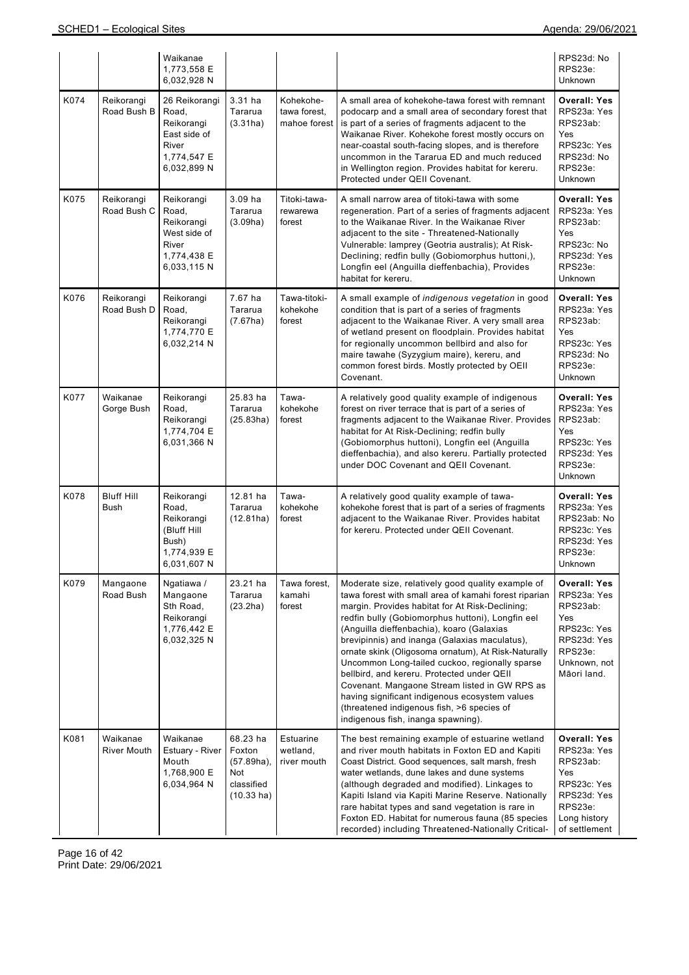|      |                                  | Waikanae<br>1,773,558 E<br>6,032,928 N                                                      |                                                                        |                                           |                                                                                                                                                                                                                                                                                                                                                                                                                                                                                                                                                                                                                                                               | RPS23d: No<br>RPS23e:<br>Unknown                                                                                                |
|------|----------------------------------|---------------------------------------------------------------------------------------------|------------------------------------------------------------------------|-------------------------------------------|---------------------------------------------------------------------------------------------------------------------------------------------------------------------------------------------------------------------------------------------------------------------------------------------------------------------------------------------------------------------------------------------------------------------------------------------------------------------------------------------------------------------------------------------------------------------------------------------------------------------------------------------------------------|---------------------------------------------------------------------------------------------------------------------------------|
| K074 | Reikorangi<br>Road Bush B        | 26 Reikorangi<br>Road,<br>Reikorangi<br>East side of<br>River<br>1,774,547 E<br>6,032,899 N | 3.31 ha<br>Tararua<br>(3.31ha)                                         | Kohekohe-<br>tawa forest,<br>mahoe forest | A small area of kohekohe-tawa forest with remnant<br>podocarp and a small area of secondary forest that<br>is part of a series of fragments adjacent to the<br>Waikanae River. Kohekohe forest mostly occurs on<br>near-coastal south-facing slopes, and is therefore<br>uncommon in the Tararua ED and much reduced<br>in Wellington region. Provides habitat for kereru.<br>Protected under QEII Covenant.                                                                                                                                                                                                                                                  | <b>Overall: Yes</b><br>RPS23a: Yes<br>RPS23ab:<br>Yes<br>RPS23c: Yes<br>RPS23d: No<br>RPS23e:<br>Unknown                        |
| K075 | Reikorangi<br>Road Bush C        | Reikorangi<br>Road,<br>Reikorangi<br>West side of<br>River<br>1,774,438 E<br>6,033,115 N    | $3.09$ ha<br>Tararua<br>(3.09ha)                                       | Titoki-tawa-<br>rewarewa<br>forest        | A small narrow area of titoki-tawa with some<br>regeneration. Part of a series of fragments adjacent<br>to the Waikanae River. In the Waikanae River<br>adjacent to the site - Threatened-Nationally<br>Vulnerable: lamprey (Geotria australis); At Risk-<br>Declining; redfin bully (Gobiomorphus huttoni,),<br>Longfin eel (Anguilla dieffenbachia), Provides<br>habitat for kereru.                                                                                                                                                                                                                                                                        | <b>Overall: Yes</b><br>RPS23a: Yes<br>RPS23ab:<br>Yes<br>RPS23c: No<br>RPS23d: Yes<br>RPS23e:<br>Unknown                        |
| K076 | Reikorangi<br>Road Bush D        | Reikorangi<br>Road,<br>Reikorangi<br>1,774,770 E<br>6,032,214 N                             | 7.67 ha<br>Tararua<br>(7.67ha)                                         | Tawa-titoki-<br>kohekohe<br>forest        | A small example of indigenous vegetation in good<br>condition that is part of a series of fragments<br>adjacent to the Waikanae River. A very small area<br>of wetland present on floodplain. Provides habitat<br>for regionally uncommon bellbird and also for<br>maire tawahe (Syzygium maire), kereru, and<br>common forest birds. Mostly protected by OEII<br>Covenant.                                                                                                                                                                                                                                                                                   | Overall: Yes<br>RPS23a: Yes<br>RPS23ab:<br>Yes<br>RPS23c: Yes<br>RPS23d: No<br>RPS23e:<br>Unknown                               |
| K077 | Waikanae<br>Gorge Bush           | Reikorangi<br>Road,<br>Reikorangi<br>1,774,704 E<br>6,031,366 N                             | 25.83 ha<br>Tararua<br>(25.83ha)                                       | Tawa-<br>kohekohe<br>forest               | A relatively good quality example of indigenous<br>forest on river terrace that is part of a series of<br>fragments adjacent to the Waikanae River. Provides<br>habitat for At Risk-Declining; redfin bully<br>(Gobiomorphus huttoni), Longfin eel (Anguilla<br>dieffenbachia), and also kereru. Partially protected<br>under DOC Covenant and QEII Covenant.                                                                                                                                                                                                                                                                                                 | <b>Overall: Yes</b><br>RPS23a: Yes<br>RPS23ab:<br>Yes<br>RPS23c: Yes<br>RPS23d: Yes<br>RPS23e:<br>Unknown                       |
| K078 | <b>Bluff Hill</b><br><b>Bush</b> | Reikorangi<br>Road,<br>Reikorangi<br>(Bluff Hill<br>Bush)<br>1,774,939 E<br>6,031,607 N     | 12.81 ha<br>Tararua<br>(12.81ha)                                       | Tawa-<br>kohekohe<br>forest               | A relatively good quality example of tawa-<br>kohekohe forest that is part of a series of fragments<br>adjacent to the Waikanae River. Provides habitat<br>for kereru. Protected under QEII Covenant.                                                                                                                                                                                                                                                                                                                                                                                                                                                         | <b>Overall: Yes</b><br>RPS23a: Yes<br>RPS23ab: No<br>RPS23c: Yes<br>RPS23d: Yes<br>RPS23e:<br>Unknown                           |
| K079 | Mangaone<br>Road Bush            | Ngatiawa /<br>Mangaone<br>Sth Road,<br>Reikorangi<br>1,776,442 E<br>6,032,325 N             | 23.21 ha<br>Tararua<br>(23.2ha)                                        | Tawa forest,<br>kamahi<br>forest          | Moderate size, relatively good quality example of<br>tawa forest with small area of kamahi forest riparian<br>margin. Provides habitat for At Risk-Declining;<br>redfin bully (Gobiomorphus huttoni), Longfin eel<br>(Anguilla dieffenbachia), koaro (Galaxias<br>brevipinnis) and inanga (Galaxias maculatus),<br>ornate skink (Oligosoma ornatum), At Risk-Naturally<br>Uncommon Long-tailed cuckoo, regionally sparse<br>bellbird, and kereru. Protected under QEII<br>Covenant. Mangaone Stream listed in GW RPS as<br>having significant indigenous ecosystem values<br>(threatened indigenous fish, >6 species of<br>indigenous fish, inanga spawning). | <b>Overall: Yes</b><br>RPS23a: Yes<br>RPS23ab:<br>Yes<br>RPS23c: Yes<br>RPS23d: Yes<br>RPS23e:<br>Unknown, not<br>Māori land.   |
| K081 | Waikanae<br><b>River Mouth</b>   | Waikanae<br>Estuary - River<br>Mouth<br>1,768,900 E<br>6,034,964 N                          | 68.23 ha<br>Foxton<br>(57.89ha),<br>Not<br>classified<br>$(10.33)$ ha) | Estuarine<br>wetland,<br>river mouth      | The best remaining example of estuarine wetland<br>and river mouth habitats in Foxton ED and Kapiti<br>Coast District. Good sequences, salt marsh, fresh<br>water wetlands, dune lakes and dune systems<br>(although degraded and modified). Linkages to<br>Kapiti Island via Kapiti Marine Reserve. Nationally<br>rare habitat types and sand vegetation is rare in<br>Foxton ED. Habitat for numerous fauna (85 species<br>recorded) including Threatened-Nationally Critical-                                                                                                                                                                              | <b>Overall: Yes</b><br>RPS23a: Yes<br>RPS23ab:<br>Yes<br>RPS23c: Yes<br>RPS23d: Yes<br>RPS23e:<br>Long history<br>of settlement |

Page 16 of 42 Print Date: 29/06/2021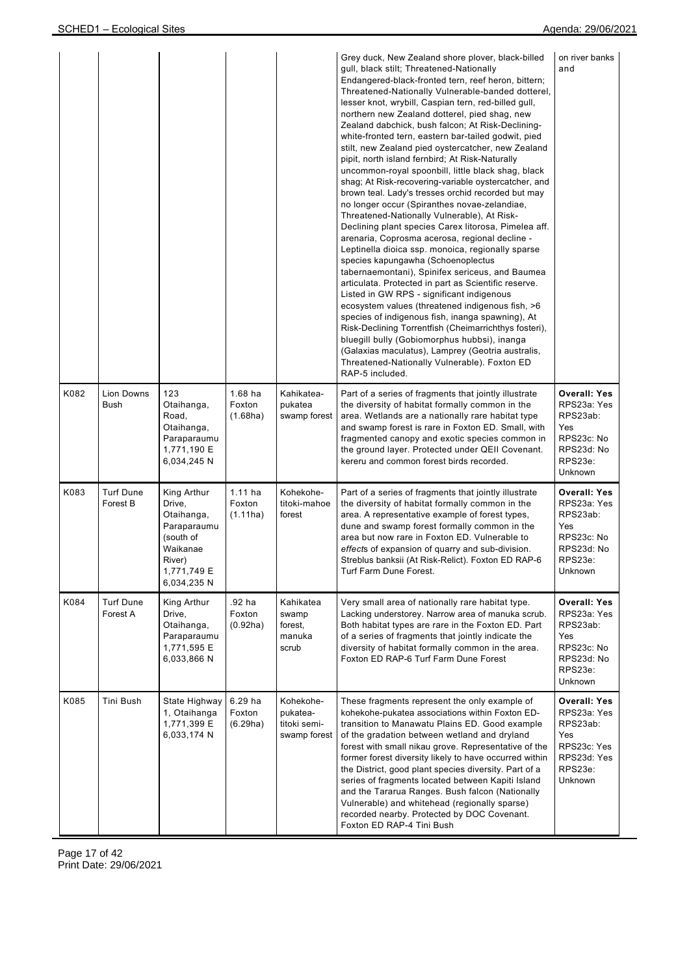|      |                              |                                                                                                                     |                                 |                                                       | Grey duck, New Zealand shore plover, black-billed<br>gull, black stilt; Threatened-Nationally<br>Endangered-black-fronted tern, reef heron, bittern;<br>Threatened-Nationally Vulnerable-banded dotterel,<br>lesser knot, wrybill, Caspian tern, red-billed gull,<br>northern new Zealand dotterel, pied shag, new<br>Zealand dabchick, bush falcon; At Risk-Declining-<br>white-fronted tern, eastern bar-tailed godwit, pied<br>stilt, new Zealand pied oystercatcher, new Zealand<br>pipit, north island fernbird; At Risk-Naturally<br>uncommon-royal spoonbill, little black shag, black<br>shag; At Risk-recovering-variable oystercatcher, and<br>brown teal. Lady's tresses orchid recorded but may<br>no longer occur (Spiranthes novae-zelandiae,<br>Threatened-Nationally Vulnerable), At Risk-<br>Declining plant species Carex litorosa, Pimelea aff.<br>arenaria, Coprosma acerosa, regional decline -<br>Leptinella dioica ssp. monoica, regionally sparse<br>species kapungawha (Schoenoplectus<br>tabernaemontani), Spinifex sericeus, and Baumea<br>articulata. Protected in part as Scientific reserve.<br>Listed in GW RPS - significant indigenous<br>ecosystem values (threatened indigenous fish, >6<br>species of indigenous fish, inanga spawning), At<br>Risk-Declining Torrentfish (Cheimarrichthys fosteri),<br>bluegill bully (Gobiomorphus hubbsi), inanga<br>(Galaxias maculatus), Lamprey (Geotria australis,<br>Threatened-Nationally Vulnerable). Foxton ED<br>RAP-5 included. | on river banks<br>and                                                                                     |
|------|------------------------------|---------------------------------------------------------------------------------------------------------------------|---------------------------------|-------------------------------------------------------|------------------------------------------------------------------------------------------------------------------------------------------------------------------------------------------------------------------------------------------------------------------------------------------------------------------------------------------------------------------------------------------------------------------------------------------------------------------------------------------------------------------------------------------------------------------------------------------------------------------------------------------------------------------------------------------------------------------------------------------------------------------------------------------------------------------------------------------------------------------------------------------------------------------------------------------------------------------------------------------------------------------------------------------------------------------------------------------------------------------------------------------------------------------------------------------------------------------------------------------------------------------------------------------------------------------------------------------------------------------------------------------------------------------------------------------------------------------------------------------------------------------|-----------------------------------------------------------------------------------------------------------|
| K082 | Lion Downs<br>Bush           | 123<br>Otaihanga,<br>Road,<br>Otaihanga,<br>Paraparaumu<br>1,771,190 E<br>6,034,245 N                               | $1.68$ ha<br>Foxton<br>(1.68ha) | Kahikatea-<br>pukatea<br>swamp forest                 | Part of a series of fragments that jointly illustrate<br>the diversity of habitat formally common in the<br>area. Wetlands are a nationally rare habitat type<br>and swamp forest is rare in Foxton ED. Small, with<br>fragmented canopy and exotic species common in<br>the ground layer. Protected under QEII Covenant.<br>kereru and common forest birds recorded.                                                                                                                                                                                                                                                                                                                                                                                                                                                                                                                                                                                                                                                                                                                                                                                                                                                                                                                                                                                                                                                                                                                                            | Overall: Yes<br>RPS23a: Yes<br>RPS23ab:<br>Yes<br>RPS23c: No<br>RPS23d: No<br>RPS23e:<br>Unknown          |
| K083 | <b>Turf Dune</b><br>Forest B | King Arthur<br>Drive,<br>Otaihanga,<br>Paraparaumu<br>(south of<br>Waikanae<br>River)<br>1,771,749 E<br>6,034,235 N | $1.11$ ha<br>Foxton<br>(1.11ha) | Kohekohe-<br>titoki-mahoe<br>forest                   | Part of a series of fragments that jointly illustrate<br>the diversity of habitat formally common in the<br>area. A representative example of forest types,<br>dune and swamp forest formally common in the<br>area but now rare in Foxton ED. Vulnerable to<br>effects of expansion of quarry and sub-division.<br>Streblus banksii (At Risk-Relict). Foxton ED RAP-6<br>Turf Farm Dune Forest.                                                                                                                                                                                                                                                                                                                                                                                                                                                                                                                                                                                                                                                                                                                                                                                                                                                                                                                                                                                                                                                                                                                 | Overall: Yes<br>RPS23a: Yes<br>RPS23ab:<br>Yes<br>RPS23c: No<br>RPS23d: No<br>RPS23e:<br>Unknown          |
| K084 | <b>Turf Dune</b><br>Forest A | King Arthur<br>Drive,<br>Otaihanga,<br>Paraparaumu<br>1,771,595 E<br>6,033,866 N                                    | .92 ha<br>Foxton<br>(0.92ha)    | Kahikatea<br>swamp<br>forest,<br>manuka<br>scrub      | Very small area of nationally rare habitat type.<br>Lacking understorey. Narrow area of manuka scrub.<br>Both habitat types are rare in the Foxton ED. Part<br>of a series of fragments that jointly indicate the<br>diversity of habitat formally common in the area.<br>Foxton ED RAP-6 Turf Farm Dune Forest                                                                                                                                                                                                                                                                                                                                                                                                                                                                                                                                                                                                                                                                                                                                                                                                                                                                                                                                                                                                                                                                                                                                                                                                  | <b>Overall: Yes</b><br>RPS23a: Yes<br>RPS23ab:<br>Yes<br>RPS23c: No<br>RPS23d: No<br>RPS23e:<br>Unknown   |
| K085 | Tini Bush                    | State Highway<br>1, Otaihanga<br>1,771,399 E<br>6,033,174 N                                                         | 6.29 ha<br>Foxton<br>(6.29ha)   | Kohekohe-<br>pukatea-<br>titoki semi-<br>swamp forest | These fragments represent the only example of<br>kohekohe-pukatea associations within Foxton ED-<br>transition to Manawatu Plains ED. Good example<br>of the gradation between wetland and dryland<br>forest with small nikau grove. Representative of the<br>former forest diversity likely to have occurred within<br>the District, good plant species diversity. Part of a<br>series of fragments located between Kapiti Island<br>and the Tararua Ranges. Bush falcon (Nationally<br>Vulnerable) and whitehead (regionally sparse)<br>recorded nearby. Protected by DOC Covenant.<br>Foxton ED RAP-4 Tini Bush                                                                                                                                                                                                                                                                                                                                                                                                                                                                                                                                                                                                                                                                                                                                                                                                                                                                                               | <b>Overall: Yes</b><br>RPS23a: Yes<br>RPS23ab:<br>Yes<br>RPS23c: Yes<br>RPS23d: Yes<br>RPS23e:<br>Unknown |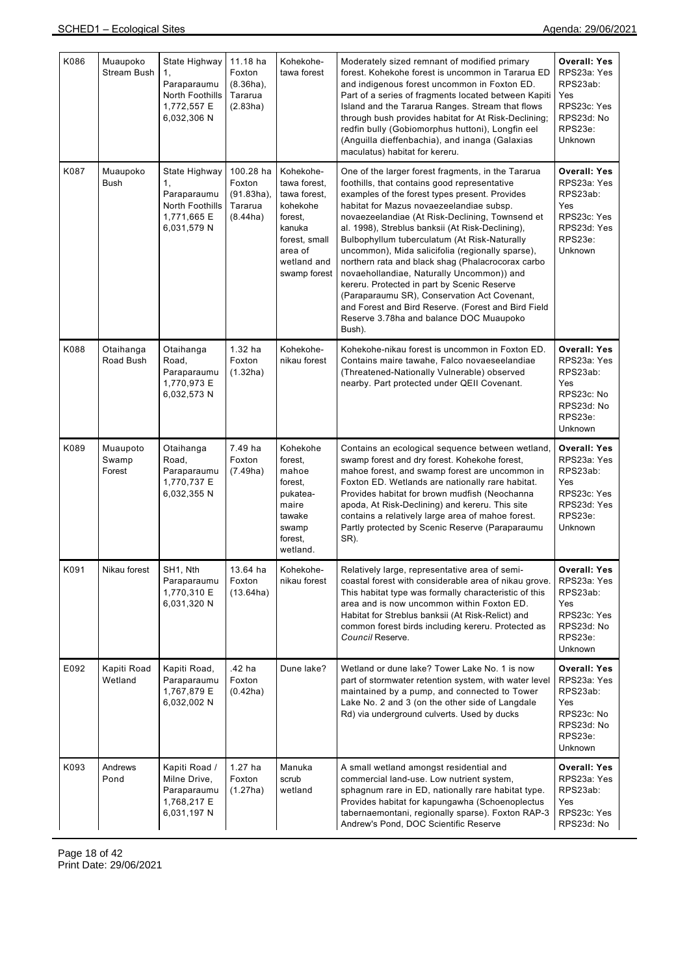| K086 | Muaupoko<br>Stream Bush     | State Highway<br>1,<br>Paraparaumu<br>North Foothills<br>1,772,557 E<br>6,032,306 N | 11.18 ha<br>Foxton<br>$(8.36ha)$ ,<br>Tararua<br>(2.83ha)   | Kohekohe-<br>tawa forest                                                                                                              | Moderately sized remnant of modified primary<br>forest. Kohekohe forest is uncommon in Tararua ED<br>and indigenous forest uncommon in Foxton ED.<br>Part of a series of fragments located between Kapiti<br>Island and the Tararua Ranges. Stream that flows<br>through bush provides habitat for At Risk-Declining;<br>redfin bully (Gobiomorphus huttoni), Longfin eel<br>(Anguilla dieffenbachia), and inanga (Galaxias<br>maculatus) habitat for kereru.                                                                                                                                                                                                                                                            | <b>Overall: Yes</b><br>RPS23a: Yes<br>RPS23ab:<br><b>Yes</b><br>RPS23c: Yes<br>RPS23d: No<br>RPS23e:<br><b>Unknown</b> |
|------|-----------------------------|-------------------------------------------------------------------------------------|-------------------------------------------------------------|---------------------------------------------------------------------------------------------------------------------------------------|--------------------------------------------------------------------------------------------------------------------------------------------------------------------------------------------------------------------------------------------------------------------------------------------------------------------------------------------------------------------------------------------------------------------------------------------------------------------------------------------------------------------------------------------------------------------------------------------------------------------------------------------------------------------------------------------------------------------------|------------------------------------------------------------------------------------------------------------------------|
| K087 | Muaupoko<br>Bush            | State Highway<br>1,<br>Paraparaumu<br>North Foothills<br>1,771,665 E<br>6,031,579 N | 100.28 ha<br>Foxton<br>$(91.83ha)$ ,<br>Tararua<br>(8.44ha) | Kohekohe-<br>tawa forest,<br>tawa forest.<br>kohekohe<br>forest,<br>kanuka<br>forest, small<br>area of<br>wetland and<br>swamp forest | One of the larger forest fragments, in the Tararua<br>foothills, that contains good representative<br>examples of the forest types present. Provides<br>habitat for Mazus novaezeelandiae subsp.<br>novaezeelandiae (At Risk-Declining, Townsend et<br>al. 1998), Streblus banksii (At Risk-Declining),<br>Bulbophyllum tuberculatum (At Risk-Naturally<br>uncommon), Mida salicifolia (regionally sparse),<br>northern rata and black shag (Phalacrocorax carbo<br>novaehollandiae, Naturally Uncommon)) and<br>kereru. Protected in part by Scenic Reserve<br>(Paraparaumu SR), Conservation Act Covenant,<br>and Forest and Bird Reserve. (Forest and Bird Field<br>Reserve 3.78ha and balance DOC Muaupoko<br>Bush). | <b>Overall: Yes</b><br>RPS23a: Yes<br>RPS23ab:<br>Yes<br>RPS23c: Yes<br>RPS23d: Yes<br>RPS23e:<br>Unknown              |
| K088 | Otaihanga<br>Road Bush      | Otaihanga<br>Road,<br>Paraparaumu<br>1,770,973 E<br>6,032,573 N                     | $1.32$ ha<br>Foxton<br>(1.32ha)                             | Kohekohe-<br>nikau forest                                                                                                             | Kohekohe-nikau forest is uncommon in Foxton ED.<br>Contains maire tawahe, Falco novaeseelandiae<br>(Threatened-Nationally Vulnerable) observed<br>nearby. Part protected under QEII Covenant.                                                                                                                                                                                                                                                                                                                                                                                                                                                                                                                            | Overall: Yes<br>RPS23a: Yes<br>RPS23ab:<br>Yes<br>RPS23c: No<br>RPS23d: No<br>RPS23e:<br>Unknown                       |
| K089 | Muaupoto<br>Swamp<br>Forest | Otaihanga<br>Road,<br>Paraparaumu<br>1,770,737 E<br>6,032,355 N                     | 7.49 ha<br>Foxton<br>(7.49ha)                               | Kohekohe<br>forest,<br>mahoe<br>forest,<br>pukatea-<br>maire<br>tawake<br>swamp<br>forest,<br>wetland.                                | Contains an ecological sequence between wetland,<br>swamp forest and dry forest. Kohekohe forest,<br>mahoe forest, and swamp forest are uncommon in<br>Foxton ED. Wetlands are nationally rare habitat.<br>Provides habitat for brown mudfish (Neochanna<br>apoda, At Risk-Declining) and kereru. This site<br>contains a relatively large area of mahoe forest.<br>Partly protected by Scenic Reserve (Paraparaumu<br>SR).                                                                                                                                                                                                                                                                                              | <b>Overall: Yes</b><br>RPS23a: Yes<br>RPS23ab:<br>Yes<br>RPS23c: Yes<br>RPS23d: Yes<br>RPS23e:<br><b>Unknown</b>       |
| K091 | Nikau forest                | SH1, Nth<br>Paraparaumu<br>1,770,310 E<br>6,031,320 N                               | 13.64 ha<br>Foxton<br>(13.64ha)                             | Kohekohe-<br>nikau forest                                                                                                             | Relatively large, representative area of semi-<br>coastal forest with considerable area of nikau grove.<br>This habitat type was formally characteristic of this<br>area and is now uncommon within Foxton ED.<br>Habitat for Streblus banksii (At Risk-Relict) and<br>common forest birds including kereru. Protected as<br>Council Reserve.                                                                                                                                                                                                                                                                                                                                                                            | Overall: Yes<br>RPS23a: Yes<br>RPS23ab:<br>Yes<br>RPS23c: Yes<br>RPS23d: No<br>RPS23e:<br><b>Unknown</b>               |
| E092 | Kapiti Road<br>Wetland      | Kapiti Road,<br>Paraparaumu<br>1,767,879 E<br>6,032,002 N                           | .42 ha<br>Foxton<br>(0.42ha)                                | Dune lake?                                                                                                                            | Wetland or dune lake? Tower Lake No. 1 is now<br>part of stormwater retention system, with water level<br>maintained by a pump, and connected to Tower<br>Lake No. 2 and 3 (on the other side of Langdale<br>Rd) via underground culverts. Used by ducks                                                                                                                                                                                                                                                                                                                                                                                                                                                                 | <b>Overall: Yes</b><br>RPS23a: Yes<br>RPS23ab:<br>Yes<br>RPS23c: No<br>RPS23d: No<br>RPS23e:<br>Unknown                |
| K093 | Andrews<br>Pond             | Kapiti Road /<br>Milne Drive,<br>Paraparaumu<br>1,768,217 E<br>6,031,197 N          | $1.27$ ha<br>Foxton<br>(1.27ha)                             | Manuka<br>scrub<br>wetland                                                                                                            | A small wetland amongst residential and<br>commercial land-use. Low nutrient system,<br>sphagnum rare in ED, nationally rare habitat type.<br>Provides habitat for kapungawha (Schoenoplectus<br>tabernaemontani, regionally sparse). Foxton RAP-3<br>Andrew's Pond, DOC Scientific Reserve                                                                                                                                                                                                                                                                                                                                                                                                                              | <b>Overall: Yes</b><br>RPS23a: Yes<br>RPS23ab:<br>Yes<br>RPS23c: Yes<br>RPS23d: No                                     |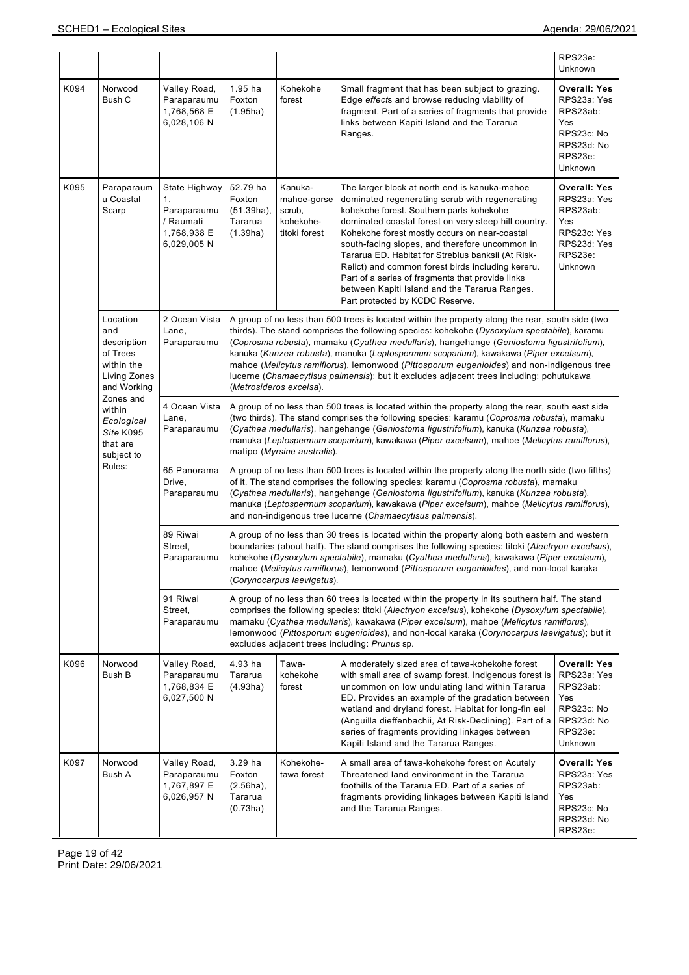|                                                                                         |                                                                          |                                                                                                                                                                                                                                                                                                                                                                                                                                                                                                                                                                                                        |                                                                                                                                                                                                                                                                                                                                                                                                                                                |                                                                |                                                                                                                                                                                                                                                                                                                                                                                                                                                                                                                                                           | RPS23e:<br>Unknown                                                                                             |  |  |  |
|-----------------------------------------------------------------------------------------|--------------------------------------------------------------------------|--------------------------------------------------------------------------------------------------------------------------------------------------------------------------------------------------------------------------------------------------------------------------------------------------------------------------------------------------------------------------------------------------------------------------------------------------------------------------------------------------------------------------------------------------------------------------------------------------------|------------------------------------------------------------------------------------------------------------------------------------------------------------------------------------------------------------------------------------------------------------------------------------------------------------------------------------------------------------------------------------------------------------------------------------------------|----------------------------------------------------------------|-----------------------------------------------------------------------------------------------------------------------------------------------------------------------------------------------------------------------------------------------------------------------------------------------------------------------------------------------------------------------------------------------------------------------------------------------------------------------------------------------------------------------------------------------------------|----------------------------------------------------------------------------------------------------------------|--|--|--|
| K094                                                                                    | Norwood<br>Bush C                                                        | Valley Road,<br>Paraparaumu<br>1,768,568 E<br>6,028,106 N                                                                                                                                                                                                                                                                                                                                                                                                                                                                                                                                              | $1.95$ ha<br>Foxton<br>(1.95ha)                                                                                                                                                                                                                                                                                                                                                                                                                | Kohekohe<br>forest                                             | Small fragment that has been subject to grazing.<br>Edge effects and browse reducing viability of<br>fragment. Part of a series of fragments that provide<br>links between Kapiti Island and the Tararua<br>Ranges.                                                                                                                                                                                                                                                                                                                                       | <b>Overall: Yes</b><br>RPS23a: Yes<br>RPS23ab:<br>Yes<br>RPS23c: No<br>RPS23d: No<br>RPS23e:<br><b>Unknown</b> |  |  |  |
| K095                                                                                    | Paraparaum<br>u Coastal<br>Scarp                                         | State Highway<br>1,<br>Paraparaumu<br>/ Raumati<br>1,768,938 E<br>6,029,005 N                                                                                                                                                                                                                                                                                                                                                                                                                                                                                                                          | 52.79 ha<br>Foxton<br>$(51.39ha)$ ,<br>Tararua<br>(1.39ha)                                                                                                                                                                                                                                                                                                                                                                                     | Kanuka-<br>mahoe-gorse<br>scrub,<br>kohekohe-<br>titoki forest | The larger block at north end is kanuka-mahoe<br>dominated regenerating scrub with regenerating<br>kohekohe forest. Southern parts kohekohe<br>dominated coastal forest on very steep hill country.<br>Kohekohe forest mostly occurs on near-coastal<br>south-facing slopes, and therefore uncommon in<br>Tararua ED. Habitat for Streblus banksii (At Risk-<br>Relict) and common forest birds including kereru.<br>Part of a series of fragments that provide links<br>between Kapiti Island and the Tararua Ranges.<br>Part protected by KCDC Reserve. | Overall: Yes<br>RPS23a: Yes<br>RPS23ab:<br>Yes<br>RPS23c: Yes<br>RPS23d: Yes<br>RPS23e:<br><b>Unknown</b>      |  |  |  |
| Location<br>and<br>description<br>of Trees<br>within the<br>Living Zones<br>and Working | 2 Ocean Vista<br>Lane,<br>Paraparaumu                                    | A group of no less than 500 trees is located within the property along the rear, south side (two<br>thirds). The stand comprises the following species: kohekohe (Dysoxylum spectabile), karamu<br>(Coprosma robusta), mamaku (Cyathea medullaris), hangehange (Geniostoma ligustrifolium),<br>kanuka (Kunzea robusta), manuka (Leptospermum scoparium), kawakawa (Piper excelsum),<br>mahoe (Melicytus ramiflorus), lemonwood (Pittosporum eugenioides) and non-indigenous tree<br>lucerne (Chamaecytisus palmensis); but it excludes adjacent trees including: pohutukawa<br>(Metrosideros excelsa). |                                                                                                                                                                                                                                                                                                                                                                                                                                                |                                                                |                                                                                                                                                                                                                                                                                                                                                                                                                                                                                                                                                           |                                                                                                                |  |  |  |
|                                                                                         | Zones and<br>within<br>Ecological<br>Site K095<br>that are<br>subject to | 4 Ocean Vista<br>Lane,<br>Paraparaumu                                                                                                                                                                                                                                                                                                                                                                                                                                                                                                                                                                  |                                                                                                                                                                                                                                                                                                                                                                                                                                                | matipo (Myrsine australis).                                    | A group of no less than 500 trees is located within the property along the rear, south east side<br>(two thirds). The stand comprises the following species: karamu (Coprosma robusta), mamaku<br>(Cyathea medullaris), hangehange (Geniostoma ligustrifolium), kanuka (Kunzea robusta),<br>manuka (Leptospermum scoparium), kawakawa (Piper excelsum), mahoe (Melicytus ramiflorus),                                                                                                                                                                     |                                                                                                                |  |  |  |
|                                                                                         | Rules:                                                                   | 65 Panorama<br>Drive,<br>Paraparaumu                                                                                                                                                                                                                                                                                                                                                                                                                                                                                                                                                                   | A group of no less than 500 trees is located within the property along the north side (two fifths)<br>of it. The stand comprises the following species: karamu (Coprosma robusta), mamaku<br>(Cyathea medullaris), hangehange (Geniostoma ligustrifolium), kanuka (Kunzea robusta),<br>manuka (Leptospermum scoparium), kawakawa (Piper excelsum), mahoe (Melicytus ramiflorus),<br>and non-indigenous tree lucerne (Chamaecytisus palmensis). |                                                                |                                                                                                                                                                                                                                                                                                                                                                                                                                                                                                                                                           |                                                                                                                |  |  |  |
|                                                                                         |                                                                          | 89 Riwai<br>Street,<br>Paraparaumu                                                                                                                                                                                                                                                                                                                                                                                                                                                                                                                                                                     |                                                                                                                                                                                                                                                                                                                                                                                                                                                | (Corynocarpus laevigatus).                                     | A group of no less than 30 trees is located within the property along both eastern and western<br>boundaries (about half). The stand comprises the following species: titoki (Alectryon excelsus),<br>kohekohe (Dysoxylum spectabile), mamaku (Cyathea medullaris), kawakawa (Piper excelsum),<br>mahoe (Melicytus ramiflorus), lemonwood (Pittosporum eugenioides), and non-local karaka                                                                                                                                                                 |                                                                                                                |  |  |  |
|                                                                                         |                                                                          | 91 Riwai<br>Street,<br>Paraparaumu                                                                                                                                                                                                                                                                                                                                                                                                                                                                                                                                                                     | A group of no less than 60 trees is located within the property in its southern half. The stand<br>comprises the following species: titoki (Alectryon excelsus), kohekohe (Dysoxylum spectabile),<br>mamaku (Cyathea medullaris), kawakawa (Piper excelsum), mahoe (Melicytus ramiflorus),<br>lemonwood (Pittosporum eugenioides), and non-local karaka (Corynocarpus laevigatus); but it<br>excludes adjacent trees including: Prunus sp.     |                                                                |                                                                                                                                                                                                                                                                                                                                                                                                                                                                                                                                                           |                                                                                                                |  |  |  |
| K096                                                                                    | Norwood<br>Bush B                                                        | Valley Road,<br>Paraparaumu<br>1,768,834 E<br>6,027,500 N                                                                                                                                                                                                                                                                                                                                                                                                                                                                                                                                              | 4.93 ha<br>Tararua<br>(4.93ha)                                                                                                                                                                                                                                                                                                                                                                                                                 | Tawa-<br>kohekohe<br>forest                                    | A moderately sized area of tawa-kohekohe forest<br>with small area of swamp forest. Indigenous forest is<br>uncommon on low undulating land within Tararua<br>ED. Provides an example of the gradation between<br>wetland and dryland forest. Habitat for long-fin eel<br>(Anguilla dieffenbachii, At Risk-Declining). Part of a<br>series of fragments providing linkages between<br>Kapiti Island and the Tararua Ranges.                                                                                                                               | <b>Overall: Yes</b><br>RPS23a: Yes<br>RPS23ab:<br>Yes<br>RPS23c: No<br>RPS23d: No<br>RPS23e:<br>Unknown        |  |  |  |
| K097                                                                                    | Norwood<br>Bush A                                                        | Valley Road,<br>Paraparaumu<br>1,767,897 E<br>6,026,957 N                                                                                                                                                                                                                                                                                                                                                                                                                                                                                                                                              | 3.29 ha<br>Foxton<br>$(2.56ha)$ ,<br>Tararua<br>(0.73ha)                                                                                                                                                                                                                                                                                                                                                                                       | Kohekohe-<br>tawa forest                                       | A small area of tawa-kohekohe forest on Acutely<br>Threatened land environment in the Tararua<br>foothills of the Tararua ED. Part of a series of<br>fragments providing linkages between Kapiti Island<br>and the Tararua Ranges.                                                                                                                                                                                                                                                                                                                        | Overall: Yes<br>RPS23a: Yes<br>RPS23ab:<br>Yes<br>RPS23c: No<br>RPS23d: No<br>RPS23e:                          |  |  |  |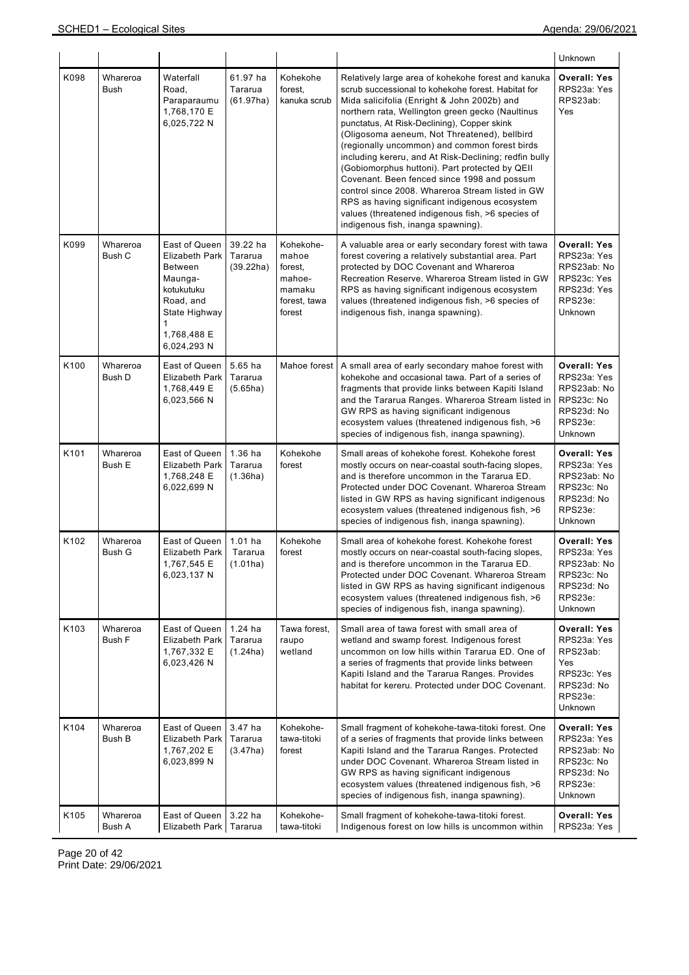|      |                           |                                                                                                                                      |                                  |                                                                             |                                                                                                                                                                                                                                                                                                                                                                                                                                                                                                                                                                                                                                                                                                                         | Unknown                                                                                                  |
|------|---------------------------|--------------------------------------------------------------------------------------------------------------------------------------|----------------------------------|-----------------------------------------------------------------------------|-------------------------------------------------------------------------------------------------------------------------------------------------------------------------------------------------------------------------------------------------------------------------------------------------------------------------------------------------------------------------------------------------------------------------------------------------------------------------------------------------------------------------------------------------------------------------------------------------------------------------------------------------------------------------------------------------------------------------|----------------------------------------------------------------------------------------------------------|
| K098 | Whareroa<br>Bush          | Waterfall<br>Road,<br>Paraparaumu<br>1,768,170 E<br>6,025,722 N                                                                      | 61.97 ha<br>Tararua<br>(61.97ha) | Kohekohe<br>forest,<br>kanuka scrub                                         | Relatively large area of kohekohe forest and kanuka<br>scrub successional to kohekohe forest. Habitat for<br>Mida salicifolia (Enright & John 2002b) and<br>northern rata, Wellington green gecko (Naultinus<br>punctatus, At Risk-Declining), Copper skink<br>(Oligosoma aeneum, Not Threatened), bellbird<br>(regionally uncommon) and common forest birds<br>including kereru, and At Risk-Declining; redfin bully<br>(Gobiomorphus huttoni). Part protected by QEII<br>Covenant. Been fenced since 1998 and possum<br>control since 2008. Whareroa Stream listed in GW<br>RPS as having significant indigenous ecosystem<br>values (threatened indigenous fish, >6 species of<br>indigenous fish, inanga spawning). | <b>Overall: Yes</b><br>RPS23a: Yes<br>RPS23ab:<br>Yes                                                    |
| K099 | Whareroa<br>Bush C        | East of Queen<br>Elizabeth Park<br>Between<br>Maunga-<br>kotukutuku<br>Road, and<br>State Highway<br>1<br>1,768,488 E<br>6,024,293 N | 39.22 ha<br>Tararua<br>(39.22ha) | Kohekohe-<br>mahoe<br>forest,<br>mahoe-<br>mamaku<br>forest, tawa<br>forest | A valuable area or early secondary forest with tawa<br>forest covering a relatively substantial area. Part<br>protected by DOC Covenant and Whareroa<br>Recreation Reserve. Whareroa Stream listed in GW<br>RPS as having significant indigenous ecosystem<br>values (threatened indigenous fish, >6 species of<br>indigenous fish, inanga spawning).                                                                                                                                                                                                                                                                                                                                                                   | <b>Overall: Yes</b><br>RPS23a: Yes<br>RPS23ab: No<br>RPS23c: Yes<br>RPS23d: Yes<br>RPS23e:<br>Unknown    |
| K100 | Whareroa<br>Bush D        | East of Queen<br><b>Elizabeth Park</b><br>1,768,449 E<br>6,023,566 N                                                                 | 5.65 ha<br>Tararua<br>(5.65ha)   | Mahoe forest                                                                | A small area of early secondary mahoe forest with<br>kohekohe and occasional tawa. Part of a series of<br>fragments that provide links between Kapiti Island<br>and the Tararua Ranges. Whareroa Stream listed in<br>GW RPS as having significant indigenous<br>ecosystem values (threatened indigenous fish, >6<br>species of indigenous fish, inanga spawning).                                                                                                                                                                                                                                                                                                                                                       | <b>Overall: Yes</b><br>RPS23a: Yes<br>RPS23ab: No<br>RPS23c: No<br>RPS23d: No<br>RPS23e:<br>Unknown      |
| K101 | Whareroa<br>Bush E        | East of Queen<br><b>Elizabeth Park</b><br>1,768,248 E<br>6,022,699 N                                                                 | 1.36 ha<br>Tararua<br>(1.36ha)   | Kohekohe<br>forest                                                          | Small areas of kohekohe forest. Kohekohe forest<br>mostly occurs on near-coastal south-facing slopes,<br>and is therefore uncommon in the Tararua ED.<br>Protected under DOC Covenant. Whareroa Stream<br>listed in GW RPS as having significant indigenous<br>ecosystem values (threatened indigenous fish, >6<br>species of indigenous fish, inanga spawning).                                                                                                                                                                                                                                                                                                                                                        | <b>Overall: Yes</b><br>RPS23a: Yes<br>RPS23ab: No<br>RPS23c: No<br>RPS23d: No<br>RPS23e:<br>Unknown      |
| K102 | Whareroa<br>Bush G        | East of Queen<br><b>Elizabeth Park</b><br>1.767.545 E<br>6,023,137 N                                                                 | $1.01$ ha<br>Tararua<br>(1.01ha) | Kohekohe<br>forest                                                          | Small area of kohekohe forest. Kohekohe forest<br>mostly occurs on near-coastal south-facing slopes,<br>and is therefore uncommon in the Tararua ED.<br>Protected under DOC Covenant. Whareroa Stream<br>listed in GW RPS as having significant indigenous<br>ecosystem values (threatened indigenous fish, >6<br>species of indigenous fish, inanga spawning).                                                                                                                                                                                                                                                                                                                                                         | <b>Overall: Yes</b><br>RPS23a: Yes<br>RPS23ab: No<br>RPS23c: No<br>RPS23d: No<br>RPS23e:<br>Unknown      |
| K103 | Whareroa<br>Bush F        | East of Queen<br><b>Elizabeth Park</b><br>1,767,332 E<br>6,023,426 N                                                                 | $1.24$ ha<br>Tararua<br>(1.24ha) | Tawa forest.<br>raupo<br>wetland                                            | Small area of tawa forest with small area of<br>wetland and swamp forest. Indigenous forest<br>uncommon on low hills within Tararua ED. One of<br>a series of fragments that provide links between<br>Kapiti Island and the Tararua Ranges. Provides<br>habitat for kereru. Protected under DOC Covenant.                                                                                                                                                                                                                                                                                                                                                                                                               | <b>Overall: Yes</b><br>RPS23a: Yes<br>RPS23ab:<br>Yes<br>RPS23c: Yes<br>RPS23d: No<br>RPS23e:<br>Unknown |
| K104 | Whareroa<br><b>Bush B</b> | East of Queen<br><b>Elizabeth Park</b><br>1,767,202 E<br>6,023,899 N                                                                 | 3.47 ha<br>Tararua<br>(3.47ha)   | Kohekohe-<br>tawa-titoki<br>forest                                          | Small fragment of kohekohe-tawa-titoki forest. One<br>of a series of fragments that provide links between<br>Kapiti Island and the Tararua Ranges. Protected<br>under DOC Covenant. Whareroa Stream listed in<br>GW RPS as having significant indigenous<br>ecosystem values (threatened indigenous fish, >6<br>species of indigenous fish, inanga spawning).                                                                                                                                                                                                                                                                                                                                                           | <b>Overall: Yes</b><br>RPS23a: Yes<br>RPS23ab: No<br>RPS23c: No<br>RPS23d: No<br>RPS23e:<br>Unknown      |
| K105 | Whareroa<br>Bush A        | East of Queen<br>Elizabeth Park                                                                                                      | 3.22 ha<br>Tararua               | Kohekohe-<br>tawa-titoki                                                    | Small fragment of kohekohe-tawa-titoki forest.<br>Indigenous forest on low hills is uncommon within                                                                                                                                                                                                                                                                                                                                                                                                                                                                                                                                                                                                                     | <b>Overall: Yes</b><br>RPS23a: Yes                                                                       |

Page 20 of 42 Print Date: 29/06/2021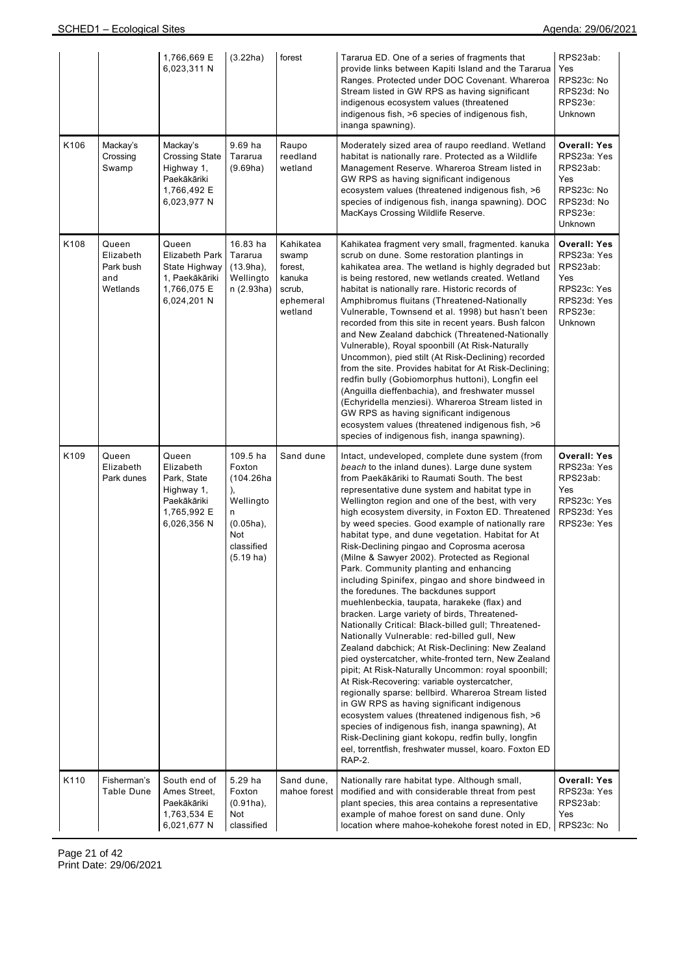|      |                                                    | 1,766,669 E<br>6,023,311 N                                                                      | (3.22ha)                                                                                                            | forest                                                                    | Tararua ED. One of a series of fragments that<br>provide links between Kapiti Island and the Tararua<br>Ranges. Protected under DOC Covenant. Whareroa<br>Stream listed in GW RPS as having significant<br>indigenous ecosystem values (threatened<br>indigenous fish, >6 species of indigenous fish,<br>inanga spawning).                                                                                                                                                                                                                                                                                                                                                                                                                                                                                                                                                                                                                                                                                                                                                                                                                                                                                                                                                                                                                                                                                           | RPS23ab:<br>Yes<br>RPS23c: No<br>RPS23d: No<br>RPS23e:<br>Unknown                                         |
|------|----------------------------------------------------|-------------------------------------------------------------------------------------------------|---------------------------------------------------------------------------------------------------------------------|---------------------------------------------------------------------------|----------------------------------------------------------------------------------------------------------------------------------------------------------------------------------------------------------------------------------------------------------------------------------------------------------------------------------------------------------------------------------------------------------------------------------------------------------------------------------------------------------------------------------------------------------------------------------------------------------------------------------------------------------------------------------------------------------------------------------------------------------------------------------------------------------------------------------------------------------------------------------------------------------------------------------------------------------------------------------------------------------------------------------------------------------------------------------------------------------------------------------------------------------------------------------------------------------------------------------------------------------------------------------------------------------------------------------------------------------------------------------------------------------------------|-----------------------------------------------------------------------------------------------------------|
| K106 | Mackay's<br>Crossing<br>Swamp                      | Mackay's<br><b>Crossing State</b><br>Highway 1,<br>Paekākāriki<br>1,766,492 E<br>6,023,977 N    | 9.69 ha<br>Tararua<br>(9.69ha)                                                                                      | Raupo<br>reedland<br>wetland                                              | Moderately sized area of raupo reedland. Wetland<br>habitat is nationally rare. Protected as a Wildlife<br>Management Reserve. Whareroa Stream listed in<br>GW RPS as having significant indigenous<br>ecosystem values (threatened indigenous fish, >6<br>species of indigenous fish, inanga spawning). DOC<br>MacKays Crossing Wildlife Reserve.                                                                                                                                                                                                                                                                                                                                                                                                                                                                                                                                                                                                                                                                                                                                                                                                                                                                                                                                                                                                                                                                   | Overall: Yes<br>RPS23a: Yes<br>RPS23ab:<br>Yes<br>RPS23c: No<br>RPS23d: No<br>RPS23e:<br>Unknown          |
| K108 | Queen<br>Elizabeth<br>Park bush<br>and<br>Wetlands | Queen<br><b>Elizabeth Park</b><br>State Highway<br>1, Paekākāriki<br>1,766,075 E<br>6,024,201 N | 16.83 ha<br>Tararua<br>$(13.9ha)$ ,<br>Wellingto<br>n(2.93ha)                                                       | Kahikatea<br>swamp<br>forest,<br>kanuka<br>scrub,<br>ephemeral<br>wetland | Kahikatea fragment very small, fragmented. kanuka<br>scrub on dune. Some restoration plantings in<br>kahikatea area. The wetland is highly degraded but<br>is being restored, new wetlands created. Wetland<br>habitat is nationally rare. Historic records of<br>Amphibromus fluitans (Threatened-Nationally<br>Vulnerable, Townsend et al. 1998) but hasn't been<br>recorded from this site in recent years. Bush falcon<br>and New Zealand dabchick (Threatened-Nationally<br>Vulnerable), Royal spoonbill (At Risk-Naturally<br>Uncommon), pied stilt (At Risk-Declining) recorded<br>from the site. Provides habitat for At Risk-Declining;<br>redfin bully (Gobiomorphus huttoni), Longfin eel<br>(Anguilla dieffenbachia), and freshwater mussel<br>(Echyridella menziesi). Whareroa Stream listed in<br>GW RPS as having significant indigenous<br>ecosystem values (threatened indigenous fish, >6<br>species of indigenous fish, inanga spawning).                                                                                                                                                                                                                                                                                                                                                                                                                                                         | <b>Overall: Yes</b><br>RPS23a: Yes<br>RPS23ab:<br>Yes<br>RPS23c: Yes<br>RPS23d: Yes<br>RPS23e:<br>Unknown |
| K109 | Queen<br>Elizabeth<br>Park dunes                   | Queen<br>Elizabeth<br>Park, State<br>Highway 1,<br>Paekākāriki<br>1,765,992 E<br>6,026,356 N    | 109.5 ha<br>Foxton<br>(104.26ha<br>),<br>Wellingto<br>n<br>$(0.05ha)$ ,<br>Not<br>classified<br>$(5.19 \text{ ha})$ | Sand dune                                                                 | Intact, undeveloped, complete dune system (from<br>beach to the inland dunes). Large dune system<br>from Paekākāriki to Raumati South. The best<br>representative dune system and habitat type in<br>Wellington region and one of the best, with very<br>high ecosystem diversity, in Foxton ED. Threatened<br>by weed species. Good example of nationally rare<br>habitat type, and dune vegetation. Habitat for At<br>Risk-Declining pingao and Coprosma acerosa<br>(Milne & Sawyer 2002). Protected as Regional<br>Park. Community planting and enhancing<br>including Spinifex, pingao and shore bindweed in<br>the foredunes. The backdunes support<br>muehlenbeckia, taupata, harakeke (flax) and<br>bracken. Large variety of birds, Threatened-<br>Nationally Critical: Black-billed gull; Threatened-<br>Nationally Vulnerable: red-billed gull, New<br>Zealand dabchick; At Risk-Declining: New Zealand<br>pied oystercatcher, white-fronted tern, New Zealand<br>pipit; At Risk-Naturally Uncommon: royal spoonbill;<br>At Risk-Recovering: variable oystercatcher,<br>regionally sparse: bellbird. Whareroa Stream listed<br>in GW RPS as having significant indigenous<br>ecosystem values (threatened indigenous fish, >6<br>species of indigenous fish, inanga spawning), At<br>Risk-Declining giant kokopu, redfin bully, longfin<br>eel, torrentfish, freshwater mussel, koaro. Foxton ED<br>RAP-2. | <b>Overall: Yes</b><br>RPS23a: Yes<br>RPS23ab:<br>Yes<br>RPS23c: Yes<br>RPS23d: Yes<br>RPS23e: Yes        |
| K110 | Fisherman's<br><b>Table Dune</b>                   | South end of<br>Ames Street,<br>Paekākāriki<br>1,763,534 E<br>6,021,677 N                       | 5.29 ha<br>Foxton<br>$(0.91ha)$ ,<br>Not<br>classified                                                              | Sand dune,<br>mahoe forest                                                | Nationally rare habitat type. Although small,<br>modified and with considerable threat from pest<br>plant species, this area contains a representative<br>example of mahoe forest on sand dune. Only<br>location where mahoe-kohekohe forest noted in ED,                                                                                                                                                                                                                                                                                                                                                                                                                                                                                                                                                                                                                                                                                                                                                                                                                                                                                                                                                                                                                                                                                                                                                            | <b>Overall: Yes</b><br>RPS23a: Yes<br>RPS23ab:<br>Yes<br>RPS23c: No                                       |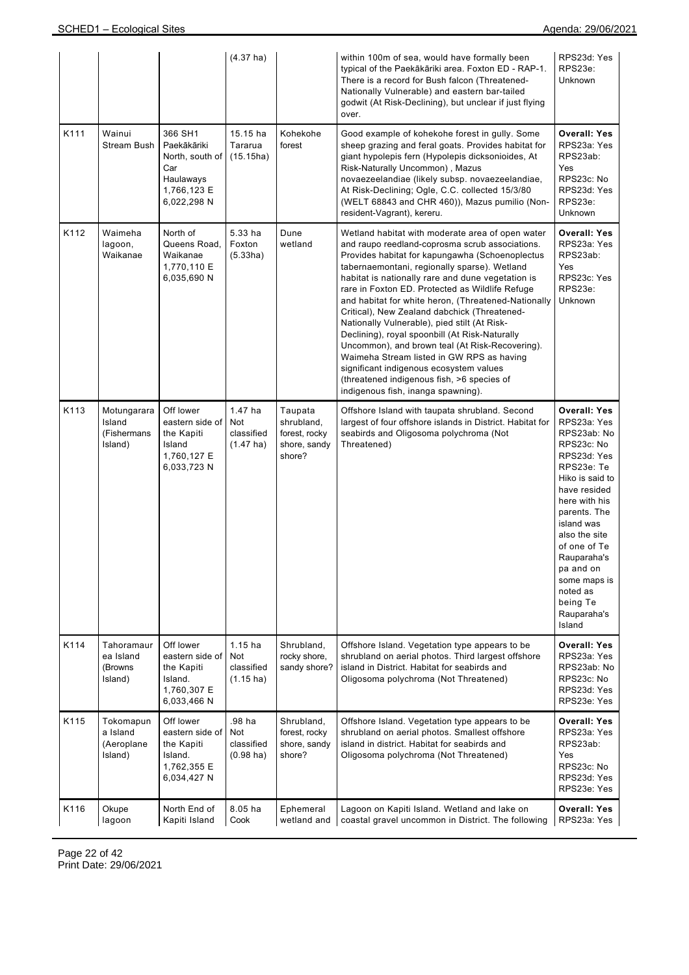|      |                                                 |                                                                                             | $(4.37)$ ha)                                          |                                                                  | within 100m of sea, would have formally been<br>typical of the Paekākāriki area. Foxton ED - RAP-1.<br>There is a record for Bush falcon (Threatened-<br>Nationally Vulnerable) and eastern bar-tailed<br>godwit (At Risk-Declining), but unclear if just flying<br>over.                                                                                                                                                                                                                                                                                                                                                                                                                                                                              | RPS23d: Yes<br>RPS23e:<br>Unknown                                                                                                                                                                                                                                                                            |
|------|-------------------------------------------------|---------------------------------------------------------------------------------------------|-------------------------------------------------------|------------------------------------------------------------------|--------------------------------------------------------------------------------------------------------------------------------------------------------------------------------------------------------------------------------------------------------------------------------------------------------------------------------------------------------------------------------------------------------------------------------------------------------------------------------------------------------------------------------------------------------------------------------------------------------------------------------------------------------------------------------------------------------------------------------------------------------|--------------------------------------------------------------------------------------------------------------------------------------------------------------------------------------------------------------------------------------------------------------------------------------------------------------|
| K111 | Wainui<br>Stream Bush                           | 366 SH1<br>Paekākāriki<br>North, south of<br>Car<br>Haulaways<br>1,766,123 E<br>6,022,298 N | 15.15 ha<br>Tararua<br>(15.15ha)                      | Kohekohe<br>forest                                               | Good example of kohekohe forest in gully. Some<br>sheep grazing and feral goats. Provides habitat for<br>giant hypolepis fern (Hypolepis dicksonioides, At<br>Risk-Naturally Uncommon), Mazus<br>novaezeelandiae (likely subsp. novaezeelandiae,<br>At Risk-Declining; Ogle, C.C. collected 15/3/80<br>(WELT 68843 and CHR 460)), Mazus pumilio (Non-<br>resident-Vagrant), kereru.                                                                                                                                                                                                                                                                                                                                                                    | <b>Overall: Yes</b><br>RPS23a: Yes<br>RPS23ab:<br>Yes<br>RPS23c: No<br>RPS23d: Yes<br>RPS23e:<br>Unknown                                                                                                                                                                                                     |
| K112 | Waimeha<br>lagoon,<br>Waikanae                  | North of<br>Queens Road.<br>Waikanae<br>1,770,110 E<br>6,035,690 N                          | 5.33 ha<br>Foxton<br>(5.33ha)                         | Dune<br>wetland                                                  | Wetland habitat with moderate area of open water<br>and raupo reedland-coprosma scrub associations.<br>Provides habitat for kapungawha (Schoenoplectus<br>tabernaemontani, regionally sparse). Wetland<br>habitat is nationally rare and dune vegetation is<br>rare in Foxton ED. Protected as Wildlife Refuge<br>and habitat for white heron, (Threatened-Nationally<br>Critical), New Zealand dabchick (Threatened-<br>Nationally Vulnerable), pied stilt (At Risk-<br>Declining), royal spoonbill (At Risk-Naturally<br>Uncommon), and brown teal (At Risk-Recovering).<br>Waimeha Stream listed in GW RPS as having<br>significant indigenous ecosystem values<br>(threatened indigenous fish, >6 species of<br>indigenous fish, inanga spawning). | <b>Overall: Yes</b><br>RPS23a: Yes<br>RPS23ab:<br>Yes<br>RPS23c: Yes<br>RPS23e:<br><b>Unknown</b>                                                                                                                                                                                                            |
| K113 | Motungarara<br>Island<br>(Fishermans<br>Island) | Off lower<br>eastern side of<br>the Kapiti<br>Island<br>1,760,127 E<br>6,033,723 N          | 1.47 ha<br>Not<br>classified<br>$(1.47 \text{ ha})$   | Taupata<br>shrubland,<br>forest, rocky<br>shore, sandy<br>shore? | Offshore Island with taupata shrubland. Second<br>largest of four offshore islands in District. Habitat for<br>seabirds and Oligosoma polychroma (Not<br>Threatened)                                                                                                                                                                                                                                                                                                                                                                                                                                                                                                                                                                                   | <b>Overall: Yes</b><br>RPS23a: Yes<br>RPS23ab: No<br>RPS23c: No<br>RPS23d: Yes<br>RPS23e: Te<br>Hiko is said to<br>have resided<br>here with his<br>parents. The<br>island was<br>also the site<br>of one of Te<br>Rauparaha's<br>pa and on<br>some maps is<br>noted as<br>being Te<br>Rauparaha's<br>Island |
| K114 | Tahoramaur<br>ea Island<br>(Browns<br>Island)   | Off lower<br>eastern side of<br>the Kapiti<br>Island.<br>1,760,307 E<br>6,033,466 N         | $1.15$ ha<br>Not<br>classified<br>$(1.15 \text{ ha})$ | Shrubland,<br>rocky shore,<br>sandy shore?                       | Offshore Island. Vegetation type appears to be<br>shrubland on aerial photos. Third largest offshore<br>island in District. Habitat for seabirds and<br>Oligosoma polychroma (Not Threatened)                                                                                                                                                                                                                                                                                                                                                                                                                                                                                                                                                          | <b>Overall: Yes</b><br>RPS23a: Yes<br>RPS23ab: No<br>RPS23c: No<br>RPS23d: Yes<br>RPS23e: Yes                                                                                                                                                                                                                |
| K115 | Tokomapun<br>a Island<br>(Aeroplane<br>Island)  | Off lower<br>eastern side of<br>the Kapiti<br>Island.<br>1,762,355 E<br>6,034,427 N         | .98 ha<br>Not<br>classified<br>$(0.98 \text{ ha})$    | Shrubland,<br>forest, rocky<br>shore, sandy<br>shore?            | Offshore Island. Vegetation type appears to be<br>shrubland on aerial photos. Smallest offshore<br>island in district. Habitat for seabirds and<br>Oligosoma polychroma (Not Threatened)                                                                                                                                                                                                                                                                                                                                                                                                                                                                                                                                                               | <b>Overall: Yes</b><br>RPS23a: Yes<br>RPS23ab:<br>Yes<br>RPS23c: No<br>RPS23d: Yes<br>RPS23e: Yes                                                                                                                                                                                                            |
| K116 | Okupe<br>lagoon                                 | North End of<br>Kapiti Island                                                               | 8.05 ha<br>Cook                                       | Ephemeral<br>wetland and                                         | Lagoon on Kapiti Island. Wetland and lake on<br>coastal gravel uncommon in District. The following                                                                                                                                                                                                                                                                                                                                                                                                                                                                                                                                                                                                                                                     | <b>Overall: Yes</b><br>RPS23a: Yes                                                                                                                                                                                                                                                                           |

Page 22 of 42 Print Date: 29/06/2021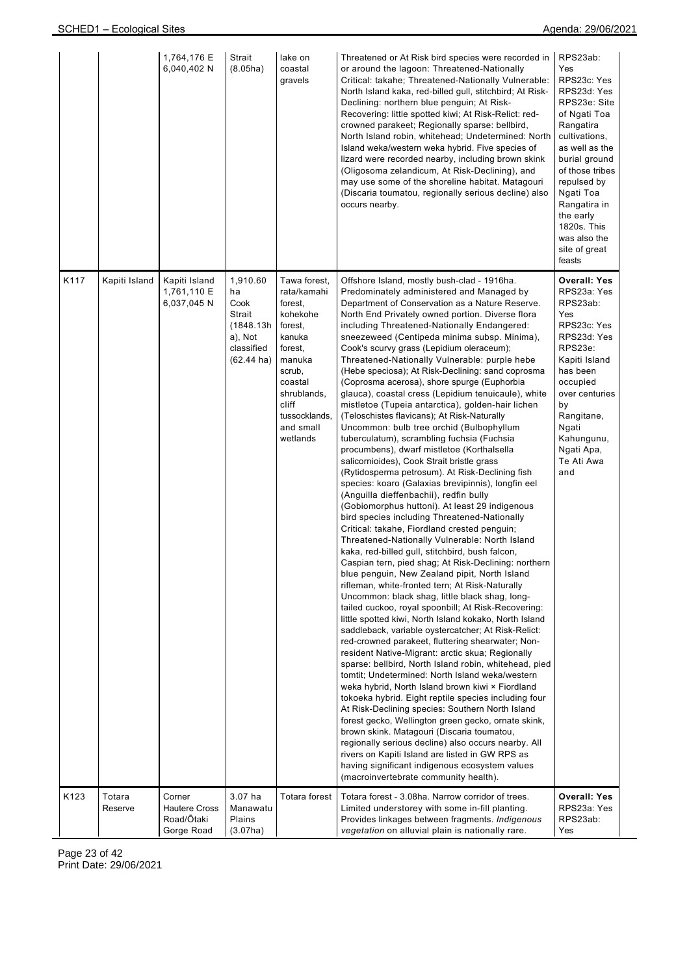|      |                   | 1,764,176 E<br>6,040,402 N                                 | Strait<br>(8.05ha)                                                                             | lake on<br>coastal<br>gravels                                                                                                                                                       | Threatened or At Risk bird species were recorded in<br>or around the lagoon: Threatened-Nationally<br>Critical: takahe; Threatened-Nationally Vulnerable:<br>North Island kaka, red-billed gull, stitchbird; At Risk-<br>Declining: northern blue penguin; At Risk-<br>Recovering: little spotted kiwi; At Risk-Relict: red-<br>crowned parakeet; Regionally sparse: bellbird,<br>North Island robin, whitehead; Undetermined: North<br>Island weka/western weka hybrid. Five species of<br>lizard were recorded nearby, including brown skink<br>(Oligosoma zelandicum, At Risk-Declining), and<br>may use some of the shoreline habitat. Matagouri<br>(Discaria toumatou, regionally serious decline) also<br>occurs nearby.                                                                                                                                                                                                                                                                                                                                                                                                                                                                                                                                                                                                                                                                                                                                                                                                                                                                                                                                                                                                                                                                                                                                                                                                                                                                                                                                                                                                                                                                                                                                                                                                                   | RPS23ab:<br>Yes<br>RPS23c: Yes<br>RPS23d: Yes<br>RPS23e: Site<br>of Ngati Toa<br>Rangatira<br>cultivations,<br>as well as the<br>burial ground<br>of those tribes<br>repulsed by<br>Ngati Toa<br>Rangatira in<br>the early<br>1820s. This<br>was also the<br>site of great<br>feasts |
|------|-------------------|------------------------------------------------------------|------------------------------------------------------------------------------------------------|-------------------------------------------------------------------------------------------------------------------------------------------------------------------------------------|--------------------------------------------------------------------------------------------------------------------------------------------------------------------------------------------------------------------------------------------------------------------------------------------------------------------------------------------------------------------------------------------------------------------------------------------------------------------------------------------------------------------------------------------------------------------------------------------------------------------------------------------------------------------------------------------------------------------------------------------------------------------------------------------------------------------------------------------------------------------------------------------------------------------------------------------------------------------------------------------------------------------------------------------------------------------------------------------------------------------------------------------------------------------------------------------------------------------------------------------------------------------------------------------------------------------------------------------------------------------------------------------------------------------------------------------------------------------------------------------------------------------------------------------------------------------------------------------------------------------------------------------------------------------------------------------------------------------------------------------------------------------------------------------------------------------------------------------------------------------------------------------------------------------------------------------------------------------------------------------------------------------------------------------------------------------------------------------------------------------------------------------------------------------------------------------------------------------------------------------------------------------------------------------------------------------------------------------------|--------------------------------------------------------------------------------------------------------------------------------------------------------------------------------------------------------------------------------------------------------------------------------------|
| K117 | Kapiti Island     | Kapiti Island<br>1,761,110 E<br>6,037,045 N                | 1,910.60<br>ha<br>Cook<br>Strait<br>(1848.13h<br>a), Not<br>classified<br>$(62.44 \text{ ha})$ | Tawa forest.<br>rata/kamahi<br>forest,<br>kohekohe<br>forest,<br>kanuka<br>forest,<br>manuka<br>scrub,<br>coastal<br>shrublands,<br>cliff<br>tussocklands,<br>and small<br>wetlands | Offshore Island, mostly bush-clad - 1916ha.<br>Predominately administered and Managed by<br>Department of Conservation as a Nature Reserve.<br>North End Privately owned portion. Diverse flora<br>including Threatened-Nationally Endangered:<br>sneezeweed (Centipeda minima subsp. Minima),<br>Cook's scurvy grass (Lepidium oleraceum);<br>Threatened-Nationally Vulnerable: purple hebe<br>(Hebe speciosa); At Risk-Declining: sand coprosma<br>(Coprosma acerosa), shore spurge (Euphorbia<br>glauca), coastal cress (Lepidium tenuicaule), white<br>mistletoe (Tupeia antarctica), golden-hair lichen<br>(Teloschistes flavicans); At Risk-Naturally<br>Uncommon: bulb tree orchid (Bulbophyllum<br>tuberculatum), scrambling fuchsia (Fuchsia<br>procumbens), dwarf mistletoe (Korthalsella<br>salicornioides), Cook Strait bristle grass<br>(Rytidosperma petrosum). At Risk-Declining fish<br>species: koaro (Galaxias brevipinnis), longfin eel<br>(Anguilla dieffenbachii), redfin bully<br>(Gobiomorphus huttoni). At least 29 indigenous<br>bird species including Threatened-Nationally<br>Critical: takahe, Fiordland crested penguin;<br>Threatened-Nationally Vulnerable: North Island<br>kaka, red-billed gull, stitchbird, bush falcon,<br>Caspian tern, pied shag; At Risk-Declining: northern<br>blue penguin, New Zealand pipit, North Island<br>rifleman, white-fronted tern; At Risk-Naturally<br>Uncommon: black shag, little black shag, long-<br>tailed cuckoo, royal spoonbill; At Risk-Recovering:<br>little spotted kiwi, North Island kokako, North Island<br>saddleback, variable oystercatcher; At Risk-Relict:<br>red-crowned parakeet, fluttering shearwater; Non-<br>resident Native-Migrant: arctic skua; Regionally<br>sparse: bellbird, North Island robin, whitehead, pied<br>tomtit; Undetermined: North Island weka/western<br>weka hybrid, North Island brown kiwi × Fiordland<br>tokoeka hybrid. Eight reptile species including four<br>At Risk-Declining species: Southern North Island<br>forest gecko, Wellington green gecko, ornate skink,<br>brown skink. Matagouri (Discaria toumatou,<br>regionally serious decline) also occurs nearby. All<br>rivers on Kapiti Island are listed in GW RPS as<br>having significant indigenous ecosystem values<br>(macroinvertebrate community health). | Overall: Yes<br>RPS23a: Yes<br>RPS23ab:<br>Yes<br>RPS23c: Yes<br>RPS23d: Yes<br>RPS23e:<br>Kapiti Island<br>has been<br>occupied<br>over centuries<br>by<br>Rangitane,<br>Ngati<br>Kahungunu,<br>Ngati Apa,<br>Te Ati Awa<br>and                                                     |
| K123 | Totara<br>Reserve | Corner<br><b>Hautere Cross</b><br>Road/Ōtaki<br>Gorge Road | 3.07 ha<br>Manawatu<br>Plains<br>(3.07ha)                                                      | Totara forest                                                                                                                                                                       | Totara forest - 3.08ha. Narrow corridor of trees.<br>Limited understorey with some in-fill planting.<br>Provides linkages between fragments. Indigenous<br>vegetation on alluvial plain is nationally rare.                                                                                                                                                                                                                                                                                                                                                                                                                                                                                                                                                                                                                                                                                                                                                                                                                                                                                                                                                                                                                                                                                                                                                                                                                                                                                                                                                                                                                                                                                                                                                                                                                                                                                                                                                                                                                                                                                                                                                                                                                                                                                                                                      | <b>Overall: Yes</b><br>RPS23a: Yes<br>RPS23ab:<br>Yes                                                                                                                                                                                                                                |

Page 23 of 42 Print Date: 29/06/2021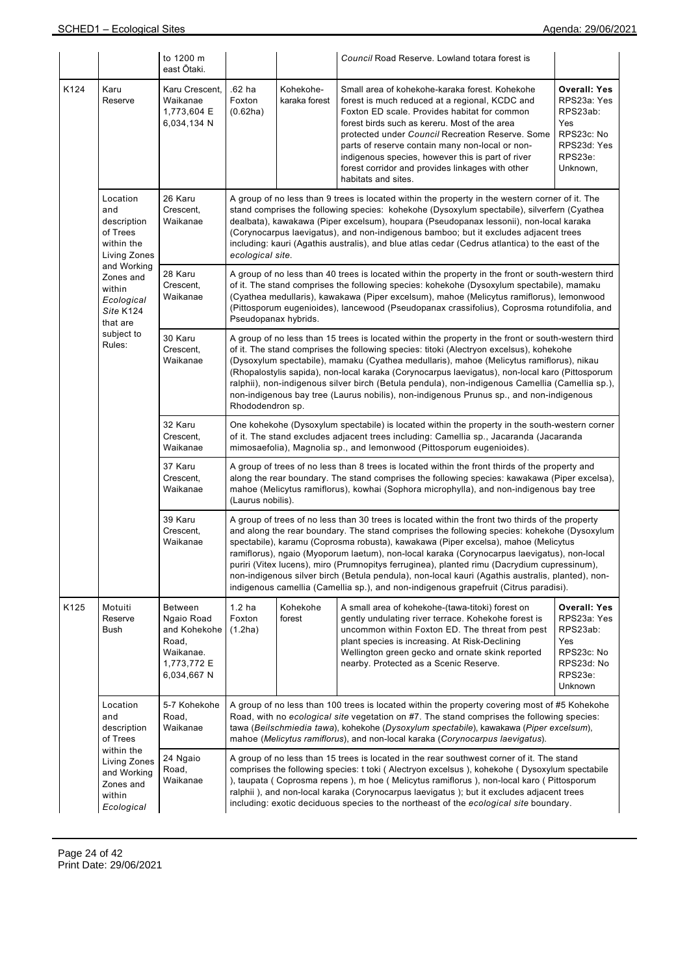|      |                                                                                | to 1200 m<br>east Ōtaki.                                                                         |                                                                                                                                                                                                                                                                                                                                                                                                                                                                                                                                                                                                                 |                                                                                                                                                                                                                                                                                                                                                                                                                                                                                                          | Council Road Reserve. Lowland totara forest is                                                                                                                                                                                                                                                                                                                                                                                                                                                                                                                                                                                                                                  |                                                                                                           |  |  |  |  |
|------|--------------------------------------------------------------------------------|--------------------------------------------------------------------------------------------------|-----------------------------------------------------------------------------------------------------------------------------------------------------------------------------------------------------------------------------------------------------------------------------------------------------------------------------------------------------------------------------------------------------------------------------------------------------------------------------------------------------------------------------------------------------------------------------------------------------------------|----------------------------------------------------------------------------------------------------------------------------------------------------------------------------------------------------------------------------------------------------------------------------------------------------------------------------------------------------------------------------------------------------------------------------------------------------------------------------------------------------------|---------------------------------------------------------------------------------------------------------------------------------------------------------------------------------------------------------------------------------------------------------------------------------------------------------------------------------------------------------------------------------------------------------------------------------------------------------------------------------------------------------------------------------------------------------------------------------------------------------------------------------------------------------------------------------|-----------------------------------------------------------------------------------------------------------|--|--|--|--|
| K124 | Karu<br>Reserve                                                                | Karu Crescent,<br>Waikanae<br>1,773,604 E<br>6,034,134 N                                         | .62 ha<br>Foxton<br>(0.62ha)                                                                                                                                                                                                                                                                                                                                                                                                                                                                                                                                                                                    | Kohekohe-<br>karaka forest                                                                                                                                                                                                                                                                                                                                                                                                                                                                               | Small area of kohekohe-karaka forest. Kohekohe<br>forest is much reduced at a regional, KCDC and<br>Foxton ED scale. Provides habitat for common<br>forest birds such as kereru. Most of the area<br>protected under Council Recreation Reserve. Some<br>parts of reserve contain many non-local or non-<br>indigenous species, however this is part of river<br>forest corridor and provides linkages with other<br>habitats and sites.                                                                                                                                                                                                                                        | <b>Overall: Yes</b><br>RPS23a: Yes<br>RPS23ab:<br>Yes<br>RPS23c: No<br>RPS23d: Yes<br>RPS23e:<br>Unknown, |  |  |  |  |
|      | Location<br>and<br>description<br>of Trees<br>within the<br>Living Zones       | 26 Karu<br>Crescent,<br>Waikanae                                                                 |                                                                                                                                                                                                                                                                                                                                                                                                                                                                                                                                                                                                                 | A group of no less than 9 trees is located within the property in the western corner of it. The<br>stand comprises the following species: kohekohe (Dysoxylum spectabile), silverfern (Cyathea<br>dealbata), kawakawa (Piper excelsum), houpara (Pseudopanax lessonii), non-local karaka<br>(Corynocarpus laevigatus), and non-indigenous bamboo; but it excludes adjacent trees<br>including: kauri (Agathis australis), and blue atlas cedar (Cedrus atlantica) to the east of the<br>ecological site. |                                                                                                                                                                                                                                                                                                                                                                                                                                                                                                                                                                                                                                                                                 |                                                                                                           |  |  |  |  |
|      | and Working<br>Zones and<br>within<br>Ecological<br>Site K124<br>that are      | 28 Karu<br>Crescent,<br>Waikanae                                                                 |                                                                                                                                                                                                                                                                                                                                                                                                                                                                                                                                                                                                                 | A group of no less than 40 trees is located within the property in the front or south-western third<br>of it. The stand comprises the following species: kohekohe (Dysoxylum spectabile), mamaku<br>(Cyathea medullaris), kawakawa (Piper excelsum), mahoe (Melicytus ramiflorus), lemonwood<br>(Pittosporum eugenioides), lancewood (Pseudopanax crassifolius), Coprosma rotundifolia, and<br>Pseudopanax hybrids.                                                                                      |                                                                                                                                                                                                                                                                                                                                                                                                                                                                                                                                                                                                                                                                                 |                                                                                                           |  |  |  |  |
|      | subject to<br>Rules:                                                           | 30 Karu<br>Crescent,<br>Waikanae                                                                 | A group of no less than 15 trees is located within the property in the front or south-western third<br>of it. The stand comprises the following species: titoki (Alectryon excelsus), kohekohe<br>(Dysoxylum spectabile), mamaku (Cyathea medullaris), mahoe (Melicytus ramiflorus), nikau<br>(Rhopalostylis sapida), non-local karaka (Corynocarpus laevigatus), non-local karo (Pittosporum<br>ralphii), non-indigenous silver birch (Betula pendula), non-indigenous Camellia (Camellia sp.),<br>non-indigenous bay tree (Laurus nobilis), non-indigenous Prunus sp., and non-indigenous<br>Rhododendron sp. |                                                                                                                                                                                                                                                                                                                                                                                                                                                                                                          |                                                                                                                                                                                                                                                                                                                                                                                                                                                                                                                                                                                                                                                                                 |                                                                                                           |  |  |  |  |
|      |                                                                                | 32 Karu<br>Crescent,<br>Waikanae                                                                 |                                                                                                                                                                                                                                                                                                                                                                                                                                                                                                                                                                                                                 |                                                                                                                                                                                                                                                                                                                                                                                                                                                                                                          | One kohekohe (Dysoxylum spectabile) is located within the property in the south-western corner<br>of it. The stand excludes adjacent trees including: Camellia sp., Jacaranda (Jacaranda<br>mimosaefolia), Magnolia sp., and lemonwood (Pittosporum eugenioides).                                                                                                                                                                                                                                                                                                                                                                                                               |                                                                                                           |  |  |  |  |
|      |                                                                                | 37 Karu<br>Crescent,<br>Waikanae                                                                 |                                                                                                                                                                                                                                                                                                                                                                                                                                                                                                                                                                                                                 | A group of trees of no less than 8 trees is located within the front thirds of the property and<br>along the rear boundary. The stand comprises the following species: kawakawa (Piper excelsa),<br>mahoe (Melicytus ramiflorus), kowhai (Sophora microphylla), and non-indigenous bay tree<br>(Laurus nobilis).                                                                                                                                                                                         |                                                                                                                                                                                                                                                                                                                                                                                                                                                                                                                                                                                                                                                                                 |                                                                                                           |  |  |  |  |
|      |                                                                                | 39 Karu<br>Crescent,<br>Waikanae                                                                 |                                                                                                                                                                                                                                                                                                                                                                                                                                                                                                                                                                                                                 |                                                                                                                                                                                                                                                                                                                                                                                                                                                                                                          | A group of trees of no less than 30 trees is located within the front two thirds of the property<br>and along the rear boundary. The stand comprises the following species: kohekohe (Dysoxylum<br>spectabile), karamu (Coprosma robusta), kawakawa (Piper excelsa), mahoe (Melicytus<br>ramiflorus), ngaio (Myoporum laetum), non-local karaka (Corynocarpus laevigatus), non-local<br>puriri (Vitex lucens), miro (Prumnopitys ferruginea), planted rimu (Dacrydium cupressinum),<br>non-indigenous silver birch (Betula pendula), non-local kauri (Agathis australis, planted), non-<br>indigenous camellia (Camellia sp.), and non-indigenous grapefruit (Citrus paradisi). |                                                                                                           |  |  |  |  |
| K125 | Motuiti<br>Reserve<br>Bush                                                     | <b>Between</b><br>Ngaio Road<br>and Kohekohe<br>Road,<br>Waikanae.<br>1,773,772 E<br>6,034,667 N | 1.2 <sub>ha</sub><br>Foxton<br>(1.2ha)                                                                                                                                                                                                                                                                                                                                                                                                                                                                                                                                                                          | Kohekohe<br>forest                                                                                                                                                                                                                                                                                                                                                                                                                                                                                       | A small area of kohekohe-(tawa-titoki) forest on<br>gently undulating river terrace. Kohekohe forest is<br>uncommon within Foxton ED. The threat from pest<br>plant species is increasing. At Risk-Declining<br>Wellington green gecko and ornate skink reported<br>nearby. Protected as a Scenic Reserve.                                                                                                                                                                                                                                                                                                                                                                      | Overall: Yes<br>RPS23a: Yes<br>RPS23ab:<br>Yes<br>RPS23c: No<br>RPS23d: No<br>RPS23e:<br>Unknown          |  |  |  |  |
|      | Location<br>and<br>description<br>of Trees                                     | 5-7 Kohekohe<br>Road,<br>Waikanae                                                                |                                                                                                                                                                                                                                                                                                                                                                                                                                                                                                                                                                                                                 |                                                                                                                                                                                                                                                                                                                                                                                                                                                                                                          | A group of no less than 100 trees is located within the property covering most of #5 Kohekohe<br>Road, with no ecological site vegetation on #7. The stand comprises the following species:<br>tawa (Beilschmiedia tawa), kohekohe (Dysoxylum spectabile), kawakawa (Piper excelsum),<br>mahoe (Melicytus ramiflorus), and non-local karaka (Corynocarpus laevigatus).                                                                                                                                                                                                                                                                                                          |                                                                                                           |  |  |  |  |
|      | within the<br>Living Zones<br>and Working<br>Zones and<br>within<br>Ecological | 24 Ngaio<br>Road,<br>Waikanae                                                                    |                                                                                                                                                                                                                                                                                                                                                                                                                                                                                                                                                                                                                 |                                                                                                                                                                                                                                                                                                                                                                                                                                                                                                          | A group of no less than 15 trees is located in the rear southwest corner of it. The stand<br>comprises the following species: t toki (Alectryon excelsus), kohekohe (Dysoxylum spectabile<br>), taupata ( Coprosma repens ), m hoe ( Melicytus ramiflorus ), non-local karo ( Pittosporum<br>ralphii), and non-local karaka (Corynocarpus laevigatus); but it excludes adjacent trees<br>including: exotic deciduous species to the northeast of the ecological site boundary.                                                                                                                                                                                                  |                                                                                                           |  |  |  |  |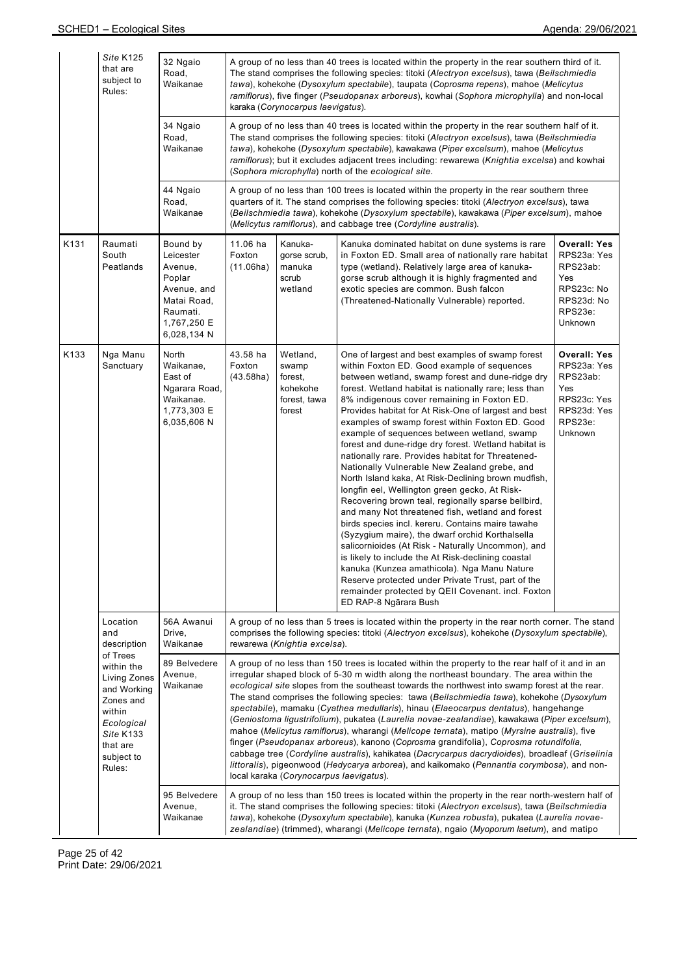|      | Site K125<br>that are<br>subject to<br>Rules:                                                                                                      | 32 Ngaio<br>Road,<br>Waikanae                                                                                      | A group of no less than 40 trees is located within the property in the rear southern third of it.<br>The stand comprises the following species: titoki (Alectryon excelsus), tawa (Beilschmiedia<br>tawa), kohekohe (Dysoxylum spectabile), taupata (Coprosma repens), mahoe (Melicytus<br>ramiflorus), five finger (Pseudopanax arboreus), kowhai (Sophora microphylla) and non-local<br>karaka (Corynocarpus laevigatus).                                                                                                                                                                                                                                                                                                                                                                                                                                                                                                                                                                                           |                                                                    |                                                                                                                                                                                                                                                                                                                                                                                                                                                                                                                                                                                                                                                                                                                                                                                                                                                                                                                                                                                                                                                                                                                                                                                                              |                                                                                                                |  |  |  |
|------|----------------------------------------------------------------------------------------------------------------------------------------------------|--------------------------------------------------------------------------------------------------------------------|-----------------------------------------------------------------------------------------------------------------------------------------------------------------------------------------------------------------------------------------------------------------------------------------------------------------------------------------------------------------------------------------------------------------------------------------------------------------------------------------------------------------------------------------------------------------------------------------------------------------------------------------------------------------------------------------------------------------------------------------------------------------------------------------------------------------------------------------------------------------------------------------------------------------------------------------------------------------------------------------------------------------------|--------------------------------------------------------------------|--------------------------------------------------------------------------------------------------------------------------------------------------------------------------------------------------------------------------------------------------------------------------------------------------------------------------------------------------------------------------------------------------------------------------------------------------------------------------------------------------------------------------------------------------------------------------------------------------------------------------------------------------------------------------------------------------------------------------------------------------------------------------------------------------------------------------------------------------------------------------------------------------------------------------------------------------------------------------------------------------------------------------------------------------------------------------------------------------------------------------------------------------------------------------------------------------------------|----------------------------------------------------------------------------------------------------------------|--|--|--|
|      |                                                                                                                                                    | 34 Ngaio<br>Road,<br>Waikanae                                                                                      | A group of no less than 40 trees is located within the property in the rear southern half of it.<br>The stand comprises the following species: titoki (Alectryon excelsus), tawa (Beilschmiedia<br>tawa), kohekohe (Dysoxylum spectabile), kawakawa (Piper excelsum), mahoe (Melicytus<br>ramiflorus); but it excludes adjacent trees including: rewarewa (Knightia excelsa) and kowhai<br>(Sophora microphylla) north of the ecological site.                                                                                                                                                                                                                                                                                                                                                                                                                                                                                                                                                                        |                                                                    |                                                                                                                                                                                                                                                                                                                                                                                                                                                                                                                                                                                                                                                                                                                                                                                                                                                                                                                                                                                                                                                                                                                                                                                                              |                                                                                                                |  |  |  |
|      |                                                                                                                                                    | 44 Ngaio<br>Road,<br>Waikanae                                                                                      | A group of no less than 100 trees is located within the property in the rear southern three<br>quarters of it. The stand comprises the following species: titoki (Alectryon excelsus), tawa<br>(Beilschmiedia tawa), kohekohe (Dysoxylum spectabile), kawakawa (Piper excelsum), mahoe<br>(Melicytus ramiflorus), and cabbage tree (Cordyline australis).                                                                                                                                                                                                                                                                                                                                                                                                                                                                                                                                                                                                                                                             |                                                                    |                                                                                                                                                                                                                                                                                                                                                                                                                                                                                                                                                                                                                                                                                                                                                                                                                                                                                                                                                                                                                                                                                                                                                                                                              |                                                                                                                |  |  |  |
| K131 | Raumati<br>South<br>Peatlands                                                                                                                      | Bound by<br>Leicester<br>Avenue,<br>Poplar<br>Avenue, and<br>Matai Road,<br>Raumati.<br>1,767,250 E<br>6,028,134 N | 11.06 ha<br>Foxton<br>(11.06ha)                                                                                                                                                                                                                                                                                                                                                                                                                                                                                                                                                                                                                                                                                                                                                                                                                                                                                                                                                                                       | Kanuka-<br>gorse scrub,<br>manuka<br>scrub<br>wetland              | Kanuka dominated habitat on dune systems is rare<br>in Foxton ED. Small area of nationally rare habitat<br>type (wetland). Relatively large area of kanuka-<br>gorse scrub although it is highly fragmented and<br>exotic species are common. Bush falcon<br>(Threatened-Nationally Vulnerable) reported.                                                                                                                                                                                                                                                                                                                                                                                                                                                                                                                                                                                                                                                                                                                                                                                                                                                                                                    | <b>Overall: Yes</b><br>RPS23a: Yes<br>RPS23ab:<br>Yes<br>RPS23c: No<br>RPS23d: No<br>RPS23e:<br><b>Unknown</b> |  |  |  |
| K133 | Nga Manu<br>Sanctuary                                                                                                                              | North<br>Waikanae,<br>East of<br>Ngarara Road,<br>Waikanae.<br>1,773,303 E<br>6,035,606 N                          | 43.58 ha<br>Foxton<br>(43.58ha)                                                                                                                                                                                                                                                                                                                                                                                                                                                                                                                                                                                                                                                                                                                                                                                                                                                                                                                                                                                       | Wetland,<br>swamp<br>forest,<br>kohekohe<br>forest, tawa<br>forest | One of largest and best examples of swamp forest<br>within Foxton ED. Good example of sequences<br>between wetland, swamp forest and dune-ridge dry<br>forest. Wetland habitat is nationally rare; less than<br>8% indigenous cover remaining in Foxton ED.<br>Provides habitat for At Risk-One of largest and best<br>examples of swamp forest within Foxton ED. Good<br>example of sequences between wetland, swamp<br>forest and dune-ridge dry forest. Wetland habitat is<br>nationally rare. Provides habitat for Threatened-<br>Nationally Vulnerable New Zealand grebe, and<br>North Island kaka, At Risk-Declining brown mudfish,<br>longfin eel, Wellington green gecko, At Risk-<br>Recovering brown teal, regionally sparse bellbird,<br>and many Not threatened fish, wetland and forest<br>birds species incl. kereru. Contains maire tawahe<br>(Syzygium maire), the dwarf orchid Korthalsella<br>salicornioides (At Risk - Naturally Uncommon), and<br>is likely to include the At Risk-declining coastal<br>kanuka (Kunzea amathicola). Nga Manu Nature<br>Reserve protected under Private Trust, part of the<br>remainder protected by QEII Covenant. incl. Foxton<br>ED RAP-8 Ngārara Bush | <b>Overall: Yes</b><br>RPS23a: Yes<br>RPS23ab:<br>Yes<br>RPS23c: Yes<br>RPS23d: Yes<br>RPS23e:<br>Unknown      |  |  |  |
|      | Location<br>and<br>description                                                                                                                     | 56A Awanui<br>Drive,<br>Waikanae                                                                                   |                                                                                                                                                                                                                                                                                                                                                                                                                                                                                                                                                                                                                                                                                                                                                                                                                                                                                                                                                                                                                       | rewarewa (Knightia excelsa).                                       | A group of no less than 5 trees is located within the property in the rear north corner. The stand<br>comprises the following species: titoki (Alectryon excelsus), kohekohe (Dysoxylum spectabile),                                                                                                                                                                                                                                                                                                                                                                                                                                                                                                                                                                                                                                                                                                                                                                                                                                                                                                                                                                                                         |                                                                                                                |  |  |  |
|      | of Trees<br>within the<br><b>Living Zones</b><br>and Working<br>Zones and<br>within<br>Ecological<br>Site K133<br>that are<br>subject to<br>Rules: | 89 Belvedere<br>Avenue,<br>Waikanae                                                                                | A group of no less than 150 trees is located within the property to the rear half of it and in an<br>irregular shaped block of 5-30 m width along the northeast boundary. The area within the<br>ecological site slopes from the southeast towards the northwest into swamp forest at the rear.<br>The stand comprises the following species: tawa (Beilschmiedia tawa), kohekohe (Dysoxylum<br>spectabile), mamaku (Cyathea medullaris), hinau (Elaeocarpus dentatus), hangehange<br>(Geniostoma ligustrifolium), pukatea (Laurelia novae-zealandiae), kawakawa (Piper excelsum),<br>mahoe (Melicytus ramiflorus), wharangi (Melicope ternata), matipo (Myrsine australis), five<br>finger (Pseudopanax arboreus), kanono (Coprosma grandifolia), Coprosma rotundifolia,<br>cabbage tree (Cordyline australis), kahikatea (Dacrycarpus dacrydioides), broadleaf (Griselinia<br>littoralis), pigeonwood (Hedycarya arborea), and kaikomako (Pennantia corymbosa), and non-<br>local karaka (Corynocarpus laevigatus). |                                                                    |                                                                                                                                                                                                                                                                                                                                                                                                                                                                                                                                                                                                                                                                                                                                                                                                                                                                                                                                                                                                                                                                                                                                                                                                              |                                                                                                                |  |  |  |
|      |                                                                                                                                                    | 95 Belvedere<br>Avenue,<br>Waikanae                                                                                |                                                                                                                                                                                                                                                                                                                                                                                                                                                                                                                                                                                                                                                                                                                                                                                                                                                                                                                                                                                                                       |                                                                    | A group of no less than 150 trees is located within the property in the rear north-western half of<br>it. The stand comprises the following species: titoki (Alectryon excelsus), tawa (Beilschmiedia<br>tawa), kohekohe (Dysoxylum spectabile), kanuka (Kunzea robusta), pukatea (Laurelia novae-<br>zealandiae) (trimmed), wharangi (Melicope ternata), ngaio (Myoporum laetum), and matipo                                                                                                                                                                                                                                                                                                                                                                                                                                                                                                                                                                                                                                                                                                                                                                                                                |                                                                                                                |  |  |  |

Page 25 of 42 Print Date: 29/06/2021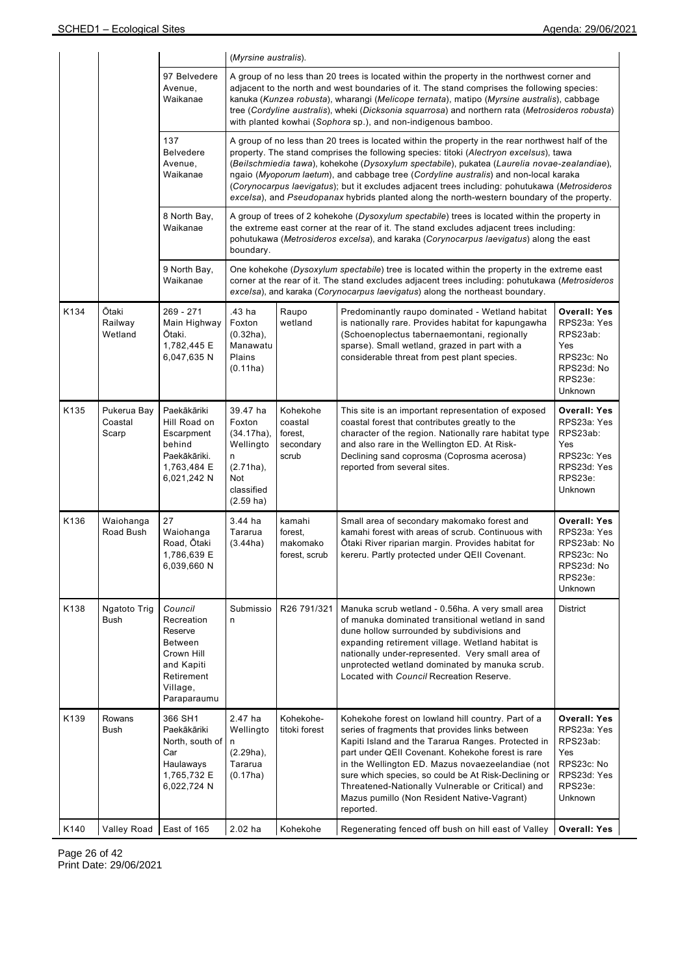|      |                                 |                                                                                                                         |                                                                                                                                                                                                                                                                                                                                                                                                                                                                                                                                                                                    | (Myrsine australis).                                                                                                                                                                                                                                                               |                                                                                                                                                                                                                                                                                                                                                                                                                                                              |                                                                                                           |  |  |  |
|------|---------------------------------|-------------------------------------------------------------------------------------------------------------------------|------------------------------------------------------------------------------------------------------------------------------------------------------------------------------------------------------------------------------------------------------------------------------------------------------------------------------------------------------------------------------------------------------------------------------------------------------------------------------------------------------------------------------------------------------------------------------------|------------------------------------------------------------------------------------------------------------------------------------------------------------------------------------------------------------------------------------------------------------------------------------|--------------------------------------------------------------------------------------------------------------------------------------------------------------------------------------------------------------------------------------------------------------------------------------------------------------------------------------------------------------------------------------------------------------------------------------------------------------|-----------------------------------------------------------------------------------------------------------|--|--|--|
|      |                                 | 97 Belvedere<br>Avenue,<br>Waikanae                                                                                     |                                                                                                                                                                                                                                                                                                                                                                                                                                                                                                                                                                                    |                                                                                                                                                                                                                                                                                    | A group of no less than 20 trees is located within the property in the northwest corner and<br>adjacent to the north and west boundaries of it. The stand comprises the following species:<br>kanuka (Kunzea robusta), wharangi (Melicope ternata), matipo (Myrsine australis), cabbage<br>tree (Cordyline australis), wheki (Dicksonia squarrosa) and northern rata (Metrosideros robusta)<br>with planted kowhai (Sophora sp.), and non-indigenous bamboo. |                                                                                                           |  |  |  |
|      |                                 | 137<br><b>Belvedere</b><br>Avenue,<br>Waikanae                                                                          | A group of no less than 20 trees is located within the property in the rear northwest half of the<br>property. The stand comprises the following species: titoki (Alectryon excelsus), tawa<br>(Beilschmiedia tawa), kohekohe (Dysoxylum spectabile), pukatea (Laurelia novae-zealandiae),<br>ngaio (Myoporum laetum), and cabbage tree (Cordyline australis) and non-local karaka<br>(Corynocarpus laevigatus); but it excludes adjacent trees including: pohutukawa (Metrosideros<br>excelsa), and Pseudopanax hybrids planted along the north-western boundary of the property. |                                                                                                                                                                                                                                                                                    |                                                                                                                                                                                                                                                                                                                                                                                                                                                              |                                                                                                           |  |  |  |
|      |                                 | 8 North Bay,<br>Waikanae                                                                                                | boundary.                                                                                                                                                                                                                                                                                                                                                                                                                                                                                                                                                                          | A group of trees of 2 kohekohe (Dysoxylum spectabile) trees is located within the property in<br>the extreme east corner at the rear of it. The stand excludes adjacent trees including:<br>pohutukawa (Metrosideros excelsa), and karaka (Corynocarpus laevigatus) along the east |                                                                                                                                                                                                                                                                                                                                                                                                                                                              |                                                                                                           |  |  |  |
|      |                                 | 9 North Bay,<br>Waikanae                                                                                                |                                                                                                                                                                                                                                                                                                                                                                                                                                                                                                                                                                                    |                                                                                                                                                                                                                                                                                    | One kohekohe (Dysoxylum spectabile) tree is located within the property in the extreme east<br>corner at the rear of it. The stand excludes adjacent trees including: pohutukawa (Metrosideros<br>excelsa), and karaka (Corynocarpus laevigatus) along the northeast boundary.                                                                                                                                                                               |                                                                                                           |  |  |  |
| K134 | Ōtaki<br>Railway<br>Wetland     | 269 - 271<br>Main Highway<br>Ōtaki.<br>1,782,445 E<br>6,047,635N                                                        | .43 ha<br>Foxton<br>$(0.32ha)$ ,<br>Manawatu<br>Plains<br>(0.11ha)                                                                                                                                                                                                                                                                                                                                                                                                                                                                                                                 | Raupo<br>wetland                                                                                                                                                                                                                                                                   | Predominantly raupo dominated - Wetland habitat<br>is nationally rare. Provides habitat for kapungawha<br>(Schoenoplectus tabernaemontani, regionally<br>sparse). Small wetland, grazed in part with a<br>considerable threat from pest plant species.                                                                                                                                                                                                       | <b>Overall: Yes</b><br>RPS23a: Yes<br>RPS23ab:<br>Yes<br>RPS23c: No<br>RPS23d: No<br>RPS23e:<br>Unknown   |  |  |  |
| K135 | Pukerua Bay<br>Coastal<br>Scarp | Paekākāriki<br>Hill Road on<br>Escarpment<br>behind<br>Paekākāriki.<br>1,763,484 E<br>6,021,242 N                       | 39.47 ha<br>Foxton<br>(34.17ha),<br>Wellingto<br>n<br>$(2.71ha)$ ,<br>Not<br>classified<br>$(2.59 \text{ ha})$                                                                                                                                                                                                                                                                                                                                                                                                                                                                     | Kohekohe<br>coastal<br>forest,<br>secondary<br>scrub                                                                                                                                                                                                                               | This site is an important representation of exposed<br>coastal forest that contributes greatly to the<br>character of the region. Nationally rare habitat type<br>and also rare in the Wellington ED. At Risk-<br>Declining sand coprosma (Coprosma acerosa)<br>reported from several sites.                                                                                                                                                                 | <b>Overall: Yes</b><br>RPS23a: Yes<br>RPS23ab:<br>Yes<br>RPS23c: Yes<br>RPS23d: Yes<br>RPS23e:<br>Unknown |  |  |  |
| K136 | Waiohanga<br>Road Bush          | 27<br>Waiohanga<br>Road, Ōtaki<br>1,786,639 E<br>6,039,660 N                                                            | 3.44 ha<br>Tararua<br>(3.44ha)                                                                                                                                                                                                                                                                                                                                                                                                                                                                                                                                                     | kamahi<br>forest,<br>makomako<br>forest, scrub                                                                                                                                                                                                                                     | Small area of secondary makomako forest and<br>kamahi forest with areas of scrub. Continuous with<br>Otaki River riparian margin. Provides habitat for<br>kereru. Partly protected under QEII Covenant.                                                                                                                                                                                                                                                      | <b>Overall: Yes</b><br>RPS23a: Yes<br>RPS23ab: No<br>RPS23c: No<br>RPS23d: No<br>RPS23e:<br>Unknown       |  |  |  |
| K138 | Ngatoto Trig<br><b>Bush</b>     | Council<br>Recreation<br>Reserve<br><b>Between</b><br>Crown Hill<br>and Kapiti<br>Retirement<br>Village,<br>Paraparaumu | Submissio<br>n.                                                                                                                                                                                                                                                                                                                                                                                                                                                                                                                                                                    | R26 791/321                                                                                                                                                                                                                                                                        | Manuka scrub wetland - 0.56ha. A very small area<br>of manuka dominated transitional wetland in sand<br>dune hollow surrounded by subdivisions and<br>expanding retirement village. Wetland habitat is<br>nationally under-represented. Very small area of<br>unprotected wetland dominated by manuka scrub.<br>Located with Council Recreation Reserve.                                                                                                     | District                                                                                                  |  |  |  |
| K139 | Rowans<br>Bush                  | 366 SH1<br>Paekākāriki<br>North, south of<br>Car<br>Haulaways<br>1,765,732 E<br>6,022,724 N                             | 2.47 ha<br>Wellingto<br>n.<br>$(2.29ha)$ ,<br>Tararua<br>(0.17ha)                                                                                                                                                                                                                                                                                                                                                                                                                                                                                                                  | Kohekohe-<br>titoki forest                                                                                                                                                                                                                                                         | Kohekohe forest on lowland hill country. Part of a<br>series of fragments that provides links between<br>Kapiti Island and the Tararua Ranges. Protected in<br>part under QEII Covenant. Kohekohe forest is rare<br>in the Wellington ED. Mazus novaezeelandiae (not<br>sure which species, so could be At Risk-Declining or<br>Threatened-Nationally Vulnerable or Critical) and<br>Mazus pumillo (Non Resident Native-Vagrant)<br>reported.                | <b>Overall: Yes</b><br>RPS23a: Yes<br>RPS23ab:<br>Yes<br>RPS23c: No<br>RPS23d: Yes<br>RPS23e:<br>Unknown  |  |  |  |
| K140 | Valley Road                     | East of 165                                                                                                             | 2.02 ha                                                                                                                                                                                                                                                                                                                                                                                                                                                                                                                                                                            | Kohekohe                                                                                                                                                                                                                                                                           | Regenerating fenced off bush on hill east of Valley                                                                                                                                                                                                                                                                                                                                                                                                          | <b>Overall: Yes</b>                                                                                       |  |  |  |

Page 26 of 42 Print Date: 29/06/2021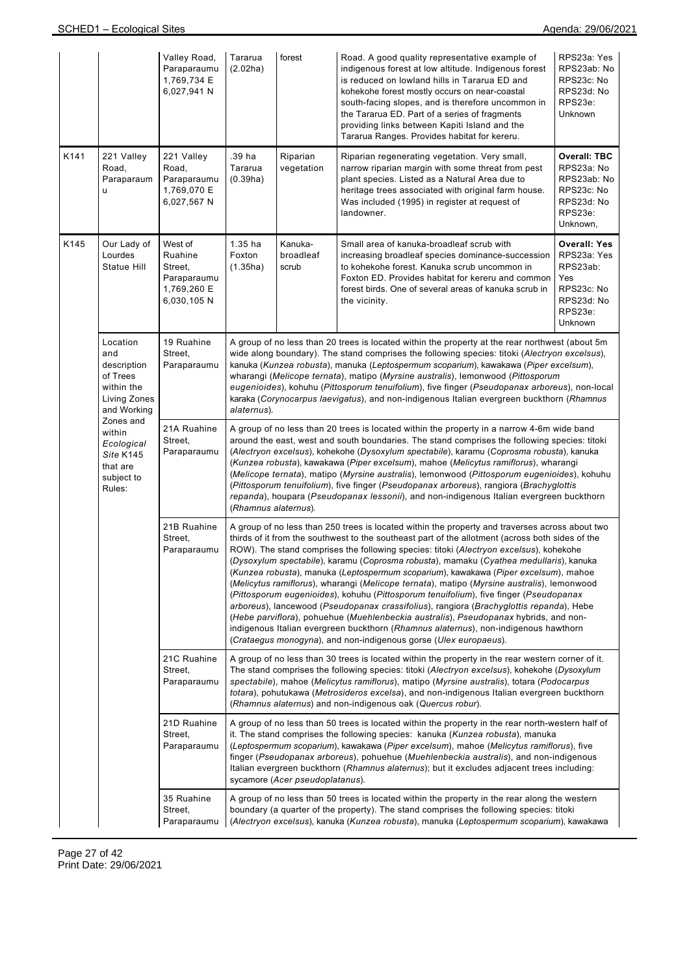|      |                                                                                                                                                                               | Valley Road,<br>Paraparaumu<br>1,769,734 E<br>6,027,941 N                  | Tararua<br>(2.02ha)                                                                                                                                                                                                                                                                                                                                                                                                                                                                                                                                                                                                                                                                         | forest                          | Road. A good quality representative example of<br>indigenous forest at low altitude. Indigenous forest<br>is reduced on lowland hills in Tararua ED and<br>kohekohe forest mostly occurs on near-coastal<br>south-facing slopes, and is therefore uncommon in<br>the Tararua ED. Part of a series of fragments<br>providing links between Kapiti Island and the<br>Tararua Ranges. Provides habitat for kereru.                                                                                                                                                                                                                                                                                                                                                                                                                                                                                                                                                                                                     | RPS23a: Yes<br>RPS23ab: No<br>RPS23c: No<br>RPS23d: No<br>RPS23e:<br><b>Unknown</b>                            |  |  |
|------|-------------------------------------------------------------------------------------------------------------------------------------------------------------------------------|----------------------------------------------------------------------------|---------------------------------------------------------------------------------------------------------------------------------------------------------------------------------------------------------------------------------------------------------------------------------------------------------------------------------------------------------------------------------------------------------------------------------------------------------------------------------------------------------------------------------------------------------------------------------------------------------------------------------------------------------------------------------------------|---------------------------------|---------------------------------------------------------------------------------------------------------------------------------------------------------------------------------------------------------------------------------------------------------------------------------------------------------------------------------------------------------------------------------------------------------------------------------------------------------------------------------------------------------------------------------------------------------------------------------------------------------------------------------------------------------------------------------------------------------------------------------------------------------------------------------------------------------------------------------------------------------------------------------------------------------------------------------------------------------------------------------------------------------------------|----------------------------------------------------------------------------------------------------------------|--|--|
| K141 | 221 Valley<br>Road,<br>Paraparaum<br>u                                                                                                                                        | 221 Valley<br>Road,<br>Paraparaumu<br>1,769,070 E<br>6,027,567 N           | .39 ha<br>Tararua<br>(0.39ha)                                                                                                                                                                                                                                                                                                                                                                                                                                                                                                                                                                                                                                                               | Riparian<br>vegetation          | Riparian regenerating vegetation. Very small,<br>narrow riparian margin with some threat from pest<br>plant species. Listed as a Natural Area due to<br>heritage trees associated with original farm house.<br>Was included (1995) in register at request of<br>landowner.                                                                                                                                                                                                                                                                                                                                                                                                                                                                                                                                                                                                                                                                                                                                          | <b>Overall: TBC</b><br>RPS23a: No<br>RPS23ab: No<br>RPS23c: No<br>RPS23d: No<br>RPS23e:<br>Unknown,            |  |  |
| K145 | Our Lady of<br>Lourdes<br>Statue Hill                                                                                                                                         | West of<br>Ruahine<br>Street,<br>Paraparaumu<br>1,769,260 E<br>6,030,105 N | 1.35 ha<br>Foxton<br>(1.35ha)                                                                                                                                                                                                                                                                                                                                                                                                                                                                                                                                                                                                                                                               | Kanuka-<br>broadleaf<br>scrub   | Small area of kanuka-broadleaf scrub with<br>increasing broadleaf species dominance-succession<br>to kohekohe forest. Kanuka scrub uncommon in<br>Foxton ED. Provides habitat for kereru and common<br>forest birds. One of several areas of kanuka scrub in<br>the vicinity.                                                                                                                                                                                                                                                                                                                                                                                                                                                                                                                                                                                                                                                                                                                                       | <b>Overall: Yes</b><br>RPS23a: Yes<br>RPS23ab:<br>Yes<br>RPS23c: No<br>RPS23d: No<br>RPS23e:<br><b>Unknown</b> |  |  |
|      | Location<br>and<br>description<br>of Trees<br>within the<br>Living Zones<br>and Working<br>Zones and<br>within<br>Ecological<br>Site K145<br>that are<br>subject to<br>Rules: | 19 Ruahine<br>Street,<br>Paraparaumu                                       | A group of no less than 20 trees is located within the property at the rear northwest (about 5m<br>wide along boundary). The stand comprises the following species: titoki (Alectryon excelsus),<br>kanuka (Kunzea robusta), manuka (Leptospermum scoparium), kawakawa (Piper excelsum),<br>wharangi (Melicope ternata), matipo (Myrsine australis), lemonwood (Pittosporum<br>eugenioides), kohuhu (Pittosporum tenuifolium), five finger (Pseudopanax arboreus), non-local<br>karaka (Corynocarpus laevigatus), and non-indigenous Italian evergreen buckthorn (Rhamnus<br>alaternus).                                                                                                    |                                 |                                                                                                                                                                                                                                                                                                                                                                                                                                                                                                                                                                                                                                                                                                                                                                                                                                                                                                                                                                                                                     |                                                                                                                |  |  |
|      |                                                                                                                                                                               | 21A Ruahine<br>Street,<br>Paraparaumu                                      | A group of no less than 20 trees is located within the property in a narrow 4-6m wide band<br>around the east, west and south boundaries. The stand comprises the following species: titoki<br>(Alectryon excelsus), kohekohe (Dysoxylum spectabile), karamu (Coprosma robusta), kanuka<br>(Kunzea robusta), kawakawa (Piper excelsum), mahoe (Melicytus ramiflorus), wharangi<br>(Melicope ternata), matipo (Myrsine australis), lemonwood (Pittosporum eugenioides), kohuhu<br>(Pittosporum tenuifolium), five finger (Pseudopanax arboreus), rangiora (Brachyglottis<br>repanda), houpara (Pseudopanax lessonii), and non-indigenous Italian evergreen buckthorn<br>(Rhamnus alaternus). |                                 |                                                                                                                                                                                                                                                                                                                                                                                                                                                                                                                                                                                                                                                                                                                                                                                                                                                                                                                                                                                                                     |                                                                                                                |  |  |
|      |                                                                                                                                                                               | 21B Ruahine<br>Street,<br>Paraparaumu                                      |                                                                                                                                                                                                                                                                                                                                                                                                                                                                                                                                                                                                                                                                                             |                                 | A group of no less than 250 trees is located within the property and traverses across about two<br>thirds of it from the southwest to the southeast part of the allotment (across both sides of the<br>ROW). The stand comprises the following species: titoki (Alectryon excelsus), kohekohe<br>(Dysoxylum spectabile), karamu (Coprosma robusta), mamaku (Cyathea medullaris), kanuka<br>(Kunzea robusta), manuka (Leptospermum scoparium), kawakawa (Piper excelsum), mahoe<br>(Melicytus ramiflorus), wharangi (Melicope ternata), matipo (Myrsine australis), lemonwood<br>(Pittosporum eugenioides), kohuhu (Pittosporum tenuifolium), five finger (Pseudopanax<br>arboreus), lancewood (Pseudopanax crassifolius), rangiora (Brachyglottis repanda), Hebe<br>(Hebe parviflora), pohuehue (Muehlenbeckia australis), Pseudopanax hybrids, and non-<br>indigenous Italian evergreen buckthorn (Rhamnus alaternus), non-indigenous hawthorn<br>(Crataegus monogyna), and non-indigenous gorse (Ulex europaeus). |                                                                                                                |  |  |
|      |                                                                                                                                                                               | 21C Ruahine<br>Street,<br>Paraparaumu                                      |                                                                                                                                                                                                                                                                                                                                                                                                                                                                                                                                                                                                                                                                                             |                                 | A group of no less than 30 trees is located within the property in the rear western corner of it.<br>The stand comprises the following species: titoki (Alectryon excelsus), kohekohe (Dysoxylum<br>spectabile), mahoe (Melicytus ramiflorus), matipo (Myrsine australis), totara (Podocarpus<br>totara), pohutukawa (Metrosideros excelsa), and non-indigenous Italian evergreen buckthorn<br>(Rhamnus alaternus) and non-indigenous oak (Quercus robur).                                                                                                                                                                                                                                                                                                                                                                                                                                                                                                                                                          |                                                                                                                |  |  |
|      |                                                                                                                                                                               | 21D Ruahine<br>Street,<br>Paraparaumu                                      |                                                                                                                                                                                                                                                                                                                                                                                                                                                                                                                                                                                                                                                                                             | sycamore (Acer pseudoplatanus). | A group of no less than 50 trees is located within the property in the rear north-western half of<br>it. The stand comprises the following species: kanuka (Kunzea robusta), manuka<br>(Leptospermum scoparium), kawakawa (Piper excelsum), mahoe (Melicytus ramiflorus), five<br>finger (Pseudopanax arboreus), pohuehue (Muehlenbeckia australis), and non-indigenous<br>Italian evergreen buckthorn (Rhamnus alaternus); but it excludes adjacent trees including:                                                                                                                                                                                                                                                                                                                                                                                                                                                                                                                                               |                                                                                                                |  |  |
|      |                                                                                                                                                                               | 35 Ruahine<br>Street,<br>Paraparaumu                                       |                                                                                                                                                                                                                                                                                                                                                                                                                                                                                                                                                                                                                                                                                             |                                 | A group of no less than 50 trees is located within the property in the rear along the western<br>boundary (a quarter of the property). The stand comprises the following species: titoki<br>(Alectryon excelsus), kanuka (Kunzea robusta), manuka (Leptospermum scoparium), kawakawa                                                                                                                                                                                                                                                                                                                                                                                                                                                                                                                                                                                                                                                                                                                                |                                                                                                                |  |  |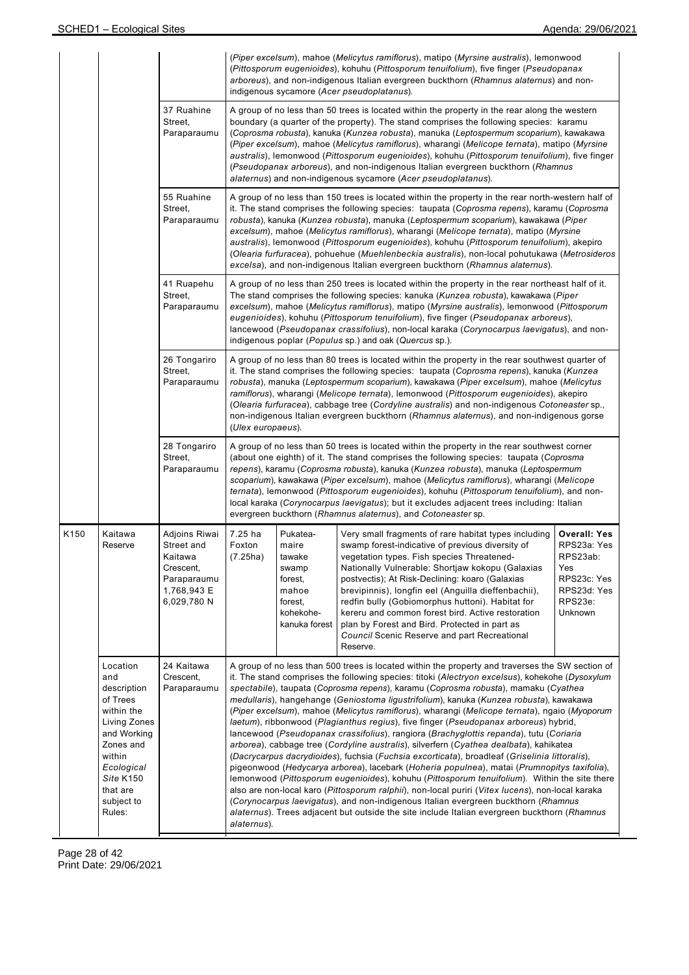|                  |                                                                                                                                                                               |                                                                                                  |                                                                                                                                                                                                                                                                                                                                                                                                                                                                                                                                                                                                                                                                                                                                                                                                                                                                                                                                                                                                                                                                                                                                                                                                                                                                                                                                                                          |                                                                                                                                                                                                                                                                                                                                                                                                                                                                                                                                                                                                                                                                 | (Piper excelsum), mahoe (Melicytus ramiflorus), matipo (Myrsine australis), lemonwood<br>(Pittosporum eugenioides), kohuhu (Pittosporum tenuifolium), five finger (Pseudopanax<br>arboreus), and non-indigenous Italian evergreen buckthorn (Rhamnus alaternus) and non-<br>indigenous sycamore (Acer pseudoplatanus).                                                                                                                                                                                                                     |                                                                                                           |  |  |  |
|------------------|-------------------------------------------------------------------------------------------------------------------------------------------------------------------------------|--------------------------------------------------------------------------------------------------|--------------------------------------------------------------------------------------------------------------------------------------------------------------------------------------------------------------------------------------------------------------------------------------------------------------------------------------------------------------------------------------------------------------------------------------------------------------------------------------------------------------------------------------------------------------------------------------------------------------------------------------------------------------------------------------------------------------------------------------------------------------------------------------------------------------------------------------------------------------------------------------------------------------------------------------------------------------------------------------------------------------------------------------------------------------------------------------------------------------------------------------------------------------------------------------------------------------------------------------------------------------------------------------------------------------------------------------------------------------------------|-----------------------------------------------------------------------------------------------------------------------------------------------------------------------------------------------------------------------------------------------------------------------------------------------------------------------------------------------------------------------------------------------------------------------------------------------------------------------------------------------------------------------------------------------------------------------------------------------------------------------------------------------------------------|--------------------------------------------------------------------------------------------------------------------------------------------------------------------------------------------------------------------------------------------------------------------------------------------------------------------------------------------------------------------------------------------------------------------------------------------------------------------------------------------------------------------------------------------|-----------------------------------------------------------------------------------------------------------|--|--|--|
|                  |                                                                                                                                                                               | 37 Ruahine<br>Street,<br>Paraparaumu                                                             |                                                                                                                                                                                                                                                                                                                                                                                                                                                                                                                                                                                                                                                                                                                                                                                                                                                                                                                                                                                                                                                                                                                                                                                                                                                                                                                                                                          | A group of no less than 50 trees is located within the property in the rear along the western<br>boundary (a quarter of the property). The stand comprises the following species: karamu<br>(Coprosma robusta), kanuka (Kunzea robusta), manuka (Leptospermum scoparium), kawakawa<br>(Piper excelsum), mahoe (Melicytus ramiflorus), wharangi (Melicope ternata), matipo (Myrsine<br>australis), lemonwood (Pittosporum eugenioides), kohuhu (Pittosporum tenuifolium), five finger<br>(Pseudopanax arboreus), and non-indigenous Italian evergreen buckthorn (Rhamnus<br>alaternus) and non-indigenous sycamore (Acer pseudoplatanus).                        |                                                                                                                                                                                                                                                                                                                                                                                                                                                                                                                                            |                                                                                                           |  |  |  |
|                  |                                                                                                                                                                               | 55 Ruahine<br>Street,<br>Paraparaumu                                                             |                                                                                                                                                                                                                                                                                                                                                                                                                                                                                                                                                                                                                                                                                                                                                                                                                                                                                                                                                                                                                                                                                                                                                                                                                                                                                                                                                                          | A group of no less than 150 trees is located within the property in the rear north-western half of<br>it. The stand comprises the following species: taupata (Coprosma repens), karamu (Coprosma<br>robusta), kanuka (Kunzea robusta), manuka (Leptospermum scoparium), kawakawa (Piper<br>excelsum), mahoe (Melicytus ramiflorus), wharangi (Melicope ternata), matipo (Myrsine<br>australis), lemonwood (Pittosporum eugenioides), kohuhu (Pittosporum tenuifolium), akepiro<br>(Olearia furfuracea), pohuehue (Muehlenbeckia australis), non-local pohutukawa (Metrosideros<br>excelsa), and non-indigenous Italian evergreen buckthorn (Rhamnus alaternus). |                                                                                                                                                                                                                                                                                                                                                                                                                                                                                                                                            |                                                                                                           |  |  |  |
|                  |                                                                                                                                                                               | 41 Ruapehu<br>Street,<br>Paraparaumu                                                             |                                                                                                                                                                                                                                                                                                                                                                                                                                                                                                                                                                                                                                                                                                                                                                                                                                                                                                                                                                                                                                                                                                                                                                                                                                                                                                                                                                          | A group of no less than 250 trees is located within the property in the rear northeast half of it.<br>The stand comprises the following species: kanuka (Kunzea robusta), kawakawa (Piper<br>excelsum), mahoe (Melicytus ramiflorus), matipo (Myrsine australis), lemonwood (Pittosporum<br>eugenioides), kohuhu (Pittosporum tenuifolium), five finger (Pseudopanax arboreus),<br>lancewood (Pseudopanax crassifolius), non-local karaka (Corynocarpus laevigatus), and non-<br>indigenous poplar (Populus sp.) and oak (Quercus sp.).                                                                                                                         |                                                                                                                                                                                                                                                                                                                                                                                                                                                                                                                                            |                                                                                                           |  |  |  |
|                  |                                                                                                                                                                               | 26 Tongariro<br>Street,<br>Paraparaumu                                                           |                                                                                                                                                                                                                                                                                                                                                                                                                                                                                                                                                                                                                                                                                                                                                                                                                                                                                                                                                                                                                                                                                                                                                                                                                                                                                                                                                                          | A group of no less than 80 trees is located within the property in the rear southwest quarter of<br>it. The stand comprises the following species: taupata (Coprosma repens), kanuka (Kunzea<br>robusta), manuka (Leptospermum scoparium), kawakawa (Piper excelsum), mahoe (Melicytus<br>ramiflorus), wharangi (Melicope ternata), lemonwood (Pittosporum eugenioides), akepiro<br>(Olearia furfuracea), cabbage tree (Cordyline australis) and non-indigenous Cotoneaster sp.,<br>non-indigenous Italian evergreen buckthorn (Rhamnus alaternus), and non-indigenous gorse<br>(Ulex europaeus).                                                               |                                                                                                                                                                                                                                                                                                                                                                                                                                                                                                                                            |                                                                                                           |  |  |  |
|                  |                                                                                                                                                                               | 28 Tongariro<br>Street,<br>Paraparaumu                                                           | A group of no less than 50 trees is located within the property in the rear southwest corner<br>(about one eighth) of it. The stand comprises the following species: taupata (Coprosma<br>repens), karamu (Coprosma robusta), kanuka (Kunzea robusta), manuka (Leptospermum<br>scoparium), kawakawa (Piper excelsum), mahoe (Melicytus ramiflorus), wharangi (Melicope<br>ternata), lemonwood (Pittosporum eugenioides), kohuhu (Pittosporum tenuifolium), and non-<br>local karaka (Corynocarpus laevigatus); but it excludes adjacent trees including: Italian<br>evergreen buckthorn (Rhamnus alaternus), and Cotoneaster sp.                                                                                                                                                                                                                                                                                                                                                                                                                                                                                                                                                                                                                                                                                                                                         |                                                                                                                                                                                                                                                                                                                                                                                                                                                                                                                                                                                                                                                                 |                                                                                                                                                                                                                                                                                                                                                                                                                                                                                                                                            |                                                                                                           |  |  |  |
| K <sub>150</sub> | Kaitawa<br>Reserve                                                                                                                                                            | Adjoins Riwai<br>Street and<br>Kaitawa<br>Crescent,<br>Paraparaumu<br>1,768,943 E<br>6,029,780 N | 7.25 ha<br>Foxton<br>(7.25ha)                                                                                                                                                                                                                                                                                                                                                                                                                                                                                                                                                                                                                                                                                                                                                                                                                                                                                                                                                                                                                                                                                                                                                                                                                                                                                                                                            | Pukatea-<br>maire<br>tawake<br>swamp<br>forest,<br>mahoe<br>forest.<br>kohekohe-<br>kanuka forest                                                                                                                                                                                                                                                                                                                                                                                                                                                                                                                                                               | Very small fragments of rare habitat types including<br>swamp forest-indicative of previous diversity of<br>vegetation types. Fish species Threatened-<br>Nationally Vulnerable: Shortjaw kokopu (Galaxias<br>postvectis); At Risk-Declining: koaro (Galaxias<br>brevipinnis), longfin eel (Anguilla dieffenbachii),<br>redfin bully (Gobiomorphus huttoni). Habitat for<br>kereru and common forest bird. Active restoration<br>plan by Forest and Bird. Protected in part as<br>Council Scenic Reserve and part Recreational<br>Reserve. | <b>Overall: Yes</b><br>RPS23a: Yes<br>RPS23ab:<br>Yes<br>RPS23c: Yes<br>RPS23d: Yes<br>RPS23e:<br>Unknown |  |  |  |
|                  | Location<br>and<br>description<br>of Trees<br>within the<br>Living Zones<br>and Working<br>Zones and<br>within<br>Ecological<br>Site K150<br>that are<br>subject to<br>Rules: | 24 Kaitawa<br>Crescent,<br>Paraparaumu                                                           | A group of no less than 500 trees is located within the property and traverses the SW section of<br>it. The stand comprises the following species: titoki (Alectryon excelsus), kohekohe (Dysoxylum<br>spectabile), taupata (Coprosma repens), karamu (Coprosma robusta), mamaku (Cyathea<br>medullaris), hangehange (Geniostoma ligustrifolium), kanuka (Kunzea robusta), kawakawa<br>(Piper excelsum), mahoe (Melicytus ramiflorus), wharangi (Melicope ternata), ngaio (Myoporum<br>laetum), ribbonwood (Plagianthus regius), five finger (Pseudopanax arboreus) hybrid,<br>lancewood (Pseudopanax crassifolius), rangiora (Brachyglottis repanda), tutu (Coriaria<br>arborea), cabbage tree (Cordyline australis), silverfern (Cyathea dealbata), kahikatea<br>(Dacrycarpus dacrydioides), fuchsia (Fuchsia excorticata), broadleaf (Griselinia littoralis),<br>pigeonwood (Hedycarya arborea), lacebark (Hoheria populnea), matai (Prumnopitys taxifolia),<br>lemonwood (Pittosporum eugenioides), kohuhu (Pittosporum tenuifolium). Within the site there<br>also are non-local karo (Pittosporum ralphii), non-local puriri (Vitex lucens), non-local karaka<br>(Corynocarpus laevigatus), and non-indigenous Italian evergreen buckthorn (Rhamnus<br>alaternus). Trees adjacent but outside the site include Italian evergreen buckthorn (Rhamnus<br>alaternus). |                                                                                                                                                                                                                                                                                                                                                                                                                                                                                                                                                                                                                                                                 |                                                                                                                                                                                                                                                                                                                                                                                                                                                                                                                                            |                                                                                                           |  |  |  |

Page 28 of 42 Print Date: 29/06/2021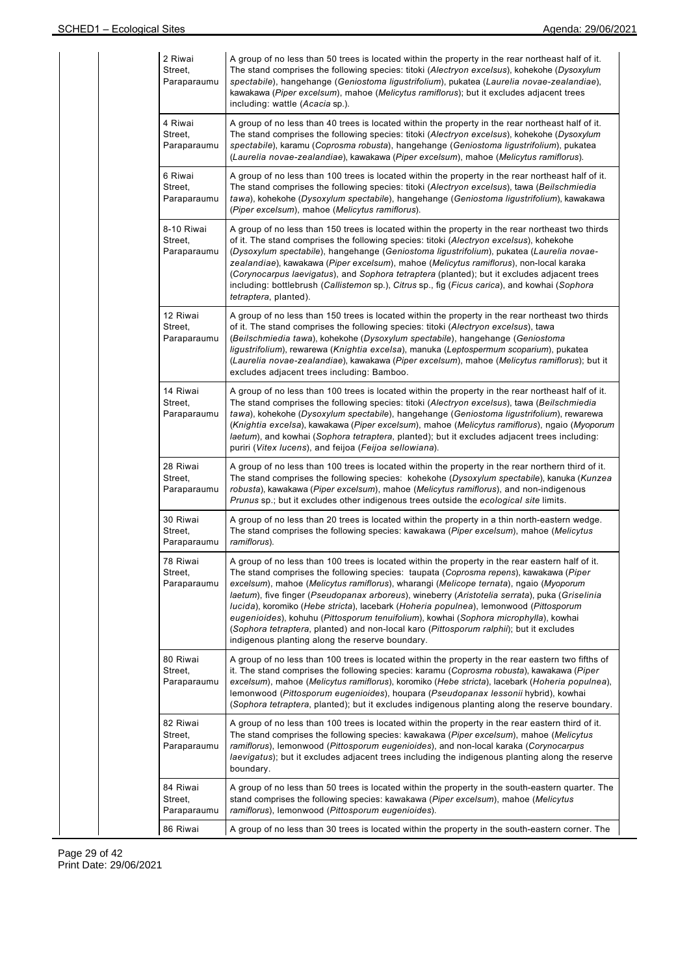| 2 Riwai<br>Street,<br>Paraparaumu    | A group of no less than 50 trees is located within the property in the rear northeast half of it.<br>The stand comprises the following species: titoki (Alectryon excelsus), kohekohe (Dysoxylum<br>spectabile), hangehange (Geniostoma ligustrifolium), pukatea (Laurelia novae-zealandiae),<br>kawakawa (Piper excelsum), mahoe (Melicytus ramiflorus); but it excludes adjacent trees<br>including: wattle (Acacia sp.).                                                                                                                                                                                                                                                                                         |
|--------------------------------------|---------------------------------------------------------------------------------------------------------------------------------------------------------------------------------------------------------------------------------------------------------------------------------------------------------------------------------------------------------------------------------------------------------------------------------------------------------------------------------------------------------------------------------------------------------------------------------------------------------------------------------------------------------------------------------------------------------------------|
| 4 Riwai<br>Street,<br>Paraparaumu    | A group of no less than 40 trees is located within the property in the rear northeast half of it.<br>The stand comprises the following species: titoki (Alectryon excelsus), kohekohe (Dysoxylum<br>spectabile), karamu (Coprosma robusta), hangehange (Geniostoma ligustrifolium), pukatea<br>(Laurelia novae-zealandiae), kawakawa (Piper excelsum), mahoe (Melicytus ramiflorus).                                                                                                                                                                                                                                                                                                                                |
| 6 Riwai<br>Street,<br>Paraparaumu    | A group of no less than 100 trees is located within the property in the rear northeast half of it.<br>The stand comprises the following species: titoki (Alectryon excelsus), tawa (Beilschmiedia<br>tawa), kohekohe (Dysoxylum spectabile), hangehange (Geniostoma ligustrifolium), kawakawa<br>(Piper excelsum), mahoe (Melicytus ramiflorus).                                                                                                                                                                                                                                                                                                                                                                    |
| 8-10 Riwai<br>Street,<br>Paraparaumu | A group of no less than 150 trees is located within the property in the rear northeast two thirds<br>of it. The stand comprises the following species: titoki (Alectryon excelsus), kohekohe<br>(Dysoxylum spectabile), hangehange (Geniostoma ligustrifolium), pukatea (Laurelia novae-<br>zealandiae), kawakawa (Piper excelsum), mahoe (Melicytus ramiflorus), non-local karaka<br>(Corynocarpus laevigatus), and Sophora tetraptera (planted); but it excludes adjacent trees<br>including: bottlebrush (Callistemon sp.), Citrus sp., fig (Ficus carica), and kowhai (Sophora<br>tetraptera, planted).                                                                                                         |
| 12 Riwai<br>Street,<br>Paraparaumu   | A group of no less than 150 trees is located within the property in the rear northeast two thirds<br>of it. The stand comprises the following species: titoki (Alectryon excelsus), tawa<br>(Beilschmiedia tawa), kohekohe (Dysoxylum spectabile), hangehange (Geniostoma<br>ligustrifolium), rewarewa (Knightia excelsa), manuka (Leptospermum scoparium), pukatea<br>(Laurelia novae-zealandiae), kawakawa (Piper excelsum), mahoe (Melicytus ramiflorus); but it<br>excludes adjacent trees including: Bamboo.                                                                                                                                                                                                   |
| 14 Riwai<br>Street,<br>Paraparaumu   | A group of no less than 100 trees is located within the property in the rear northeast half of it.<br>The stand comprises the following species: titoki (Alectryon excelsus), tawa (Beilschmiedia<br>tawa), kohekohe (Dysoxylum spectabile), hangehange (Geniostoma ligustrifolium), rewarewa<br>(Knightia excelsa), kawakawa (Piper excelsum), mahoe (Melicytus ramiflorus), ngaio (Myoporum<br>laetum), and kowhai (Sophora tetraptera, planted); but it excludes adjacent trees including:<br>puriri (Vitex lucens), and feijoa (Feijoa sellowiana).                                                                                                                                                             |
| 28 Riwai<br>Street,<br>Paraparaumu   | A group of no less than 100 trees is located within the property in the rear northern third of it.<br>The stand comprises the following species: kohekohe (Dysoxylum spectabile), kanuka (Kunzea<br>robusta), kawakawa (Piper excelsum), mahoe (Melicytus ramiflorus), and non-indigenous<br>Prunus sp.; but it excludes other indigenous trees outside the ecological site limits.                                                                                                                                                                                                                                                                                                                                 |
| 30 Riwai<br>Street,<br>Paraparaumu   | A group of no less than 20 trees is located within the property in a thin north-eastern wedge.<br>The stand comprises the following species: kawakawa (Piper excelsum), mahoe (Melicytus<br>ramiflorus).                                                                                                                                                                                                                                                                                                                                                                                                                                                                                                            |
| 78 Riwai<br>Street,<br>Paraparaumu   | A group of no less than 100 trees is located within the property in the rear eastern half of it.<br>The stand comprises the following species: taupata (Coprosma repens), kawakawa (Piper<br>excelsum), mahoe (Melicytus ramiflorus), wharangi (Melicope ternata), ngaio (Myoporum<br>laetum), five finger (Pseudopanax arboreus), wineberry (Aristotelia serrata), puka (Griselinia<br>lucida), koromiko (Hebe stricta), lacebark (Hoheria populnea), lemonwood (Pittosporum<br>eugenioides), kohuhu (Pittosporum tenuifolium), kowhai (Sophora microphylla), kowhai<br>(Sophora tetraptera, planted) and non-local karo (Pittosporum ralphii); but it excludes<br>indigenous planting along the reserve boundary. |
| 80 Riwai<br>Street,<br>Paraparaumu   | A group of no less than 100 trees is located within the property in the rear eastern two fifths of<br>it. The stand comprises the following species: karamu (Coprosma robusta), kawakawa (Piper<br>excelsum), mahoe (Melicytus ramiflorus), koromiko (Hebe stricta), lacebark (Hoheria populnea),<br>lemonwood (Pittosporum eugenioides), houpara (Pseudopanax lessonii hybrid), kowhai<br>(Sophora tetraptera, planted); but it excludes indigenous planting along the reserve boundary.                                                                                                                                                                                                                           |
| 82 Riwai<br>Street,<br>Paraparaumu   | A group of no less than 100 trees is located within the property in the rear eastern third of it.<br>The stand comprises the following species: kawakawa (Piper excelsum), mahoe (Melicytus<br>ramiflorus), lemonwood (Pittosporum eugenioides), and non-local karaka (Corynocarpus<br>laevigatus); but it excludes adjacent trees including the indigenous planting along the reserve<br>boundary.                                                                                                                                                                                                                                                                                                                 |
| 84 Riwai<br>Street,<br>Paraparaumu   | A group of no less than 50 trees is located within the property in the south-eastern quarter. The<br>stand comprises the following species: kawakawa (Piper excelsum), mahoe (Melicytus<br>ramiflorus), lemonwood (Pittosporum eugenioides).                                                                                                                                                                                                                                                                                                                                                                                                                                                                        |
| 86 Riwai                             | A group of no less than 30 trees is located within the property in the south-eastern corner. The                                                                                                                                                                                                                                                                                                                                                                                                                                                                                                                                                                                                                    |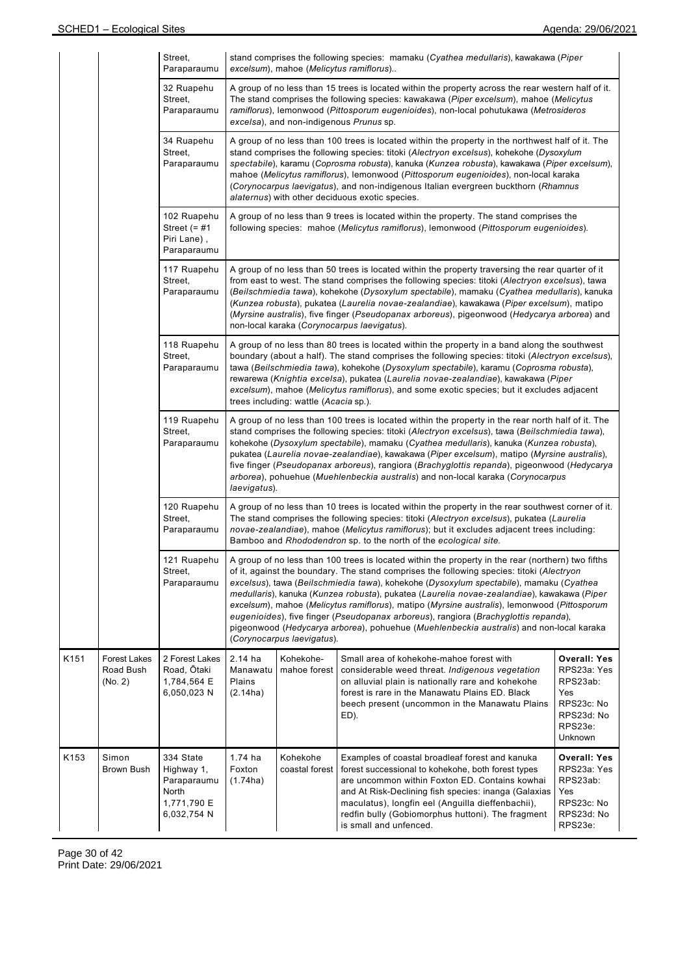|      |                                             | Street.<br>Paraparaumu                                                        |                                                                                                                                                                                                                                                                                                                                                                                                                                                                                                                                                                                                 | excelsum), mahoe (Melicytus ramiflorus)                                                                                                                                                                                                                                                                                                                                                                                                                                                                                     | stand comprises the following species: mamaku (Cyathea medullaris), kawakawa (Piper                                                                                                                                                                                                                                                                                                                                                                                                                                                                                                                                                                                      |                                                                                                         |  |  |  |  |
|------|---------------------------------------------|-------------------------------------------------------------------------------|-------------------------------------------------------------------------------------------------------------------------------------------------------------------------------------------------------------------------------------------------------------------------------------------------------------------------------------------------------------------------------------------------------------------------------------------------------------------------------------------------------------------------------------------------------------------------------------------------|-----------------------------------------------------------------------------------------------------------------------------------------------------------------------------------------------------------------------------------------------------------------------------------------------------------------------------------------------------------------------------------------------------------------------------------------------------------------------------------------------------------------------------|--------------------------------------------------------------------------------------------------------------------------------------------------------------------------------------------------------------------------------------------------------------------------------------------------------------------------------------------------------------------------------------------------------------------------------------------------------------------------------------------------------------------------------------------------------------------------------------------------------------------------------------------------------------------------|---------------------------------------------------------------------------------------------------------|--|--|--|--|
|      |                                             | 32 Ruapehu<br>Street,<br>Paraparaumu                                          |                                                                                                                                                                                                                                                                                                                                                                                                                                                                                                                                                                                                 | excelsa), and non-indigenous Prunus sp.                                                                                                                                                                                                                                                                                                                                                                                                                                                                                     | A group of no less than 15 trees is located within the property across the rear western half of it.<br>The stand comprises the following species: kawakawa (Piper excelsum), mahoe (Melicytus<br>ramiflorus), lemonwood (Pittosporum eugenioides), non-local pohutukawa (Metrosideros                                                                                                                                                                                                                                                                                                                                                                                    |                                                                                                         |  |  |  |  |
|      |                                             | 34 Ruapehu<br>Street,<br>Paraparaumu                                          |                                                                                                                                                                                                                                                                                                                                                                                                                                                                                                                                                                                                 | A group of no less than 100 trees is located within the property in the northwest half of it. The<br>stand comprises the following species: titoki (Alectryon excelsus), kohekohe (Dysoxylum<br>spectabile), karamu (Coprosma robusta), kanuka (Kunzea robusta), kawakawa (Piper excelsum),<br>mahoe (Melicytus ramiflorus), lemonwood (Pittosporum eugenioides), non-local karaka<br>(Corynocarpus laevigatus), and non-indigenous Italian evergreen buckthorn (Rhamnus<br>alaternus) with other deciduous exotic species. |                                                                                                                                                                                                                                                                                                                                                                                                                                                                                                                                                                                                                                                                          |                                                                                                         |  |  |  |  |
|      |                                             | 102 Ruapehu<br>Street $(=$ #1<br>Piri Lane),<br>Paraparaumu                   |                                                                                                                                                                                                                                                                                                                                                                                                                                                                                                                                                                                                 |                                                                                                                                                                                                                                                                                                                                                                                                                                                                                                                             | A group of no less than 9 trees is located within the property. The stand comprises the<br>following species: mahoe (Melicytus ramiflorus), lemonwood (Pittosporum eugenioides).                                                                                                                                                                                                                                                                                                                                                                                                                                                                                         |                                                                                                         |  |  |  |  |
|      |                                             | 117 Ruapehu<br>Street,<br>Paraparaumu                                         | A group of no less than 50 trees is located within the property traversing the rear quarter of it<br>from east to west. The stand comprises the following species: titoki (Alectryon excelsus), tawa<br>(Beilschmiedia tawa), kohekohe (Dysoxylum spectabile), mamaku (Cyathea medullaris), kanuka<br>(Kunzea robusta), pukatea (Laurelia novae-zealandiae), kawakawa (Piper excelsum), matipo<br>(Myrsine australis), five finger (Pseudopanax arboreus), pigeonwood (Hedycarya arborea) and<br>non-local karaka (Corynocarpus laevigatus).                                                    |                                                                                                                                                                                                                                                                                                                                                                                                                                                                                                                             |                                                                                                                                                                                                                                                                                                                                                                                                                                                                                                                                                                                                                                                                          |                                                                                                         |  |  |  |  |
|      |                                             | 118 Ruapehu<br>Street,<br>Paraparaumu                                         | A group of no less than 80 trees is located within the property in a band along the southwest<br>boundary (about a half). The stand comprises the following species: titoki (Alectryon excelsus),<br>tawa (Beilschmiedia tawa), kohekohe (Dysoxylum spectabile), karamu (Coprosma robusta),<br>rewarewa (Knightia excelsa), pukatea (Laurelia novae-zealandiae), kawakawa (Piper<br>excelsum), mahoe (Melicytus ramiflorus), and some exotic species; but it excludes adjacent<br>trees including: wattle (Acacia sp.).                                                                         |                                                                                                                                                                                                                                                                                                                                                                                                                                                                                                                             |                                                                                                                                                                                                                                                                                                                                                                                                                                                                                                                                                                                                                                                                          |                                                                                                         |  |  |  |  |
|      |                                             | 119 Ruapehu<br>Street,<br>Paraparaumu                                         | A group of no less than 100 trees is located within the property in the rear north half of it. The<br>stand comprises the following species: titoki (Alectryon excelsus), tawa (Beilschmiedia tawa),<br>kohekohe (Dysoxylum spectabile), mamaku (Cyathea medullaris), kanuka (Kunzea robusta),<br>pukatea (Laurelia novae-zealandiae), kawakawa (Piper excelsum), matipo (Myrsine australis),<br>five finger (Pseudopanax arboreus), rangiora (Brachyglottis repanda), pigeonwood (Hedycarya<br>arborea), pohuehue (Muehlenbeckia australis) and non-local karaka (Corynocarpus<br>laevigatus). |                                                                                                                                                                                                                                                                                                                                                                                                                                                                                                                             |                                                                                                                                                                                                                                                                                                                                                                                                                                                                                                                                                                                                                                                                          |                                                                                                         |  |  |  |  |
|      |                                             | 120 Ruapehu<br>Street,<br>Paraparaumu                                         | A group of no less than 10 trees is located within the property in the rear southwest corner of it.<br>The stand comprises the following species: titoki (Alectryon excelsus), pukatea (Laurelia<br>novae-zealandiae), mahoe (Melicytus ramiflorus); but it excludes adjacent trees including:<br>Bamboo and Rhododendron sp. to the north of the ecological site.                                                                                                                                                                                                                              |                                                                                                                                                                                                                                                                                                                                                                                                                                                                                                                             |                                                                                                                                                                                                                                                                                                                                                                                                                                                                                                                                                                                                                                                                          |                                                                                                         |  |  |  |  |
|      |                                             | 121 Ruapehu<br>Street,<br>Paraparaumu                                         |                                                                                                                                                                                                                                                                                                                                                                                                                                                                                                                                                                                                 | (Corynocarpus laevigatus).                                                                                                                                                                                                                                                                                                                                                                                                                                                                                                  | A group of no less than 100 trees is located within the property in the rear (northern) two fifths<br>of it, against the boundary. The stand comprises the following species: titoki (Alectryon<br>excelsus), tawa (Beilschmiedia tawa), kohekohe (Dysoxylum spectabile), mamaku (Cyathea<br>medullaris), kanuka (Kunzea robusta), pukatea (Laurelia novae-zealandiae), kawakawa (Piper<br>excelsum), mahoe (Melicytus ramiflorus), matipo (Myrsine australis), lemonwood (Pittosporum<br>eugenioides), five finger (Pseudopanax arboreus), rangiora (Brachyglottis repanda),<br>pigeonwood (Hedycarya arborea), pohuehue (Muehlenbeckia australis) and non-local karaka |                                                                                                         |  |  |  |  |
| K151 | <b>Forest Lakes</b><br>Road Bush<br>(No. 2) | 2 Forest Lakes<br>Road, Ōtaki<br>1,784,564 E<br>6,050,023 N                   | 2.14 ha<br>Manawatu<br>Plains<br>(2.14ha)                                                                                                                                                                                                                                                                                                                                                                                                                                                                                                                                                       | Kohekohe-<br>mahoe forest                                                                                                                                                                                                                                                                                                                                                                                                                                                                                                   | Small area of kohekohe-mahoe forest with<br>considerable weed threat. Indigenous vegetation<br>on alluvial plain is nationally rare and kohekohe<br>forest is rare in the Manawatu Plains ED. Black<br>beech present (uncommon in the Manawatu Plains<br>ED).                                                                                                                                                                                                                                                                                                                                                                                                            | <b>Overall: Yes</b><br>RPS23a: Yes<br>RPS23ab:<br>Yes<br>RPS23c: No<br>RPS23d: No<br>RPS23e:<br>Unknown |  |  |  |  |
| K153 | Simon<br>Brown Bush                         | 334 State<br>Highway 1,<br>Paraparaumu<br>North<br>1,771,790 E<br>6,032,754 N | 1.74 ha<br>Foxton<br>(1.74ha)                                                                                                                                                                                                                                                                                                                                                                                                                                                                                                                                                                   | Kohekohe<br>coastal forest                                                                                                                                                                                                                                                                                                                                                                                                                                                                                                  | Examples of coastal broadleaf forest and kanuka<br>forest successional to kohekohe, both forest types<br>are uncommon within Foxton ED. Contains kowhai<br>and At Risk-Declining fish species: inanga (Galaxias<br>maculatus), longfin eel (Anguilla dieffenbachii),<br>redfin bully (Gobiomorphus huttoni). The fragment<br>is small and unfenced.                                                                                                                                                                                                                                                                                                                      | <b>Overall: Yes</b><br>RPS23a: Yes<br>RPS23ab:<br>Yes<br>RPS23c: No<br>RPS23d: No<br>RPS23e:            |  |  |  |  |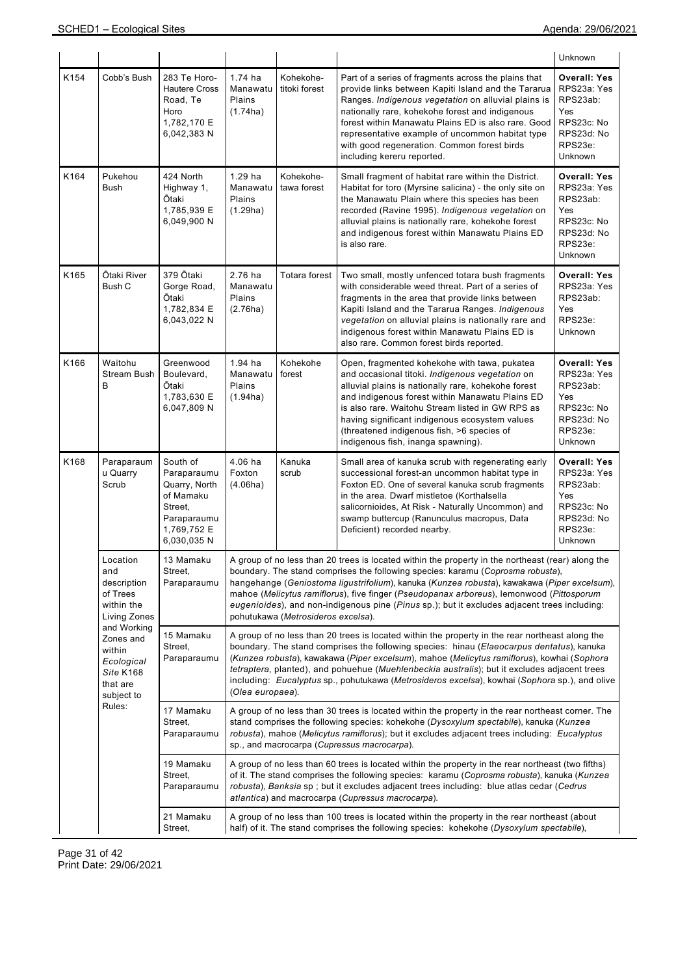|      |                                                                                                                                                                               |                                                                                                               |                                                                                                                                                                                                                                                                                                                                                                                                                                                                                                                       |                                                                                                                                                                                                                                                                                                                                                                                                                                                                                                                 |                                                                                                                                                                                                                                                                                                                                                                                                              | Unknown                                                                                                 |  |  |  |
|------|-------------------------------------------------------------------------------------------------------------------------------------------------------------------------------|---------------------------------------------------------------------------------------------------------------|-----------------------------------------------------------------------------------------------------------------------------------------------------------------------------------------------------------------------------------------------------------------------------------------------------------------------------------------------------------------------------------------------------------------------------------------------------------------------------------------------------------------------|-----------------------------------------------------------------------------------------------------------------------------------------------------------------------------------------------------------------------------------------------------------------------------------------------------------------------------------------------------------------------------------------------------------------------------------------------------------------------------------------------------------------|--------------------------------------------------------------------------------------------------------------------------------------------------------------------------------------------------------------------------------------------------------------------------------------------------------------------------------------------------------------------------------------------------------------|---------------------------------------------------------------------------------------------------------|--|--|--|
| K154 | Cobb's Bush                                                                                                                                                                   | 283 Te Horo-<br><b>Hautere Cross</b><br>Road, Te<br>Horo<br>1,782,170 E<br>6,042,383 N                        | $1.74$ ha<br>Manawatu<br>Plains<br>(1.74ha)                                                                                                                                                                                                                                                                                                                                                                                                                                                                           | Kohekohe-<br>titoki forest                                                                                                                                                                                                                                                                                                                                                                                                                                                                                      | Part of a series of fragments across the plains that<br>provide links between Kapiti Island and the Tararua<br>Ranges. Indigenous vegetation on alluvial plains is<br>nationally rare, kohekohe forest and indigenous<br>forest within Manawatu Plains ED is also rare. Good<br>representative example of uncommon habitat type<br>with good regeneration. Common forest birds<br>including kereru reported. | <b>Overall: Yes</b><br>RPS23a: Yes<br>RPS23ab:<br>Yes<br>RPS23c: No<br>RPS23d: No<br>RPS23e:<br>Unknown |  |  |  |
| K164 | Pukehou<br><b>Bush</b>                                                                                                                                                        | 424 North<br>Highway 1,<br>Ōtaki<br>1,785,939 E<br>6,049,900 N                                                | $1.29$ ha<br>Manawatu<br>Plains<br>(1.29ha)                                                                                                                                                                                                                                                                                                                                                                                                                                                                           | Kohekohe-<br>tawa forest                                                                                                                                                                                                                                                                                                                                                                                                                                                                                        | Small fragment of habitat rare within the District.<br>Habitat for toro (Myrsine salicina) - the only site on<br>the Manawatu Plain where this species has been<br>recorded (Ravine 1995). Indigenous vegetation on<br>alluvial plains is nationally rare, kohekohe forest<br>and indigenous forest within Manawatu Plains ED<br>is also rare.                                                               | <b>Overall: Yes</b><br>RPS23a: Yes<br>RPS23ab:<br>Yes<br>RPS23c: No<br>RPS23d: No<br>RPS23e:<br>Unknown |  |  |  |
| K165 | Ōtaki River<br>Bush C                                                                                                                                                         | 379 Ōtaki<br>Gorge Road,<br>Ōtaki<br>1,782,834 E<br>6,043,022 N                                               | 2.76 ha<br>Manawatu<br>Plains<br>(2.76ha)                                                                                                                                                                                                                                                                                                                                                                                                                                                                             | Totara forest                                                                                                                                                                                                                                                                                                                                                                                                                                                                                                   | Two small, mostly unfenced totara bush fragments<br>with considerable weed threat. Part of a series of<br>fragments in the area that provide links between<br>Kapiti Island and the Tararua Ranges. Indigenous<br>vegetation on alluvial plains is nationally rare and<br>indigenous forest within Manawatu Plains ED is<br>also rare. Common forest birds reported.                                         | <b>Overall: Yes</b><br>RPS23a: Yes<br>RPS23ab:<br>Yes<br>RPS23e:<br>Unknown                             |  |  |  |
| K166 | Waitohu<br>Stream Bush<br>B                                                                                                                                                   | Greenwood<br>Boulevard,<br>Ōtaki<br>1,783,630 E<br>6,047,809 N                                                | 1.94 ha<br>Manawatu<br>Plains<br>(1.94ha)                                                                                                                                                                                                                                                                                                                                                                                                                                                                             | Kohekohe<br>forest                                                                                                                                                                                                                                                                                                                                                                                                                                                                                              | Open, fragmented kohekohe with tawa, pukatea<br>and occasional titoki. Indigenous vegetation on<br>alluvial plains is nationally rare, kohekohe forest<br>and indigenous forest within Manawatu Plains ED<br>is also rare. Waitohu Stream listed in GW RPS as<br>having significant indigenous ecosystem values<br>(threatened indigenous fish, >6 species of<br>indigenous fish, inanga spawning).          | <b>Overall: Yes</b><br>RPS23a: Yes<br>RPS23ab:<br>Yes<br>RPS23c: No<br>RPS23d: No<br>RPS23e:<br>Unknown |  |  |  |
| K168 | Paraparaum<br>u Quarry<br>Scrub                                                                                                                                               | South of<br>Paraparaumu<br>Quarry, North<br>of Mamaku<br>Street,<br>Paraparaumu<br>1,769,752 E<br>6,030,035 N | 4.06 ha<br>Foxton<br>(4.06ha)                                                                                                                                                                                                                                                                                                                                                                                                                                                                                         | Kanuka<br>scrub                                                                                                                                                                                                                                                                                                                                                                                                                                                                                                 | Small area of kanuka scrub with regenerating early<br>successional forest-an uncommon habitat type in<br>Foxton ED. One of several kanuka scrub fragments<br>in the area. Dwarf mistletoe (Korthalsella<br>salicornioides, At Risk - Naturally Uncommon) and<br>swamp buttercup (Ranunculus macropus, Data<br>Deficient) recorded nearby.                                                                    | <b>Overall: Yes</b><br>RPS23a: Yes<br>RPS23ab:<br>Yes<br>RPS23c: No<br>RPS23d: No<br>RPS23e:<br>Unknown |  |  |  |
|      | Location<br>and<br>description<br>of Trees<br>within the<br>Living Zones<br>and Working<br>Zones and<br>within<br>Ecological<br>Site K168<br>that are<br>subject to<br>Rules: | 13 Mamaku<br>Street,<br>Paraparaumu                                                                           | A group of no less than 20 trees is located within the property in the northeast (rear) along the<br>boundary. The stand comprises the following species: karamu (Coprosma robusta),<br>hangehange (Geniostoma ligustrifolium), kanuka (Kunzea robusta), kawakawa (Piper excelsum),<br>mahoe (Melicytus ramiflorus), five finger (Pseudopanax arboreus), lemonwood (Pittosporum<br>eugenioides), and non-indigenous pine (Pinus sp.); but it excludes adjacent trees including:<br>pohutukawa (Metrosideros excelsa). |                                                                                                                                                                                                                                                                                                                                                                                                                                                                                                                 |                                                                                                                                                                                                                                                                                                                                                                                                              |                                                                                                         |  |  |  |
|      |                                                                                                                                                                               | 15 Mamaku<br>Street,<br>Paraparaumu                                                                           |                                                                                                                                                                                                                                                                                                                                                                                                                                                                                                                       | A group of no less than 20 trees is located within the property in the rear northeast along the<br>boundary. The stand comprises the following species: hinau (Elaeocarpus dentatus), kanuka<br>(Kunzea robusta), kawakawa (Piper excelsum), mahoe (Melicytus ramiflorus), kowhai (Sophora<br>tetraptera, planted), and pohuehue (Muehlenbeckia australis); but it excludes adjacent trees<br>including: Eucalyptus sp., pohutukawa (Metrosideros excelsa), kowhai (Sophora sp.), and olive<br>(Olea europaea). |                                                                                                                                                                                                                                                                                                                                                                                                              |                                                                                                         |  |  |  |
|      |                                                                                                                                                                               | 17 Mamaku<br>Street,<br>Paraparaumu                                                                           |                                                                                                                                                                                                                                                                                                                                                                                                                                                                                                                       |                                                                                                                                                                                                                                                                                                                                                                                                                                                                                                                 | A group of no less than 30 trees is located within the property in the rear northeast corner. The<br>stand comprises the following species: kohekohe (Dysoxylum spectabile), kanuka (Kunzea<br>robusta), mahoe (Melicytus ramiflorus); but it excludes adjacent trees including: Eucalyptus<br>sp., and macrocarpa (Cupressus macrocarpa).                                                                   |                                                                                                         |  |  |  |
|      |                                                                                                                                                                               | 19 Mamaku<br>Street,<br>Paraparaumu                                                                           |                                                                                                                                                                                                                                                                                                                                                                                                                                                                                                                       |                                                                                                                                                                                                                                                                                                                                                                                                                                                                                                                 | A group of no less than 60 trees is located within the property in the rear northeast (two fifths)<br>of it. The stand comprises the following species: karamu (Coprosma robusta), kanuka (Kunzea<br>robusta), Banksia sp ; but it excludes adjacent trees including: blue atlas cedar (Cedrus<br>atlantica) and macrocarpa (Cupressus macrocarpa).                                                          |                                                                                                         |  |  |  |
|      |                                                                                                                                                                               | 21 Mamaku<br>Street,                                                                                          |                                                                                                                                                                                                                                                                                                                                                                                                                                                                                                                       |                                                                                                                                                                                                                                                                                                                                                                                                                                                                                                                 | A group of no less than 100 trees is located within the property in the rear northeast (about<br>half) of it. The stand comprises the following species: kohekohe (Dysoxylum spectabile),                                                                                                                                                                                                                    |                                                                                                         |  |  |  |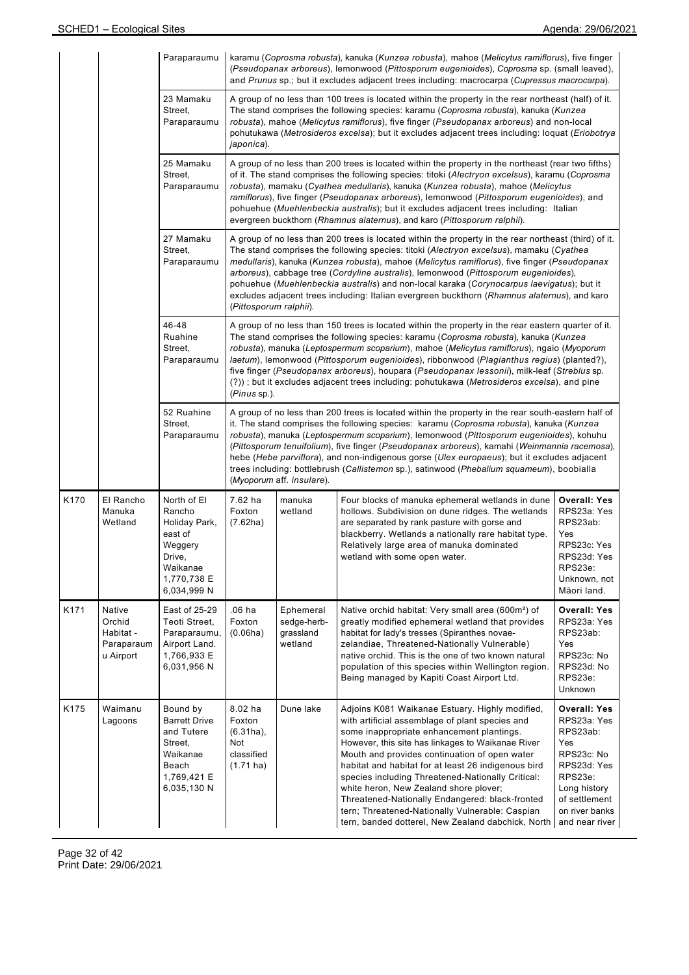|                                                            |                                                          | Paraparaumu                                                                                                      |                                                                                                                                                                                                                                                                                                                                                                                                                                                                                                                                                                                                                   |                                                                                                                                                                                                                                                                                                                                                                                                                                                                                                                                                                                                                | karamu (Coprosma robusta), kanuka (Kunzea robusta), mahoe (Melicytus ramiflorus), five finger<br>(Pseudopanax arboreus), lemonwood (Pittosporum eugenioides), Coprosma sp. (small leaved),<br>and Prunus sp.; but it excludes adjacent trees including: macrocarpa (Cupressus macrocarpa).                                                                                                                                                                                                                                                                                         |                                                                                                                                                                    |  |  |  |  |  |
|------------------------------------------------------------|----------------------------------------------------------|------------------------------------------------------------------------------------------------------------------|-------------------------------------------------------------------------------------------------------------------------------------------------------------------------------------------------------------------------------------------------------------------------------------------------------------------------------------------------------------------------------------------------------------------------------------------------------------------------------------------------------------------------------------------------------------------------------------------------------------------|----------------------------------------------------------------------------------------------------------------------------------------------------------------------------------------------------------------------------------------------------------------------------------------------------------------------------------------------------------------------------------------------------------------------------------------------------------------------------------------------------------------------------------------------------------------------------------------------------------------|------------------------------------------------------------------------------------------------------------------------------------------------------------------------------------------------------------------------------------------------------------------------------------------------------------------------------------------------------------------------------------------------------------------------------------------------------------------------------------------------------------------------------------------------------------------------------------|--------------------------------------------------------------------------------------------------------------------------------------------------------------------|--|--|--|--|--|
|                                                            |                                                          | 23 Mamaku<br>Street,<br>Paraparaumu                                                                              | A group of no less than 100 trees is located within the property in the rear northeast (half) of it.<br>The stand comprises the following species: karamu (Coprosma robusta), kanuka (Kunzea<br>robusta), mahoe (Melicytus ramiflorus), five finger (Pseudopanax arboreus) and non-local<br>pohutukawa (Metrosideros excelsa); but it excludes adjacent trees including: loquat (Eriobotrya<br>japonica).                                                                                                                                                                                                         |                                                                                                                                                                                                                                                                                                                                                                                                                                                                                                                                                                                                                |                                                                                                                                                                                                                                                                                                                                                                                                                                                                                                                                                                                    |                                                                                                                                                                    |  |  |  |  |  |
|                                                            |                                                          | 25 Mamaku<br>Street,<br>Paraparaumu                                                                              | A group of no less than 200 trees is located within the property in the northeast (rear two fifths)<br>of it. The stand comprises the following species: titoki (Alectryon excelsus), karamu (Coprosma<br>robusta), mamaku (Cyathea medullaris), kanuka (Kunzea robusta), mahoe (Melicytus<br>ramiflorus), five finger (Pseudopanax arboreus), lemonwood (Pittosporum eugenioides), and<br>pohuehue (Muehlenbeckia australis); but it excludes adjacent trees including: Italian<br>evergreen buckthorn (Rhamnus alaternus), and karo (Pittosporum ralphii).                                                      |                                                                                                                                                                                                                                                                                                                                                                                                                                                                                                                                                                                                                |                                                                                                                                                                                                                                                                                                                                                                                                                                                                                                                                                                                    |                                                                                                                                                                    |  |  |  |  |  |
|                                                            |                                                          | 27 Mamaku<br>Street,<br>Paraparaumu                                                                              |                                                                                                                                                                                                                                                                                                                                                                                                                                                                                                                                                                                                                   | A group of no less than 200 trees is located within the property in the rear northeast (third) of it.<br>The stand comprises the following species: titoki (Alectryon excelsus), mamaku (Cyathea<br>medullaris), kanuka (Kunzea robusta), mahoe (Melicytus ramiflorus), five finger (Pseudopanax<br>arboreus), cabbage tree (Cordyline australis), lemonwood (Pittosporum eugenioides),<br>pohuehue (Muehlenbeckia australis) and non-local karaka (Corynocarpus laevigatus); but it<br>excludes adjacent trees including: Italian evergreen buckthorn (Rhamnus alaternus), and karo<br>(Pittosporum ralphii). |                                                                                                                                                                                                                                                                                                                                                                                                                                                                                                                                                                                    |                                                                                                                                                                    |  |  |  |  |  |
| 46-48<br>Ruahine<br>Street,<br>Paraparaumu<br>(Pinus sp.). |                                                          |                                                                                                                  |                                                                                                                                                                                                                                                                                                                                                                                                                                                                                                                                                                                                                   |                                                                                                                                                                                                                                                                                                                                                                                                                                                                                                                                                                                                                | A group of no less than 150 trees is located within the property in the rear eastern quarter of it.<br>The stand comprises the following species: karamu (Coprosma robusta), kanuka (Kunzea<br>robusta), manuka (Leptospermum scoparium), mahoe (Melicytus ramiflorus), ngaio (Myoporum<br>laetum), lemonwood (Pittosporum eugenioides), ribbonwood (Plagianthus regius) (planted?),<br>five finger (Pseudopanax arboreus), houpara (Pseudopanax lessonii), milk-leaf (Streblus sp.<br>(?)); but it excludes adjacent trees including: pohutukawa (Metrosideros excelsa), and pine |                                                                                                                                                                    |  |  |  |  |  |
|                                                            |                                                          | 52 Ruahine<br>Street,<br>Paraparaumu                                                                             | A group of no less than 200 trees is located within the property in the rear south-eastern half of<br>it. The stand comprises the following species: karamu (Coprosma robusta), kanuka (Kunzea<br>robusta), manuka (Leptospermum scoparium), lemonwood (Pittosporum eugenioides), kohuhu<br>(Pittosporum tenuifolium), five finger (Pseudopanax arboreus), kamahi (Weinmannia racemosa),<br>hebe (Hebe parviflora), and non-indigenous gorse (Ulex europaeus); but it excludes adjacent<br>trees including: bottlebrush (Callistemon sp.), satinwood (Phebalium squameum), boobialla<br>(Myoporum aff. insulare). |                                                                                                                                                                                                                                                                                                                                                                                                                                                                                                                                                                                                                |                                                                                                                                                                                                                                                                                                                                                                                                                                                                                                                                                                                    |                                                                                                                                                                    |  |  |  |  |  |
| K170                                                       | El Rancho<br>Manuka<br>Wetland                           | North of El<br>Rancho<br>Holiday Park,<br>east of<br>Weggery<br>Drive,<br>Waikanae<br>1,770,738 E<br>6,034,999 N | 7.62 ha<br>Foxton<br>(7.62ha)                                                                                                                                                                                                                                                                                                                                                                                                                                                                                                                                                                                     | manuka<br>wetland                                                                                                                                                                                                                                                                                                                                                                                                                                                                                                                                                                                              | Four blocks of manuka ephemeral wetlands in dune<br>hollows. Subdivision on dune ridges. The wetlands<br>are separated by rank pasture with gorse and<br>blackberry. Wetlands a nationally rare habitat type.<br>Relatively large area of manuka dominated<br>wetland with some open water.                                                                                                                                                                                                                                                                                        | <b>Overall: Yes</b><br>RPS23a: Yes<br>RPS23ab:<br>Yes<br>RPS23c: Yes<br>RPS23d: Yes<br>RPS23e:<br>Unknown, not<br>Māori land.                                      |  |  |  |  |  |
| K171                                                       | Native<br>Orchid<br>Habitat -<br>Paraparaum<br>u Airport | East of 25-29<br>Teoti Street,<br>Paraparaumu,<br>Airport Land.<br>1,766,933 E<br>6,031,956 N                    | .06 ha<br>Foxton<br>(0.06ha)                                                                                                                                                                                                                                                                                                                                                                                                                                                                                                                                                                                      | Ephemeral<br>sedge-herb-<br>grassland<br>wetland                                                                                                                                                                                                                                                                                                                                                                                                                                                                                                                                                               | Native orchid habitat: Very small area (600m <sup>2</sup> ) of<br>greatly modified ephemeral wetland that provides<br>habitat for lady's tresses (Spiranthes novae-<br>zelandiae, Threatened-Nationally Vulnerable)<br>native orchid. This is the one of two known natural<br>population of this species within Wellington region.<br>Being managed by Kapiti Coast Airport Ltd.                                                                                                                                                                                                   | <b>Overall: Yes</b><br>RPS23a: Yes<br>RPS23ab:<br>Yes<br>RPS23c: No<br>RPS23d: No<br>RPS23e:<br>Unknown                                                            |  |  |  |  |  |
| K175                                                       | Waimanu<br>Lagoons                                       | Bound by<br><b>Barrett Drive</b><br>and Tutere<br>Street,<br>Waikanae<br>Beach<br>1,769,421 E<br>6,035,130 N     | 8.02 ha<br>Foxton<br>$(6.31ha)$ ,<br>Not<br>classified<br>$(1.71 \text{ ha})$                                                                                                                                                                                                                                                                                                                                                                                                                                                                                                                                     | Dune lake                                                                                                                                                                                                                                                                                                                                                                                                                                                                                                                                                                                                      | Adjoins K081 Waikanae Estuary. Highly modified,<br>with artificial assemblage of plant species and<br>some inappropriate enhancement plantings.<br>However, this site has linkages to Waikanae River<br>Mouth and provides continuation of open water<br>habitat and habitat for at least 26 indigenous bird<br>species including Threatened-Nationally Critical:<br>white heron, New Zealand shore plover;<br>Threatened-Nationally Endangered: black-fronted<br>tern; Threatened-Nationally Vulnerable: Caspian<br>tern, banded dotterel, New Zealand dabchick, North            | <b>Overall: Yes</b><br>RPS23a: Yes<br>RPS23ab:<br>Yes<br>RPS23c: No<br>RPS23d: Yes<br>RPS23e:<br>Long history<br>of settlement<br>on river banks<br>and near river |  |  |  |  |  |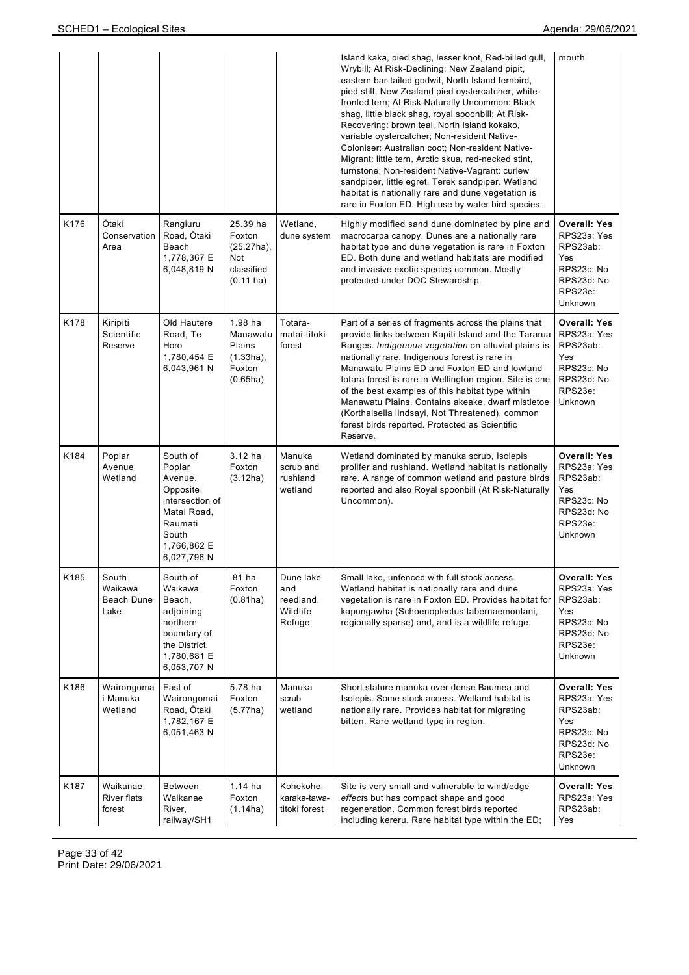|      |                                          |                                                                                                                               |                                                                         |                                                      | Island kaka, pied shag, lesser knot, Red-billed gull,<br>Wrybill; At Risk-Declining: New Zealand pipit,<br>eastern bar-tailed godwit, North Island fernbird,<br>pied stilt, New Zealand pied oystercatcher, white-<br>fronted tern; At Risk-Naturally Uncommon: Black<br>shag, little black shag, royal spoonbill; At Risk-<br>Recovering: brown teal, North Island kokako,<br>variable oystercatcher; Non-resident Native-<br>Coloniser: Australian coot; Non-resident Native-<br>Migrant: little tern, Arctic skua, red-necked stint,<br>turnstone; Non-resident Native-Vagrant: curlew<br>sandpiper, little egret, Terek sandpiper. Wetland<br>habitat is nationally rare and dune vegetation is<br>rare in Foxton ED. High use by water bird species. | mouth                                                                                                          |
|------|------------------------------------------|-------------------------------------------------------------------------------------------------------------------------------|-------------------------------------------------------------------------|------------------------------------------------------|-----------------------------------------------------------------------------------------------------------------------------------------------------------------------------------------------------------------------------------------------------------------------------------------------------------------------------------------------------------------------------------------------------------------------------------------------------------------------------------------------------------------------------------------------------------------------------------------------------------------------------------------------------------------------------------------------------------------------------------------------------------|----------------------------------------------------------------------------------------------------------------|
| K176 | Ōtaki<br>Conservation<br>Area            | Rangiuru<br>Road, Ōtaki<br>Beach<br>1,778,367 E<br>6,048,819 N                                                                | 25.39 ha<br>Foxton<br>$(25.27ha)$ ,<br>Not<br>classified<br>$(0.11$ ha) | Wetland,<br>dune system                              | Highly modified sand dune dominated by pine and<br>macrocarpa canopy. Dunes are a nationally rare<br>habitat type and dune vegetation is rare in Foxton<br>ED. Both dune and wetland habitats are modified<br>and invasive exotic species common. Mostly<br>protected under DOC Stewardship.                                                                                                                                                                                                                                                                                                                                                                                                                                                              | <b>Overall: Yes</b><br>RPS23a: Yes<br>RPS23ab:<br>Yes<br>RPS23c: No<br>RPS23d: No<br>RPS23e:<br>Unknown        |
| K178 | Kiripiti<br>Scientific<br>Reserve        | Old Hautere<br>Road, Te<br>Horo<br>1,780,454 E<br>6,043,961 N                                                                 | $1.98$ ha<br>Manawatu<br>Plains<br>$(1.33ha)$ ,<br>Foxton<br>(0.65ha)   | Totara-<br>matai-titoki<br>forest                    | Part of a series of fragments across the plains that<br>provide links between Kapiti Island and the Tararua<br>Ranges. Indigenous vegetation on alluvial plains is<br>nationally rare. Indigenous forest is rare in<br>Manawatu Plains ED and Foxton ED and lowland<br>totara forest is rare in Wellington region. Site is one<br>of the best examples of this habitat type within<br>Manawatu Plains. Contains akeake, dwarf mistletoe<br>(Korthalsella lindsayi, Not Threatened), common<br>forest birds reported. Protected as Scientific<br>Reserve.                                                                                                                                                                                                  | <b>Overall: Yes</b><br>RPS23a: Yes<br>RPS23ab:<br>Yes<br>RPS23c: No<br>RPS23d: No<br>RPS23e:<br><b>Unknown</b> |
| K184 | Poplar<br>Avenue<br>Wetland              | South of<br>Poplar<br>Avenue,<br>Opposite<br>intersection of<br>Matai Road,<br>Raumati<br>South<br>1,766,862 E<br>6,027,796 N | $3.12$ ha<br>Foxton<br>(3.12ha)                                         | Manuka<br>scrub and<br>rushland<br>wetland           | Wetland dominated by manuka scrub, Isolepis<br>prolifer and rushland. Wetland habitat is nationally<br>rare. A range of common wetland and pasture birds<br>reported and also Royal spoonbill (At Risk-Naturally<br>Uncommon).                                                                                                                                                                                                                                                                                                                                                                                                                                                                                                                            | <b>Overall: Yes</b><br>RPS23a: Yes<br>RPS23ab:<br>Yes<br>RPS23c: No<br>RPS23d: No<br>RPS23e:<br><b>Unknown</b> |
| K185 | South<br>Waikawa<br>Beach Dune<br>Lake   | South of<br>Waikawa<br>Beach,<br>adjoining<br>northern<br>boundary of<br>the District.<br>1,780,681 E<br>6,053,707 N          | .81 ha<br>Foxton<br>(0.81ha)                                            | Dune lake<br>and<br>reedland.<br>Wildlife<br>Refuge. | Small lake, unfenced with full stock access.<br>Wetland habitat is nationally rare and dune<br>vegetation is rare in Foxton ED. Provides habitat for<br>kapungawha (Schoenoplectus tabernaemontani,<br>regionally sparse) and, and is a wildlife refuge.                                                                                                                                                                                                                                                                                                                                                                                                                                                                                                  | <b>Overall: Yes</b><br>RPS23a: Yes<br>RPS23ab:<br>Yes<br>RPS23c: No<br>RPS23d: No<br>RPS23e:<br>Unknown        |
| K186 | Wairongoma<br>i Manuka<br>Wetland        | East of<br>Wairongomai<br>Road, Ōtaki<br>1,782,167 E<br>6,051,463 N                                                           | 5.78 ha<br>Foxton<br>(5.77ha)                                           | Manuka<br>scrub<br>wetland                           | Short stature manuka over dense Baumea and<br>Isolepis. Some stock access. Wetland habitat is<br>nationally rare. Provides habitat for migrating<br>bitten. Rare wetland type in region.                                                                                                                                                                                                                                                                                                                                                                                                                                                                                                                                                                  | <b>Overall: Yes</b><br>RPS23a: Yes<br>RPS23ab:<br>Yes<br>RPS23c: No<br>RPS23d: No<br>RPS23e:<br>Unknown        |
| K187 | Waikanae<br><b>River flats</b><br>forest | Between<br>Waikanae<br>River,<br>railway/SH1                                                                                  | $1.14$ ha<br>Foxton<br>(1.14ha)                                         | Kohekohe-<br>karaka-tawa-<br>titoki forest           | Site is very small and vulnerable to wind/edge<br>effects but has compact shape and good<br>regeneration. Common forest birds reported<br>including kereru. Rare habitat type within the ED;                                                                                                                                                                                                                                                                                                                                                                                                                                                                                                                                                              | <b>Overall: Yes</b><br>RPS23a: Yes<br>RPS23ab:<br>Yes                                                          |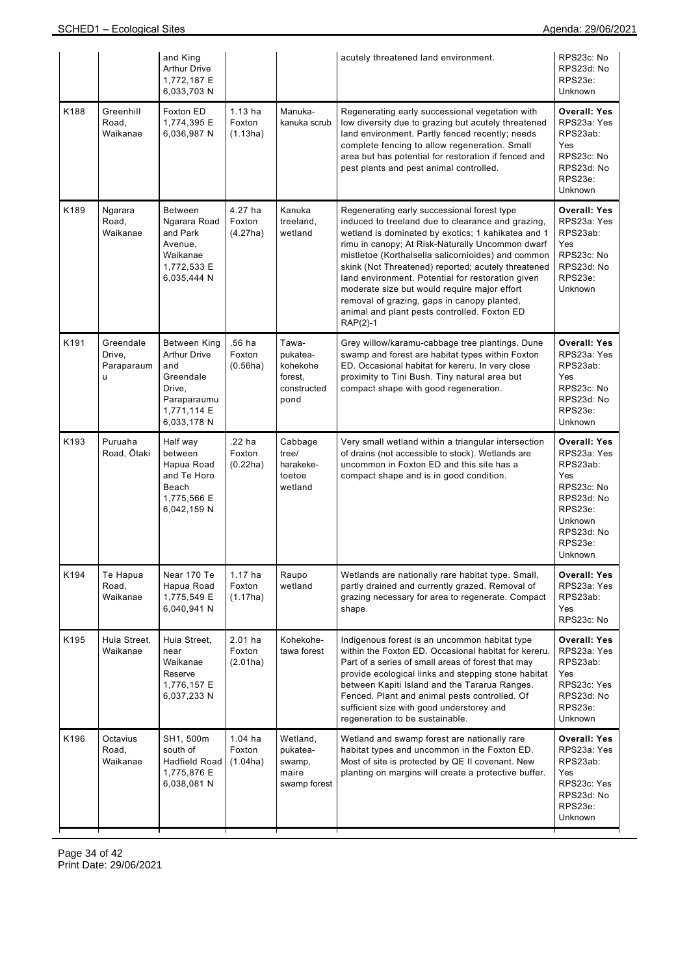|      |                                        | and King<br><b>Arthur Drive</b><br>1,772,187 E<br>6,033,703 N                                                         |                                 |                                                                 | acutely threatened land environment.                                                                                                                                                                                                                                                                                                                                                                                                                                                                                                      | RPS23c: No<br>RPS23d: No<br>RPS23e:<br><b>Unknown</b>                                                                                              |
|------|----------------------------------------|-----------------------------------------------------------------------------------------------------------------------|---------------------------------|-----------------------------------------------------------------|-------------------------------------------------------------------------------------------------------------------------------------------------------------------------------------------------------------------------------------------------------------------------------------------------------------------------------------------------------------------------------------------------------------------------------------------------------------------------------------------------------------------------------------------|----------------------------------------------------------------------------------------------------------------------------------------------------|
| K188 | Greenhill<br>Road,<br>Waikanae         | Foxton ED<br>1,774,395 E<br>6,036,987 N                                                                               | $1.13$ ha<br>Foxton<br>(1.13ha) | Manuka-<br>kanuka scrub                                         | Regenerating early successional vegetation with<br>low diversity due to grazing but acutely threatened<br>land environment. Partly fenced recently; needs<br>complete fencing to allow regeneration. Small<br>area but has potential for restoration if fenced and<br>pest plants and pest animal controlled.                                                                                                                                                                                                                             | <b>Overall: Yes</b><br>RPS23a: Yes<br>RPS23ab:<br>Yes<br>RPS23c: No<br>RPS23d: No<br>RPS23e:<br>Unknown                                            |
| K189 | Ngarara<br>Road,<br>Waikanae           | <b>Between</b><br>Ngarara Road<br>and Park<br>Avenue,<br>Waikanae<br>1,772,533 E<br>6,035,444 N                       | 4.27 ha<br>Foxton<br>(4.27ha)   | Kanuka<br>treeland,<br>wetland                                  | Regenerating early successional forest type<br>induced to treeland due to clearance and grazing,<br>wetland is dominated by exotics; 1 kahikatea and 1<br>rimu in canopy; At Risk-Naturally Uncommon dwarf<br>mistletoe (Korthalsella salicornioides) and common<br>skink (Not Threatened) reported; acutely threatened<br>land environment. Potential for restoration given<br>moderate size but would require major effort<br>removal of grazing, gaps in canopy planted,<br>animal and plant pests controlled. Foxton ED<br>$RAP(2)-1$ | <b>Overall: Yes</b><br>RPS23a: Yes<br>RPS23ab:<br>Yes<br>RPS23c: No<br>RPS23d: No<br>RPS23e:<br><b>Unknown</b>                                     |
| K191 | Greendale<br>Drive,<br>Paraparaum<br>u | <b>Between King</b><br><b>Arthur Drive</b><br>and<br>Greendale<br>Drive,<br>Paraparaumu<br>1,771,114 E<br>6,033,178 N | .56 ha<br>Foxton<br>(0.56ha)    | Tawa-<br>pukatea-<br>kohekohe<br>forest,<br>constructed<br>pond | Grey willow/karamu-cabbage tree plantings. Dune<br>swamp and forest are habitat types within Foxton<br>ED. Occasional habitat for kereru. In very close<br>proximity to Tini Bush. Tiny natural area but<br>compact shape with good regeneration.                                                                                                                                                                                                                                                                                         | Overall: Yes<br>RPS23a: Yes<br>RPS23ab:<br>Yes<br>RPS23c: No<br>RPS23d: No<br>RPS23e:<br>Unknown                                                   |
| K193 | Puruaha<br>Road, Ōtaki                 | Half way<br>between<br>Hapua Road<br>and Te Horo<br>Beach<br>1,775,566 E<br>6,042,159 N                               | .22 ha<br>Foxton<br>(0.22ha)    | Cabbage<br>tree/<br>harakeke-<br>toetoe<br>wetland              | Very small wetland within a triangular intersection<br>of drains (not accessible to stock). Wetlands are<br>uncommon in Foxton ED and this site has a<br>compact shape and is in good condition.                                                                                                                                                                                                                                                                                                                                          | <b>Overall: Yes</b><br>RPS23a: Yes<br>RPS23ab:<br>Yes<br>RPS23c: No<br>RPS23d: No<br>RPS23e:<br>Unknown<br>RPS23d: No<br>RPS23e:<br><b>Unknown</b> |
| K194 | Te Hapua<br>Road,<br>Waikanae          | Near 170 Te<br>Hapua Road<br>1,775,549 E<br>6,040,941 N                                                               | $1.17$ ha<br>Foxton<br>(1.17ha) | Raupo<br>wetland                                                | Wetlands are nationally rare habitat type. Small,<br>partly drained and currently grazed. Removal of<br>grazing necessary for area to regenerate. Compact<br>shape.                                                                                                                                                                                                                                                                                                                                                                       | <b>Overall: Yes</b><br>RPS23a: Yes<br>RPS23ab:<br>Yes<br>RPS23c: No                                                                                |
| K195 | Huia Street.<br>Waikanae               | Huia Street,<br>near<br>Waikanae<br>Reserve<br>1,776,157 E<br>6,037,233 N                                             | $2.01$ ha<br>Foxton<br>(2.01ha) | Kohekohe-<br>tawa forest                                        | Indigenous forest is an uncommon habitat type<br>within the Foxton ED. Occasional habitat for kereru.<br>Part of a series of small areas of forest that may<br>provide ecological links and stepping stone habitat<br>between Kapiti Island and the Tararua Ranges.<br>Fenced. Plant and animal pests controlled. Of<br>sufficient size with good understorey and<br>regeneration to be sustainable.                                                                                                                                      | <b>Overall: Yes</b><br>RPS23a: Yes<br>RPS23ab:<br>Yes<br>RPS23c: Yes<br>RPS23d: No<br>RPS23e:<br>Unknown                                           |
| K196 | Octavius<br>Road,<br>Waikanae          | SH1, 500m<br>south of<br><b>Hadfield Road</b><br>1,775,876 E<br>6,038,081 N                                           | $1.04$ ha<br>Foxton<br>(1.04ha) | Wetland,<br>pukatea-<br>swamp,<br>maire<br>swamp forest         | Wetland and swamp forest are nationally rare<br>habitat types and uncommon in the Foxton ED.<br>Most of site is protected by QE II covenant. New<br>planting on margins will create a protective buffer.                                                                                                                                                                                                                                                                                                                                  | Overall: Yes<br>RPS23a: Yes<br>RPS23ab:<br>Yes<br>RPS23c: Yes<br>RPS23d: No<br>RPS23e:<br>Unknown                                                  |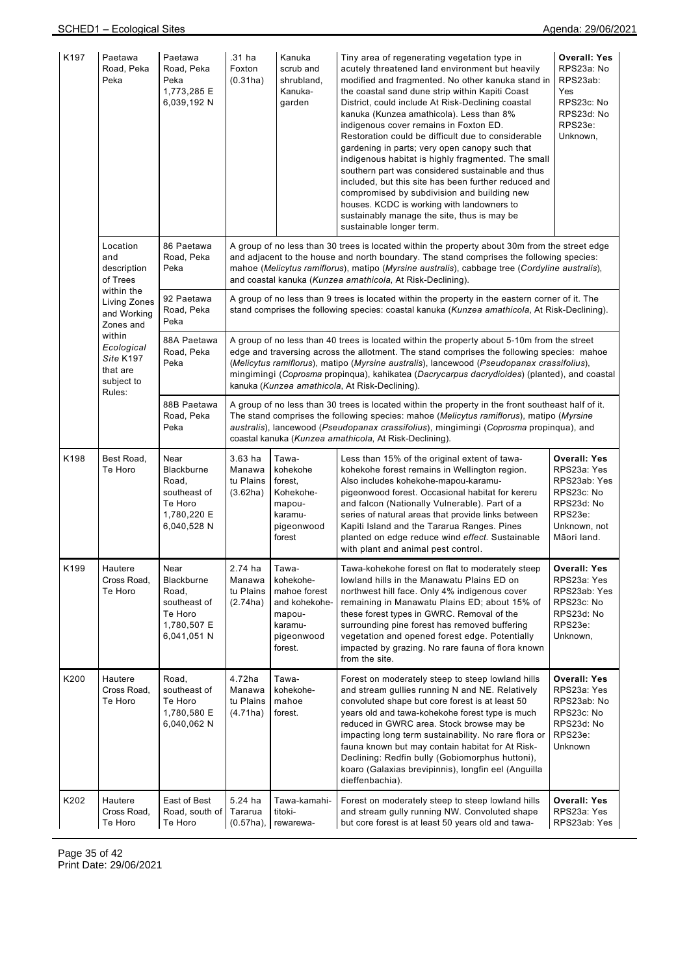| K197 | Paetawa<br>Road, Peka<br>Peka                                         | Paetawa<br>Road, Peka<br>Peka<br>1,773,285 E<br>6,039,192 N                          | .31 ha<br>Foxton<br>(0.31ha)                 | Kanuka<br>scrub and<br>shrubland,<br>Kanuka-<br>garden                                                                                                                                                                                                                                                                                                                                                                                   | Tiny area of regenerating vegetation type in<br>acutely threatened land environment but heavily<br>modified and fragmented. No other kanuka stand in<br>the coastal sand dune strip within Kapiti Coast<br>District, could include At Risk-Declining coastal<br>kanuka (Kunzea amathicola). Less than 8%<br>indigenous cover remains in Foxton ED.<br>Restoration could be difficult due to considerable<br>gardening in parts; very open canopy such that<br>indigenous habitat is highly fragmented. The small<br>southern part was considered sustainable and thus<br>included, but this site has been further reduced and<br>compromised by subdivision and building new<br>houses. KCDC is working with landowners to<br>sustainably manage the site, thus is may be<br>sustainable longer term. | <b>Overall: Yes</b><br>RPS23a: No<br>RPS23ab:<br>Yes<br>RPS23c: No<br>RPS23d: No<br>RPS23e:<br>Unknown,                  |  |  |  |
|------|-----------------------------------------------------------------------|--------------------------------------------------------------------------------------|----------------------------------------------|------------------------------------------------------------------------------------------------------------------------------------------------------------------------------------------------------------------------------------------------------------------------------------------------------------------------------------------------------------------------------------------------------------------------------------------|-------------------------------------------------------------------------------------------------------------------------------------------------------------------------------------------------------------------------------------------------------------------------------------------------------------------------------------------------------------------------------------------------------------------------------------------------------------------------------------------------------------------------------------------------------------------------------------------------------------------------------------------------------------------------------------------------------------------------------------------------------------------------------------------------------|--------------------------------------------------------------------------------------------------------------------------|--|--|--|
|      | Location<br>and<br>description<br>of Trees                            | 86 Paetawa<br>Road, Peka<br>Peka                                                     |                                              | A group of no less than 30 trees is located within the property about 30m from the street edge<br>and adjacent to the house and north boundary. The stand comprises the following species:<br>mahoe (Melicytus ramiflorus), matipo (Myrsine australis), cabbage tree (Cordyline australis),<br>and coastal kanuka (Kunzea amathicola, At Risk-Declining).                                                                                |                                                                                                                                                                                                                                                                                                                                                                                                                                                                                                                                                                                                                                                                                                                                                                                                       |                                                                                                                          |  |  |  |
|      | within the<br><b>Living Zones</b><br>and Working<br>Zones and         | 92 Paetawa<br>Road, Peka<br>Peka                                                     |                                              |                                                                                                                                                                                                                                                                                                                                                                                                                                          | A group of no less than 9 trees is located within the property in the eastern corner of it. The<br>stand comprises the following species: coastal kanuka (Kunzea amathicola, At Risk-Declining).                                                                                                                                                                                                                                                                                                                                                                                                                                                                                                                                                                                                      |                                                                                                                          |  |  |  |
|      | within<br>Ecological<br>Site K197<br>that are<br>subject to<br>Rules: | 88A Paetawa<br>Road, Peka<br>Peka                                                    |                                              | A group of no less than 40 trees is located within the property about 5-10m from the street<br>edge and traversing across the allotment. The stand comprises the following species: mahoe<br>(Melicytus ramiflorus), matipo (Myrsine australis), lancewood (Pseudopanax crassifolius),<br>mingimingi (Coprosma propinqua), kahikatea (Dacrycarpus dacrydioides) (planted), and coastal<br>kanuka (Kunzea amathicola, At Risk-Declining). |                                                                                                                                                                                                                                                                                                                                                                                                                                                                                                                                                                                                                                                                                                                                                                                                       |                                                                                                                          |  |  |  |
|      |                                                                       | 88B Paetawa<br>Road, Peka<br>Peka                                                    |                                              | A group of no less than 30 trees is located within the property in the front southeast half of it.<br>The stand comprises the following species: mahoe (Melicytus ramiflorus), matipo (Myrsine<br>australis), lancewood (Pseudopanax crassifolius), mingimingi (Coprosma propinqua), and<br>coastal kanuka (Kunzea amathicola, At Risk-Declining).                                                                                       |                                                                                                                                                                                                                                                                                                                                                                                                                                                                                                                                                                                                                                                                                                                                                                                                       |                                                                                                                          |  |  |  |
| K198 | Best Road,<br>Te Horo                                                 | Near<br>Blackburne<br>Road,<br>southeast of<br>Te Horo<br>1,780,220 E<br>6,040,528 N | $3.63$ ha<br>Manawa<br>tu Plains<br>(3.62ha) | Tawa-<br>kohekohe<br>forest,<br>Kohekohe-<br>mapou-<br>karamu-<br>pigeonwood<br>forest                                                                                                                                                                                                                                                                                                                                                   | Less than 15% of the original extent of tawa-<br>kohekohe forest remains in Wellington region.<br>Also includes kohekohe-mapou-karamu-<br>pigeonwood forest. Occasional habitat for kereru<br>and falcon (Nationally Vulnerable). Part of a<br>series of natural areas that provide links between<br>Kapiti Island and the Tararua Ranges. Pines<br>planted on edge reduce wind effect. Sustainable<br>with plant and animal pest control.                                                                                                                                                                                                                                                                                                                                                            | <b>Overall: Yes</b><br>RPS23a: Yes<br>RPS23ab: Yes<br>RPS23c: No<br>RPS23d: No<br>RPS23e:<br>Unknown, not<br>Māori land. |  |  |  |
| K199 | Hautere<br>Cross Road,<br>Te Horo                                     | Near<br>Blackburne<br>Road,<br>southeast of<br>Te Horo<br>1,780,507 E<br>6,041,051 N | 2.74 ha<br>Manawa<br>tu Plains<br>(2.74ha)   | Tawa-<br>kohekohe-<br>mahoe forest<br>and kohekohe-<br>mapou-<br>karamu-<br>pigeonwood<br>forest.                                                                                                                                                                                                                                                                                                                                        | Tawa-kohekohe forest on flat to moderately steep<br>lowland hills in the Manawatu Plains ED on<br>northwest hill face. Only 4% indigenous cover<br>remaining in Manawatu Plains ED; about 15% of<br>these forest types in GWRC. Removal of the<br>surrounding pine forest has removed buffering<br>vegetation and opened forest edge. Potentially<br>impacted by grazing. No rare fauna of flora known<br>from the site.                                                                                                                                                                                                                                                                                                                                                                              | <b>Overall: Yes</b><br>RPS23a: Yes<br>RPS23ab: Yes<br>RPS23c: No<br>RPS23d: No<br>RPS23e:<br>Unknown,                    |  |  |  |
| K200 | Hautere<br>Cross Road.<br>Te Horo                                     | Road,<br>southeast of<br>Te Horo<br>1,780,580 E<br>6,040,062 N                       | 4.72ha<br>Manawa<br>tu Plains<br>(4.71ha)    | Tawa-<br>kohekohe-<br>mahoe<br>forest.                                                                                                                                                                                                                                                                                                                                                                                                   | Forest on moderately steep to steep lowland hills<br>and stream gullies running N and NE. Relatively<br>convoluted shape but core forest is at least 50<br>years old and tawa-kohekohe forest type is much<br>reduced in GWRC area. Stock browse may be<br>impacting long term sustainability. No rare flora or<br>fauna known but may contain habitat for At Risk-<br>Declining: Redfin bully (Gobiomorphus huttoni),<br>koaro (Galaxias brevipinnis), longfin eel (Anguilla<br>dieffenbachia).                                                                                                                                                                                                                                                                                                      | <b>Overall: Yes</b><br>RPS23a: Yes<br>RPS23ab: No<br>RPS23c: No<br>RPS23d: No<br>RPS23e:<br>Unknown                      |  |  |  |
| K202 | Hautere<br>Cross Road,<br>Te Horo                                     | East of Best<br>Road, south of<br>Te Horo                                            | 5.24 ha<br>Tararua<br>$(0.57ha)$ ,           | Tawa-kamahi-<br>titoki-<br>rewarewa-                                                                                                                                                                                                                                                                                                                                                                                                     | Forest on moderately steep to steep lowland hills<br>and stream gully running NW. Convoluted shape<br>but core forest is at least 50 years old and tawa-                                                                                                                                                                                                                                                                                                                                                                                                                                                                                                                                                                                                                                              | <b>Overall: Yes</b><br>RPS23a: Yes<br>RPS23ab: Yes                                                                       |  |  |  |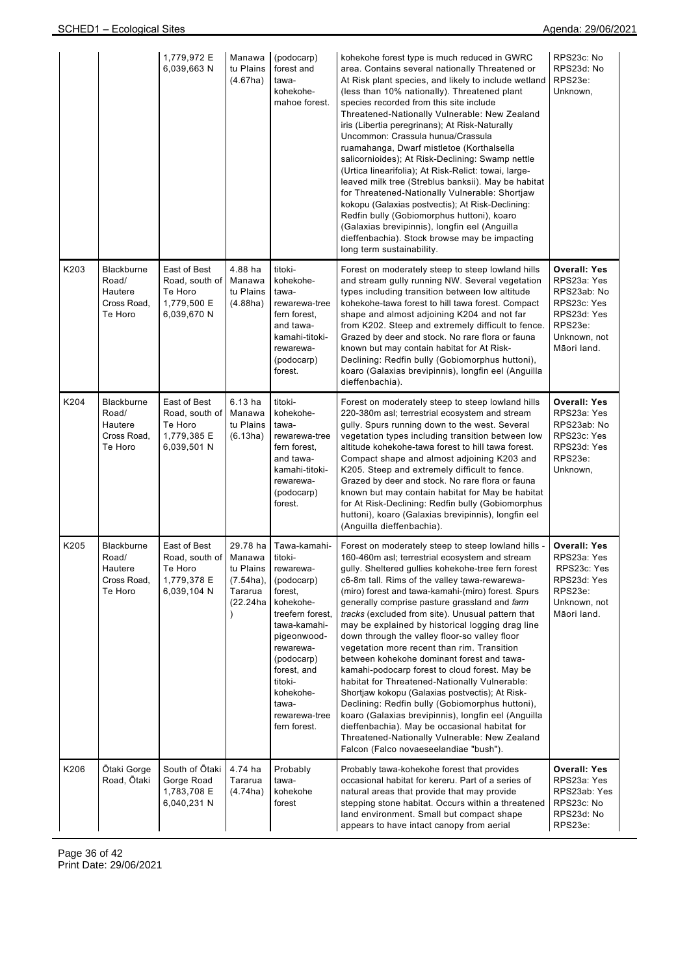|      |                                                                 | 1,779,972 E<br>6,039,663 N                                              | Manawa<br>tu Plains<br>(4.67ha)                                        | (podocarp)<br>forest and<br>tawa-<br>kohekohe-<br>mahoe forest.                                                                                                                                                                           | kohekohe forest type is much reduced in GWRC<br>area. Contains several nationally Threatened or<br>At Risk plant species, and likely to include wetland<br>(less than 10% nationally). Threatened plant<br>species recorded from this site include<br>Threatened-Nationally Vulnerable: New Zealand<br>iris (Libertia peregrinans); At Risk-Naturally<br>Uncommon: Crassula hunua/Crassula<br>ruamahanga, Dwarf mistletoe (Korthalsella<br>salicornioides); At Risk-Declining: Swamp nettle<br>(Urtica linearifolia); At Risk-Relict: towai, large-<br>leaved milk tree (Streblus banksii). May be habitat<br>for Threatened-Nationally Vulnerable: Shortjaw<br>kokopu (Galaxias postvectis); At Risk-Declining:<br>Redfin bully (Gobiomorphus huttoni), koaro<br>(Galaxias brevipinnis), longfin eel (Anguilla<br>dieffenbachia). Stock browse may be impacting<br>long term sustainability.                                                                                          | RPS23c: No<br>RPS23d: No<br>RPS23e:<br>Unknown,                                                                           |
|------|-----------------------------------------------------------------|-------------------------------------------------------------------------|------------------------------------------------------------------------|-------------------------------------------------------------------------------------------------------------------------------------------------------------------------------------------------------------------------------------------|----------------------------------------------------------------------------------------------------------------------------------------------------------------------------------------------------------------------------------------------------------------------------------------------------------------------------------------------------------------------------------------------------------------------------------------------------------------------------------------------------------------------------------------------------------------------------------------------------------------------------------------------------------------------------------------------------------------------------------------------------------------------------------------------------------------------------------------------------------------------------------------------------------------------------------------------------------------------------------------|---------------------------------------------------------------------------------------------------------------------------|
| K203 | <b>Blackburne</b><br>Road/<br>Hautere<br>Cross Road.<br>Te Horo | East of Best<br>Road, south of<br>Te Horo<br>1,779,500 E<br>6,039,670 N | 4.88 ha<br>Manawa<br>tu Plains<br>(4.88ha)                             | titoki-<br>kohekohe-<br>tawa-<br>rewarewa-tree<br>fern forest.<br>and tawa-<br>kamahi-titoki-<br>rewarewa-<br>(podocarp)<br>forest.                                                                                                       | Forest on moderately steep to steep lowland hills<br>and stream gully running NW. Several vegetation<br>types including transition between low altitude<br>kohekohe-tawa forest to hill tawa forest. Compact<br>shape and almost adjoining K204 and not far<br>from K202. Steep and extremely difficult to fence.<br>Grazed by deer and stock. No rare flora or fauna<br>known but may contain habitat for At Risk-<br>Declining: Redfin bully (Gobiomorphus huttoni),<br>koaro (Galaxias brevipinnis), longfin eel (Anguilla<br>dieffenbachia).                                                                                                                                                                                                                                                                                                                                                                                                                                       | <b>Overall: Yes</b><br>RPS23a: Yes<br>RPS23ab: No<br>RPS23c: Yes<br>RPS23d: Yes<br>RPS23e:<br>Unknown, not<br>Māori land. |
| K204 | Blackburne<br>Road/<br>Hautere<br>Cross Road,<br>Te Horo        | East of Best<br>Road, south of<br>Te Horo<br>1,779,385 E<br>6,039,501 N | 6.13 ha<br>Manawa<br>tu Plains<br>(6.13ha)                             | titoki-<br>kohekohe-<br>tawa-<br>rewarewa-tree<br>fern forest,<br>and tawa-<br>kamahi-titoki-<br>rewarewa-<br>(podocarp)<br>forest.                                                                                                       | Forest on moderately steep to steep lowland hills<br>220-380m asl; terrestrial ecosystem and stream<br>gully. Spurs running down to the west. Several<br>vegetation types including transition between low<br>altitude kohekohe-tawa forest to hill tawa forest.<br>Compact shape and almost adjoining K203 and<br>K205. Steep and extremely difficult to fence.<br>Grazed by deer and stock. No rare flora or fauna<br>known but may contain habitat for May be habitat<br>for At Risk-Declining: Redfin bully (Gobiomorphus<br>huttoni), koaro (Galaxias brevipinnis), longfin eel<br>(Anguilla dieffenbachia).                                                                                                                                                                                                                                                                                                                                                                      | Overall: Yes<br>RPS23a: Yes<br>RPS23ab: No<br>RPS23c: Yes<br>RPS23d: Yes<br>RPS23e:<br>Unknown,                           |
| K205 | Blackburne<br>Road/<br>Hautere<br>Cross Road,<br>Te Horo        | East of Best<br>Road, south of<br>Te Horo<br>1,779,378 E<br>6,039,104 N | 29.78 ha<br>Manawa<br>tu Plains<br>$(7.54ha)$ ,<br>Tararua<br>(22.24ha | Tawa-kamahi-<br>titoki-<br>rewarewa-<br>(podocarp)<br>forest,<br>kohekohe-<br>treefern forest.<br>tawa-kamahi-<br>pigeonwood-<br>rewarewa-<br>(podocarp)<br>forest, and<br>titoki-<br>kohekohe-<br>tawa-<br>rewarewa-tree<br>fern forest. | Forest on moderately steep to steep lowland hills -<br>160-460m asl; terrestrial ecosystem and stream<br>gully. Sheltered gullies kohekohe-tree fern forest<br>c6-8m tall. Rims of the valley tawa-rewarewa-<br>(miro) forest and tawa-kamahi-(miro) forest. Spurs<br>generally comprise pasture grassland and farm<br>tracks (excluded from site). Unusual pattern that<br>may be explained by historical logging drag line<br>down through the valley floor-so valley floor<br>vegetation more recent than rim. Transition<br>between kohekohe dominant forest and tawa-<br>kamahi-podocarp forest to cloud forest. May be<br>habitat for Threatened-Nationally Vulnerable:<br>Shortjaw kokopu (Galaxias postvectis); At Risk-<br>Declining: Redfin bully (Gobiomorphus huttoni),<br>koaro (Galaxias brevipinnis), longfin eel (Anguilla<br>dieffenbachia). May be occasional habitat for<br>Threatened-Nationally Vulnerable: New Zealand<br>Falcon (Falco novaeseelandiae "bush"). | <b>Overall: Yes</b><br>RPS23a: Yes<br>RPS23c: Yes<br>RPS23d: Yes<br>RPS23e:<br>Unknown, not<br>Māori land.                |
| K206 | Ōtaki Gorge<br>Road, Ōtaki                                      | South of Otaki<br>Gorge Road<br>1,783,708 E<br>6,040,231 N              | 4.74 ha<br>Tararua<br>(4.74ha)                                         | Probably<br>tawa-<br>kohekohe<br>forest                                                                                                                                                                                                   | Probably tawa-kohekohe forest that provides<br>occasional habitat for kereru. Part of a series of<br>natural areas that provide that may provide<br>stepping stone habitat. Occurs within a threatened<br>land environment. Small but compact shape<br>appears to have intact canopy from aerial                                                                                                                                                                                                                                                                                                                                                                                                                                                                                                                                                                                                                                                                                       | <b>Overall: Yes</b><br>RPS23a: Yes<br>RPS23ab: Yes<br>RPS23c: No<br>RPS23d: No<br>RPS23e:                                 |

Page 36 of 42 Print Date: 29/06/2021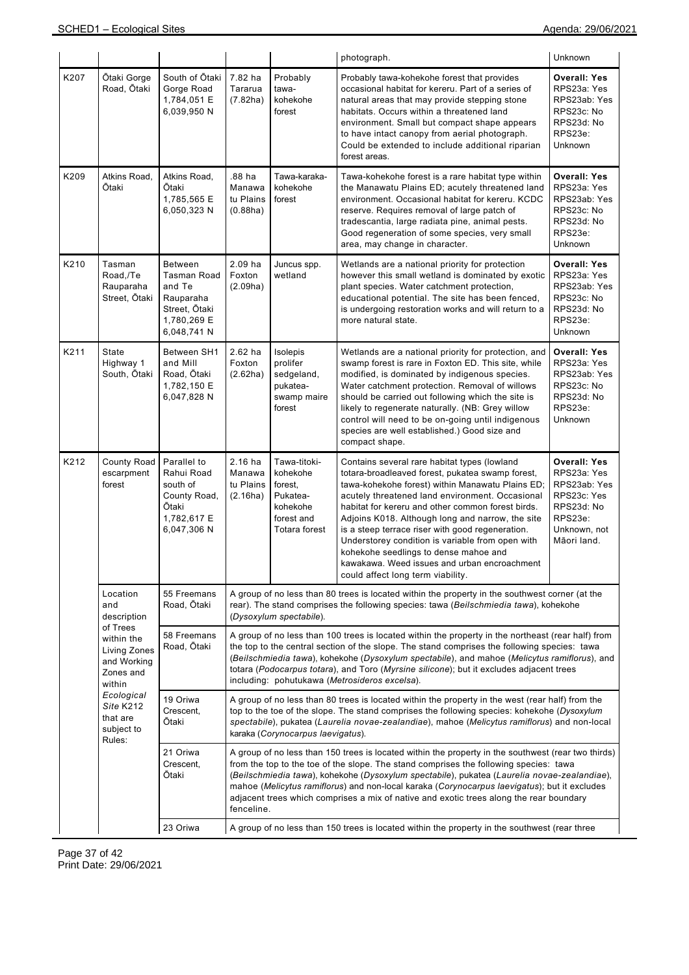|      |                                                                                                                                                                               |                                                                                                            |                                                                                                                                                                                                                                                                                                                                                                                                                                                                                                      |                                                                                            | photograph.                                                                                                                                                                                                                                                                                                                                                                                                                                                                                                                                            | Unknown                                                                                                                   |  |  |
|------|-------------------------------------------------------------------------------------------------------------------------------------------------------------------------------|------------------------------------------------------------------------------------------------------------|------------------------------------------------------------------------------------------------------------------------------------------------------------------------------------------------------------------------------------------------------------------------------------------------------------------------------------------------------------------------------------------------------------------------------------------------------------------------------------------------------|--------------------------------------------------------------------------------------------|--------------------------------------------------------------------------------------------------------------------------------------------------------------------------------------------------------------------------------------------------------------------------------------------------------------------------------------------------------------------------------------------------------------------------------------------------------------------------------------------------------------------------------------------------------|---------------------------------------------------------------------------------------------------------------------------|--|--|
| K207 | Ōtaki Gorge<br>Road, Ōtaki                                                                                                                                                    | South of Otaki<br>Gorge Road<br>1,784,051 E<br>6,039,950 N                                                 | 7.82 ha<br>Tararua<br>(7.82ha)                                                                                                                                                                                                                                                                                                                                                                                                                                                                       | Probably<br>tawa-<br>kohekohe<br>forest                                                    | Probably tawa-kohekohe forest that provides<br>occasional habitat for kereru. Part of a series of<br>natural areas that may provide stepping stone<br>habitats. Occurs within a threatened land<br>environment. Small but compact shape appears<br>to have intact canopy from aerial photograph.<br>Could be extended to include additional riparian<br>forest areas.                                                                                                                                                                                  | <b>Overall: Yes</b><br>RPS23a: Yes<br>RPS23ab: Yes<br>RPS23c: No<br>RPS23d: No<br>RPS23e:<br>Unknown                      |  |  |
| K209 | Atkins Road,<br>Ōtaki                                                                                                                                                         | Atkins Road,<br>Ōtaki<br>1,785,565 E<br>6,050,323 N                                                        | .88 ha<br>Manawa<br>tu Plains<br>(0.88ha)                                                                                                                                                                                                                                                                                                                                                                                                                                                            | Tawa-karaka-<br>kohekohe<br>forest                                                         | Tawa-kohekohe forest is a rare habitat type within<br>the Manawatu Plains ED; acutely threatened land<br>environment. Occasional habitat for kereru. KCDC<br>reserve. Requires removal of large patch of<br>tradescantia, large radiata pine, animal pests.<br>Good regeneration of some species, very small<br>area, may change in character.                                                                                                                                                                                                         | <b>Overall: Yes</b><br>RPS23a: Yes<br>RPS23ab: Yes<br>RPS23c: No<br>RPS23d: No<br>RPS23e:<br>Unknown                      |  |  |
| K210 | Tasman<br>Road,/Te<br>Rauparaha<br>Street, Ōtaki                                                                                                                              | <b>Between</b><br><b>Tasman Road</b><br>and Te<br>Rauparaha<br>Street, Otaki<br>1,780,269 E<br>6,048,741 N | 2.09 ha<br>Foxton<br>(2.09ha)                                                                                                                                                                                                                                                                                                                                                                                                                                                                        | Juncus spp.<br>wetland                                                                     | Wetlands are a national priority for protection<br>however this small wetland is dominated by exotic<br>plant species. Water catchment protection,<br>educational potential. The site has been fenced,<br>is undergoing restoration works and will return to a<br>more natural state.                                                                                                                                                                                                                                                                  | <b>Overall: Yes</b><br>RPS23a: Yes<br>RPS23ab: Yes<br>RPS23c: No<br>RPS23d: No<br>RPS23e:<br>Unknown                      |  |  |
| K211 | State<br>Highway 1<br>South, Ōtaki                                                                                                                                            | Between SH1<br>and Mill<br>Road, Ōtaki<br>1,782,150 E<br>6,047,828 N                                       | $2.62$ ha<br>Foxton<br>(2.62ha)                                                                                                                                                                                                                                                                                                                                                                                                                                                                      | Isolepis<br>prolifer<br>sedgeland,<br>pukatea-<br>swamp maire<br>forest                    | Wetlands are a national priority for protection, and<br>swamp forest is rare in Foxton ED. This site, while<br>modified, is dominated by indigenous species.<br>Water catchment protection. Removal of willows<br>should be carried out following which the site is<br>likely to regenerate naturally. (NB: Grey willow<br>control will need to be on-going until indigenous<br>species are well established.) Good size and<br>compact shape.                                                                                                         | <b>Overall: Yes</b><br>RPS23a: Yes<br>RPS23ab: Yes<br>RPS23c: No<br>RPS23d: No<br>RPS23e:<br>Unknown                      |  |  |
| K212 | County Road<br>escarpment<br>forest                                                                                                                                           | Parallel to<br>Rahui Road<br>south of<br>County Road,<br>Ōtaki<br>1,782,617 E<br>6,047,306 N               | $2.16$ ha<br>Manawa<br>tu Plains<br>(2.16ha)                                                                                                                                                                                                                                                                                                                                                                                                                                                         | Tawa-titoki-<br>kohekohe<br>forest,<br>Pukatea-<br>kohekohe<br>forest and<br>Totara forest | Contains several rare habitat types (lowland<br>totara-broadleaved forest, pukatea swamp forest,<br>tawa-kohekohe forest) within Manawatu Plains ED;<br>acutely threatened land environment. Occasional<br>habitat for kereru and other common forest birds.<br>Adjoins K018. Although long and narrow, the site<br>is a steep terrace riser with good regeneration.<br>Understorey condition is variable from open with<br>kohekohe seedlings to dense mahoe and<br>kawakawa. Weed issues and urban encroachment<br>could affect long term viability. | <b>Overall: Yes</b><br>RPS23a: Yes<br>RPS23ab: Yes<br>RPS23c: Yes<br>RPS23d: No<br>RPS23e:<br>Unknown, not<br>Māori land. |  |  |
|      | Location<br>and<br>description<br>of Trees<br>within the<br>Living Zones<br>and Working<br>Zones and<br>within<br>Ecological<br>Site K212<br>that are<br>subject to<br>Rules: | 55 Freemans<br>Road, Otaki                                                                                 | A group of no less than 80 trees is located within the property in the southwest corner (at the<br>rear). The stand comprises the following species: tawa (Beilschmiedia tawa), kohekohe<br>(Dysoxylum spectabile).                                                                                                                                                                                                                                                                                  |                                                                                            |                                                                                                                                                                                                                                                                                                                                                                                                                                                                                                                                                        |                                                                                                                           |  |  |
|      |                                                                                                                                                                               | 58 Freemans<br>Road, Ōtaki                                                                                 | A group of no less than 100 trees is located within the property in the northeast (rear half) from<br>the top to the central section of the slope. The stand comprises the following species: tawa<br>(Beilschmiedia tawa), kohekohe (Dysoxylum spectabile), and mahoe (Melicytus ramiflorus), and<br>totara (Podocarpus totara), and Toro (Myrsine silicone); but it excludes adjacent trees<br>including: pohutukawa (Metrosideros excelsa).                                                       |                                                                                            |                                                                                                                                                                                                                                                                                                                                                                                                                                                                                                                                                        |                                                                                                                           |  |  |
|      |                                                                                                                                                                               | 19 Oriwa<br>Crescent,<br>Ōtaki                                                                             | A group of no less than 80 trees is located within the property in the west (rear half) from the<br>top to the toe of the slope. The stand comprises the following species: kohekohe (Dysoxylum<br>spectabile), pukatea (Laurelia novae-zealandiae), mahoe (Melicytus ramiflorus) and non-local<br>karaka (Corynocarpus laevigatus).                                                                                                                                                                 |                                                                                            |                                                                                                                                                                                                                                                                                                                                                                                                                                                                                                                                                        |                                                                                                                           |  |  |
|      |                                                                                                                                                                               | 21 Oriwa<br>Crescent,<br>Ōtaki                                                                             | A group of no less than 150 trees is located within the property in the southwest (rear two thirds)<br>from the top to the toe of the slope. The stand comprises the following species: tawa<br>(Beilschmiedia tawa), kohekohe (Dysoxylum spectabile), pukatea (Laurelia novae-zealandiae),<br>mahoe (Melicytus ramiflorus) and non-local karaka (Corynocarpus laevigatus); but it excludes<br>adjacent trees which comprises a mix of native and exotic trees along the rear boundary<br>fenceline. |                                                                                            |                                                                                                                                                                                                                                                                                                                                                                                                                                                                                                                                                        |                                                                                                                           |  |  |
|      |                                                                                                                                                                               | 23 Oriwa                                                                                                   | A group of no less than 150 trees is located within the property in the southwest (rear three                                                                                                                                                                                                                                                                                                                                                                                                        |                                                                                            |                                                                                                                                                                                                                                                                                                                                                                                                                                                                                                                                                        |                                                                                                                           |  |  |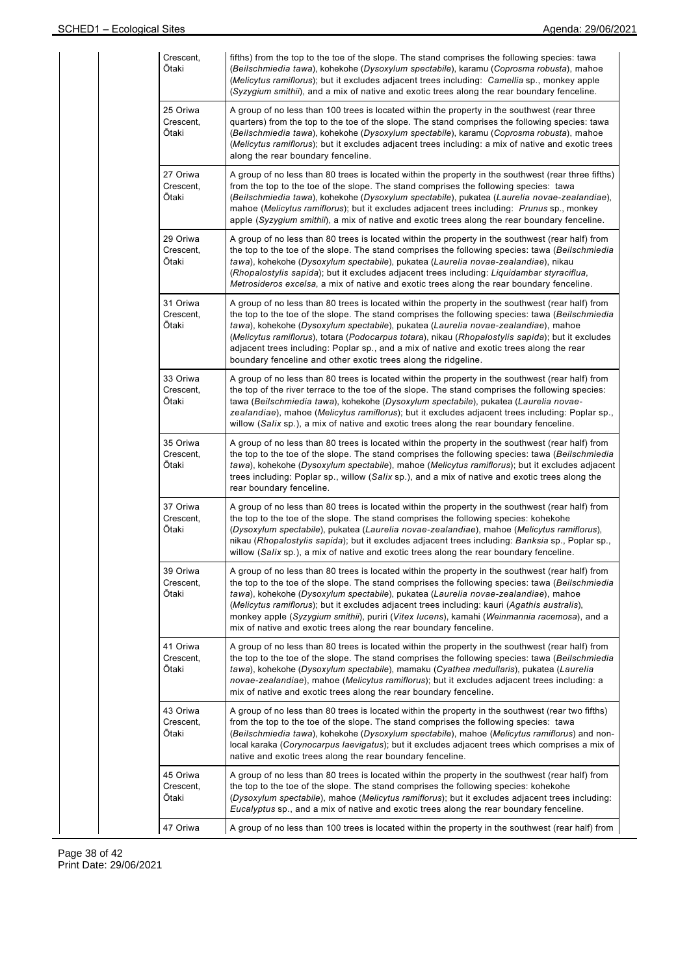| Crescent,<br>Ōtaki             | fifths) from the top to the toe of the slope. The stand comprises the following species: tawa<br>(Beilschmiedia tawa), kohekohe (Dysoxylum spectabile), karamu (Coprosma robusta), mahoe<br>(Melicytus ramiflorus); but it excludes adjacent trees including: Camellia sp., monkey apple<br>(Syzygium smithii), and a mix of native and exotic trees along the rear boundary fenceline.                                                                                                                                                                        |
|--------------------------------|----------------------------------------------------------------------------------------------------------------------------------------------------------------------------------------------------------------------------------------------------------------------------------------------------------------------------------------------------------------------------------------------------------------------------------------------------------------------------------------------------------------------------------------------------------------|
| 25 Oriwa<br>Crescent,<br>Ōtaki | A group of no less than 100 trees is located within the property in the southwest (rear three<br>quarters) from the top to the toe of the slope. The stand comprises the following species: tawa<br>(Beilschmiedia tawa), kohekohe (Dysoxylum spectabile), karamu (Coprosma robusta), mahoe<br>(Melicytus ramiflorus); but it excludes adjacent trees including: a mix of native and exotic trees<br>along the rear boundary fenceline.                                                                                                                        |
| 27 Oriwa<br>Crescent,<br>Ōtaki | A group of no less than 80 trees is located within the property in the southwest (rear three fifths)<br>from the top to the toe of the slope. The stand comprises the following species: tawa<br>(Beilschmiedia tawa), kohekohe (Dysoxylum spectabile), pukatea (Laurelia novae-zealandiae),<br>mahoe (Melicytus ramiflorus); but it excludes adjacent trees including: Prunus sp., monkey<br>apple (Syzygium smithii), a mix of native and exotic trees along the rear boundary fenceline.                                                                    |
| 29 Oriwa<br>Crescent,<br>Ōtaki | A group of no less than 80 trees is located within the property in the southwest (rear half) from<br>the top to the toe of the slope. The stand comprises the following species: tawa (Beilschmiedia<br>tawa), kohekohe (Dysoxylum spectabile), pukatea (Laurelia novae-zealandiae), nikau<br>(Rhopalostylis sapida); but it excludes adjacent trees including: Liquidambar styraciflua,<br>Metrosideros excelsa, a mix of native and exotic trees along the rear boundary fenceline.                                                                          |
| 31 Oriwa<br>Crescent,<br>Ōtaki | A group of no less than 80 trees is located within the property in the southwest (rear half) from<br>the top to the toe of the slope. The stand comprises the following species: tawa (Beilschmiedia<br>tawa), kohekohe (Dysoxylum spectabile), pukatea (Laurelia novae-zealandiae), mahoe<br>(Melicytus ramiflorus), totara (Podocarpus totara), nikau (Rhopalostylis sapida); but it excludes<br>adjacent trees including: Poplar sp., and a mix of native and exotic trees along the rear<br>boundary fenceline and other exotic trees along the ridgeline. |
| 33 Oriwa<br>Crescent,<br>Ōtaki | A group of no less than 80 trees is located within the property in the southwest (rear half) from<br>the top of the river terrace to the toe of the slope. The stand comprises the following species:<br>tawa (Beilschmiedia tawa), kohekohe (Dysoxylum spectabile), pukatea (Laurelia novae-<br>zealandiae), mahoe (Melicytus ramiflorus); but it excludes adjacent trees including: Poplar sp.,<br>willow (Salix sp.), a mix of native and exotic trees along the rear boundary fenceline.                                                                   |
| 35 Oriwa<br>Crescent,<br>Ōtaki | A group of no less than 80 trees is located within the property in the southwest (rear half) from<br>the top to the toe of the slope. The stand comprises the following species: tawa (Beilschmiedia<br>tawa), kohekohe (Dysoxylum spectabile), mahoe (Melicytus ramiflorus); but it excludes adjacent<br>trees including: Poplar sp., willow (Salix sp.), and a mix of native and exotic trees along the<br>rear boundary fenceline.                                                                                                                          |
| 37 Oriwa<br>Crescent,<br>Ōtaki | A group of no less than 80 trees is located within the property in the southwest (rear half) from<br>the top to the toe of the slope. The stand comprises the following species: kohekohe<br>(Dysoxylum spectabile), pukatea (Laurelia novae-zealandiae), mahoe (Melicytus ramiflorus),<br>nikau (Rhopalostylis sapida); but it excludes adjacent trees including: Banksia sp., Poplar sp.,<br>willow (Salix sp.), a mix of native and exotic trees along the rear boundary fenceline.                                                                         |
| 39 Oriwa<br>Crescent,<br>Ōtaki | A group of no less than 80 trees is located within the property in the southwest (rear half) from<br>the top to the toe of the slope. The stand comprises the following species: tawa (Beilschmiedia<br>tawa), kohekohe (Dysoxylum spectabile), pukatea (Laurelia novae-zealandiae), mahoe<br>(Melicytus ramiflorus); but it excludes adjacent trees including: kauri (Agathis australis),<br>monkey apple (Syzygium smithii), puriri (Vitex lucens), kamahi (Weinmannia racemosa), and a<br>mix of native and exotic trees along the rear boundary fenceline. |
| 41 Oriwa<br>Crescent,<br>Ōtaki | A group of no less than 80 trees is located within the property in the southwest (rear half) from<br>the top to the toe of the slope. The stand comprises the following species: tawa (Beilschmiedia<br>tawa), kohekohe (Dysoxylum spectabile), mamaku (Cyathea medullaris), pukatea (Laurelia<br>novae-zealandiae), mahoe (Melicytus ramiflorus); but it excludes adjacent trees including: a<br>mix of native and exotic trees along the rear boundary fenceline.                                                                                            |
| 43 Oriwa<br>Crescent,<br>Ōtaki | A group of no less than 80 trees is located within the property in the southwest (rear two fifths)<br>from the top to the toe of the slope. The stand comprises the following species: tawa<br>(Beilschmiedia tawa), kohekohe (Dysoxylum spectabile), mahoe (Melicytus ramiflorus) and non-<br>local karaka (Corynocarpus laevigatus); but it excludes adjacent trees which comprises a mix of<br>native and exotic trees along the rear boundary fenceline.                                                                                                   |
| 45 Oriwa<br>Crescent,<br>Ōtaki | A group of no less than 80 trees is located within the property in the southwest (rear half) from<br>the top to the toe of the slope. The stand comprises the following species: kohekohe<br>(Dysoxylum spectabile), mahoe (Melicytus ramiflorus); but it excludes adjacent trees including:<br>Eucalyptus sp., and a mix of native and exotic trees along the rear boundary fenceline.                                                                                                                                                                        |
| 47 Oriwa                       | A group of no less than 100 trees is located within the property in the southwest (rear half) from                                                                                                                                                                                                                                                                                                                                                                                                                                                             |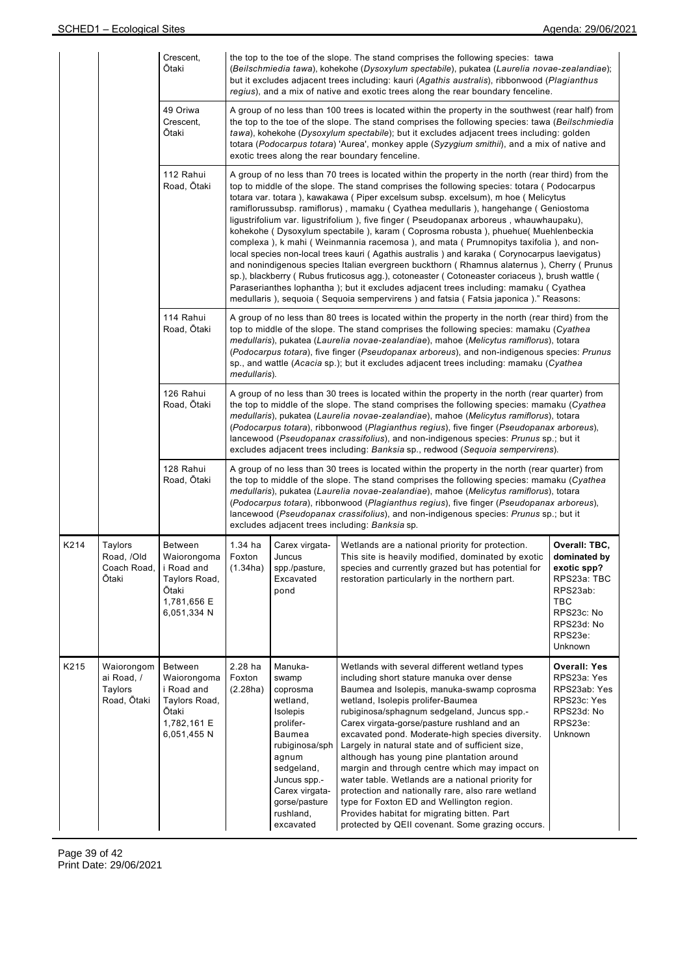|      |                                                    | Crescent,<br>Ōtaki<br>49 Oriwa<br>Crescent,<br>Ōtaki                                         | the top to the toe of the slope. The stand comprises the following species: tawa<br>(Beilschmiedia tawa), kohekohe (Dysoxylum spectabile), pukatea (Laurelia novae-zealandiae);<br>but it excludes adjacent trees including: kauri (Agathis australis), ribbonwood (Plagianthus<br>regius), and a mix of native and exotic trees along the rear boundary fenceline.<br>A group of no less than 100 trees is located within the property in the southwest (rear half) from<br>the top to the toe of the slope. The stand comprises the following species: tawa (Beilschmiedia<br>tawa), kohekohe (Dysoxylum spectabile); but it excludes adjacent trees including: golden<br>totara (Podocarpus totara) 'Aurea', monkey apple (Syzygium smithii), and a mix of native and<br>exotic trees along the rear boundary fenceline.                                                                                                                                                                                                                                                                                                |                                                                                                                                                                                                                                                                                                                                                                                                                                                                                                  |                                                                                                                                                                                                                                                                                                                                                                                                                                                                                                                                                                                                                                                                                                                                             |                                                                                                                                  |  |  |  |  |
|------|----------------------------------------------------|----------------------------------------------------------------------------------------------|----------------------------------------------------------------------------------------------------------------------------------------------------------------------------------------------------------------------------------------------------------------------------------------------------------------------------------------------------------------------------------------------------------------------------------------------------------------------------------------------------------------------------------------------------------------------------------------------------------------------------------------------------------------------------------------------------------------------------------------------------------------------------------------------------------------------------------------------------------------------------------------------------------------------------------------------------------------------------------------------------------------------------------------------------------------------------------------------------------------------------|--------------------------------------------------------------------------------------------------------------------------------------------------------------------------------------------------------------------------------------------------------------------------------------------------------------------------------------------------------------------------------------------------------------------------------------------------------------------------------------------------|---------------------------------------------------------------------------------------------------------------------------------------------------------------------------------------------------------------------------------------------------------------------------------------------------------------------------------------------------------------------------------------------------------------------------------------------------------------------------------------------------------------------------------------------------------------------------------------------------------------------------------------------------------------------------------------------------------------------------------------------|----------------------------------------------------------------------------------------------------------------------------------|--|--|--|--|
|      |                                                    | 112 Rahui<br>Road, Otaki                                                                     | A group of no less than 70 trees is located within the property in the north (rear third) from the<br>top to middle of the slope. The stand comprises the following species: totara (Podocarpus<br>totara var. totara), kawakawa (Piper excelsum subsp. excelsum), m hoe (Melicytus<br>ramiflorussubsp. ramiflorus), mamaku (Cyathea medullaris), hangehange (Geniostoma<br>ligustrifolium var. ligustrifolium), five finger (Pseudopanax arboreus, whauwhaupaku),<br>kohekohe (Dysoxylum spectabile), karam (Coprosma robusta), phuehue(Muehlenbeckia<br>complexa), k mahi (Weinmannia racemosa), and mata (Prumnopitys taxifolia), and non-<br>local species non-local trees kauri (Agathis australis) and karaka (Corynocarpus laevigatus)<br>and nonindigenous species Italian evergreen buckthorn (Rhamnus alaternus), Cherry (Prunus<br>sp.), blackberry (Rubus fruticosus agg.), cotoneaster (Cotoneaster coriaceus), brush wattle (<br>Paraserianthes lophantha); but it excludes adjacent trees including: mamaku (Cyathea<br>medullaris), sequoia (Sequoia sempervirens) and fatsia (Fatsia japonica)." Reasons: |                                                                                                                                                                                                                                                                                                                                                                                                                                                                                                  |                                                                                                                                                                                                                                                                                                                                                                                                                                                                                                                                                                                                                                                                                                                                             |                                                                                                                                  |  |  |  |  |
|      |                                                    | 114 Rahui<br>Road, Ōtaki                                                                     |                                                                                                                                                                                                                                                                                                                                                                                                                                                                                                                                                                                                                                                                                                                                                                                                                                                                                                                                                                                                                                                                                                                            | A group of no less than 80 trees is located within the property in the north (rear third) from the<br>top to middle of the slope. The stand comprises the following species: mamaku (Cyathea<br>medullaris), pukatea (Laurelia novae-zealandiae), mahoe (Melicytus ramiflorus), totara<br>(Podocarpus totara), five finger (Pseudopanax arboreus), and non-indigenous species: Prunus<br>sp., and wattle (Acacia sp.); but it excludes adjacent trees including: mamaku (Cyathea<br>medullaris). |                                                                                                                                                                                                                                                                                                                                                                                                                                                                                                                                                                                                                                                                                                                                             |                                                                                                                                  |  |  |  |  |
|      |                                                    | 126 Rahui<br>Road, Ōtaki                                                                     | A group of no less than 30 trees is located within the property in the north (rear quarter) from<br>the top to middle of the slope. The stand comprises the following species: mamaku (Cyathea<br>medullaris), pukatea (Laurelia novae-zealandiae), mahoe (Melicytus ramiflorus), totara<br>(Podocarpus totara), ribbonwood (Plagianthus regius), five finger (Pseudopanax arboreus),<br>lancewood (Pseudopanax crassifolius), and non-indigenous species: Prunus sp.; but it<br>excludes adjacent trees including: Banksia sp., redwood (Sequoia sempervirens).                                                                                                                                                                                                                                                                                                                                                                                                                                                                                                                                                           |                                                                                                                                                                                                                                                                                                                                                                                                                                                                                                  |                                                                                                                                                                                                                                                                                                                                                                                                                                                                                                                                                                                                                                                                                                                                             |                                                                                                                                  |  |  |  |  |
|      |                                                    | 128 Rahui<br>Road, Otaki                                                                     | A group of no less than 30 trees is located within the property in the north (rear quarter) from<br>the top to middle of the slope. The stand comprises the following species: mamaku (Cyathea<br>medullaris), pukatea (Laurelia novae-zealandiae), mahoe (Melicytus ramiflorus), totara<br>(Podocarpus totara), ribbonwood (Plagianthus regius), five finger (Pseudopanax arboreus),<br>lancewood (Pseudopanax crassifolius), and non-indigenous species: Prunus sp.; but it<br>excludes adjacent trees including: Banksia sp.                                                                                                                                                                                                                                                                                                                                                                                                                                                                                                                                                                                            |                                                                                                                                                                                                                                                                                                                                                                                                                                                                                                  |                                                                                                                                                                                                                                                                                                                                                                                                                                                                                                                                                                                                                                                                                                                                             |                                                                                                                                  |  |  |  |  |
| K214 | Taylors<br>Road, /Old<br>Coach Road,<br>Ōtaki      | Between<br>Waiorongoma<br>i Road and<br>Taylors Road,<br>Ōtaki<br>1,781,656 E<br>6,051,334 N | $1.34$ ha<br>Foxton<br>(1.34ha)                                                                                                                                                                                                                                                                                                                                                                                                                                                                                                                                                                                                                                                                                                                                                                                                                                                                                                                                                                                                                                                                                            | Carex virgata-<br>Juncus<br>spp./pasture,<br>Excavated<br>pond                                                                                                                                                                                                                                                                                                                                                                                                                                   | Wetlands are a national priority for protection.<br>This site is heavily modified, dominated by exotic<br>species and currently grazed but has potential for<br>restoration particularly in the northern part.                                                                                                                                                                                                                                                                                                                                                                                                                                                                                                                              | Overall: TBC,<br>dominated by<br>exotic spp?<br>RPS23a: TBC<br>RPS23ab:<br>TBC<br>RPS23c: No<br>RPS23d: No<br>RPS23e:<br>Unknown |  |  |  |  |
| K215 | Waiorongom<br>ai Road, /<br>Taylors<br>Road, Ōtaki | Between<br>Waiorongoma<br>i Road and<br>Taylors Road,<br>Ōtaki<br>1,782,161 E<br>6,051,455 N | 2.28 ha<br>Foxton<br>(2.28ha)                                                                                                                                                                                                                                                                                                                                                                                                                                                                                                                                                                                                                                                                                                                                                                                                                                                                                                                                                                                                                                                                                              | Manuka-<br>swamp<br>coprosma<br>wetland,<br>Isolepis<br>prolifer-<br>Baumea<br>rubiginosa/sph<br>agnum<br>sedgeland,<br>Juncus spp.-<br>Carex virgata-<br>gorse/pasture<br>rushland,<br>excavated                                                                                                                                                                                                                                                                                                | Wetlands with several different wetland types<br>including short stature manuka over dense<br>Baumea and Isolepis, manuka-swamp coprosma<br>wetland, Isolepis prolifer-Baumea<br>rubiginosa/sphagnum sedgeland, Juncus spp.-<br>Carex virgata-gorse/pasture rushland and an<br>excavated pond. Moderate-high species diversity.<br>Largely in natural state and of sufficient size,<br>although has young pine plantation around<br>margin and through centre which may impact on<br>water table. Wetlands are a national priority for<br>protection and nationally rare, also rare wetland<br>type for Foxton ED and Wellington region.<br>Provides habitat for migrating bitten. Part<br>protected by QEII covenant. Some grazing occurs. | <b>Overall: Yes</b><br>RPS23a: Yes<br>RPS23ab: Yes<br>RPS23c: Yes<br>RPS23d: No<br>RPS23e:<br>Unknown                            |  |  |  |  |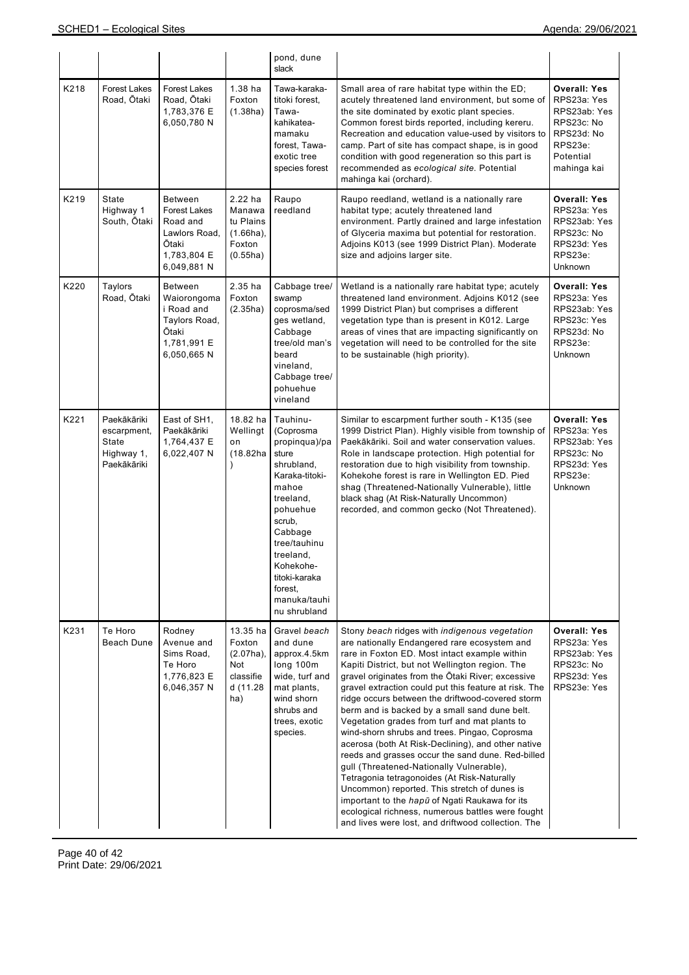|      |                                                                  |                                                                                                           |                                                                           | pond, dune<br>slack                                                                                                                                                                                                                          |                                                                                                                                                                                                                                                                                                                                                                                                                                                                                                                                                                                                                                                                                                                                                                                                                                                                                                                                           |                                                                                                                       |
|------|------------------------------------------------------------------|-----------------------------------------------------------------------------------------------------------|---------------------------------------------------------------------------|----------------------------------------------------------------------------------------------------------------------------------------------------------------------------------------------------------------------------------------------|-------------------------------------------------------------------------------------------------------------------------------------------------------------------------------------------------------------------------------------------------------------------------------------------------------------------------------------------------------------------------------------------------------------------------------------------------------------------------------------------------------------------------------------------------------------------------------------------------------------------------------------------------------------------------------------------------------------------------------------------------------------------------------------------------------------------------------------------------------------------------------------------------------------------------------------------|-----------------------------------------------------------------------------------------------------------------------|
| K218 | <b>Forest Lakes</b><br>Road, Ōtaki                               | <b>Forest Lakes</b><br>Road, Ōtaki<br>1,783,376 E<br>6,050,780 N                                          | $1.38$ ha<br>Foxton<br>(1.38ha)                                           | Tawa-karaka-<br>titoki forest,<br>Tawa-<br>kahikatea-<br>mamaku<br>forest, Tawa-<br>exotic tree<br>species forest                                                                                                                            | Small area of rare habitat type within the ED;<br>acutely threatened land environment, but some of<br>the site dominated by exotic plant species.<br>Common forest birds reported, including kereru.<br>Recreation and education value-used by visitors to<br>camp. Part of site has compact shape, is in good<br>condition with good regeneration so this part is<br>recommended as ecological site. Potential<br>mahinga kai (orchard).                                                                                                                                                                                                                                                                                                                                                                                                                                                                                                 | <b>Overall: Yes</b><br>RPS23a: Yes<br>RPS23ab: Yes<br>RPS23c: No<br>RPS23d: No<br>RPS23e:<br>Potential<br>mahinga kai |
| K219 | State<br>Highway 1<br>South, Ōtaki                               | <b>Between</b><br><b>Forest Lakes</b><br>Road and<br>Lawlors Road,<br>Ōtaki<br>1,783,804 E<br>6,049,881 N | 2.22 ha<br>Manawa<br>tu Plains<br>$(1.66ha)$ ,<br>Foxton<br>(0.55ha)      | Raupo<br>reedland                                                                                                                                                                                                                            | Raupo reedland, wetland is a nationally rare<br>habitat type; acutely threatened land<br>environment. Partly drained and large infestation<br>of Glyceria maxima but potential for restoration.<br>Adjoins K013 (see 1999 District Plan). Moderate<br>size and adjoins larger site.                                                                                                                                                                                                                                                                                                                                                                                                                                                                                                                                                                                                                                                       | <b>Overall: Yes</b><br>RPS23a: Yes<br>RPS23ab: Yes<br>RPS23c: No<br>RPS23d: Yes<br>RPS23e:<br>Unknown                 |
| K220 | Taylors<br>Road, Ōtaki                                           | <b>Between</b><br>Waiorongoma<br>i Road and<br>Taylors Road,<br>Ōtaki<br>1,781,991 E<br>6,050,665N        | 2.35 ha<br>Foxton<br>(2.35ha)                                             | Cabbage tree/<br>swamp<br>coprosma/sed<br>ges wetland,<br>Cabbage<br>tree/old man's<br>beard<br>vineland,<br>Cabbage tree/<br>pohuehue<br>vineland                                                                                           | Wetland is a nationally rare habitat type; acutely<br>threatened land environment. Adjoins K012 (see<br>1999 District Plan) but comprises a different<br>vegetation type than is present in K012. Large<br>areas of vines that are impacting significantly on<br>vegetation will need to be controlled for the site<br>to be sustainable (high priority).                                                                                                                                                                                                                                                                                                                                                                                                                                                                                                                                                                                 | <b>Overall: Yes</b><br>RPS23a: Yes<br>RPS23ab: Yes<br>RPS23c: Yes<br>RPS23d: No<br>RPS23e:<br>Unknown                 |
| K221 | Paekākāriki<br>escarpment,<br>State<br>Highway 1,<br>Paekākāriki | East of SH1,<br>Paekākāriki<br>1,764,437 E<br>6,022,407 N                                                 | 18.82 ha<br>Wellingt<br>on<br>(18.82ha                                    | Tauhinu-<br>(Coprosma<br>propinqua)/pa<br>sture<br>shrubland,<br>Karaka-titoki-<br>mahoe<br>treeland,<br>pohuehue<br>scrub,<br>Cabbage<br>tree/tauhinu<br>treeland,<br>Kohekohe-<br>titoki-karaka<br>forest,<br>manuka/tauhi<br>nu shrubland | Similar to escarpment further south - K135 (see<br>1999 District Plan). Highly visible from township of<br>Paekākāriki. Soil and water conservation values.<br>Role in landscape protection. High potential for<br>restoration due to high visibility from township.<br>Kohekohe forest is rare in Wellington ED. Pied<br>shag (Threatened-Nationally Vulnerable), little<br>black shag (At Risk-Naturally Uncommon)<br>recorded, and common gecko (Not Threatened).                                                                                                                                                                                                                                                                                                                                                                                                                                                                      | <b>Overall: Yes</b><br>RPS23a: Yes<br>RPS23ab: Yes<br>RPS23c: No<br>RPS23d: Yes<br>RPS23e:<br>Unknown                 |
| K231 | Te Horo<br><b>Beach Dune</b>                                     | Rodney<br>Avenue and<br>Sims Road,<br>Te Horo<br>1,776,823 E<br>6,046,357 N                               | 13.35 ha<br>Foxton<br>$(2.07ha)$ ,<br>Not<br>classifie<br>d (11.28<br>ha) | Gravel beach<br>and dune<br>approx.4.5km<br>long 100m<br>wide, turf and<br>mat plants,<br>wind shorn<br>shrubs and<br>trees, exotic<br>species.                                                                                              | Stony beach ridges with indigenous vegetation<br>are nationally Endangered rare ecosystem and<br>rare in Foxton ED. Most intact example within<br>Kapiti District, but not Wellington region. The<br>gravel originates from the Otaki River; excessive<br>gravel extraction could put this feature at risk. The<br>ridge occurs between the driftwood-covered storm<br>berm and is backed by a small sand dune belt.<br>Vegetation grades from turf and mat plants to<br>wind-shorn shrubs and trees. Pingao, Coprosma<br>acerosa (both At Risk-Declining), and other native<br>reeds and grasses occur the sand dune. Red-billed<br>gull (Threatened-Nationally Vulnerable),<br>Tetragonia tetragonoides (At Risk-Naturally<br>Uncommon) reported. This stretch of dunes is<br>important to the hapū of Ngati Raukawa for its<br>ecological richness, numerous battles were fought<br>and lives were lost, and driftwood collection. The | <b>Overall: Yes</b><br>RPS23a: Yes<br>RPS23ab: Yes<br>RPS23c: No<br>RPS23d: Yes<br>RPS23e: Yes                        |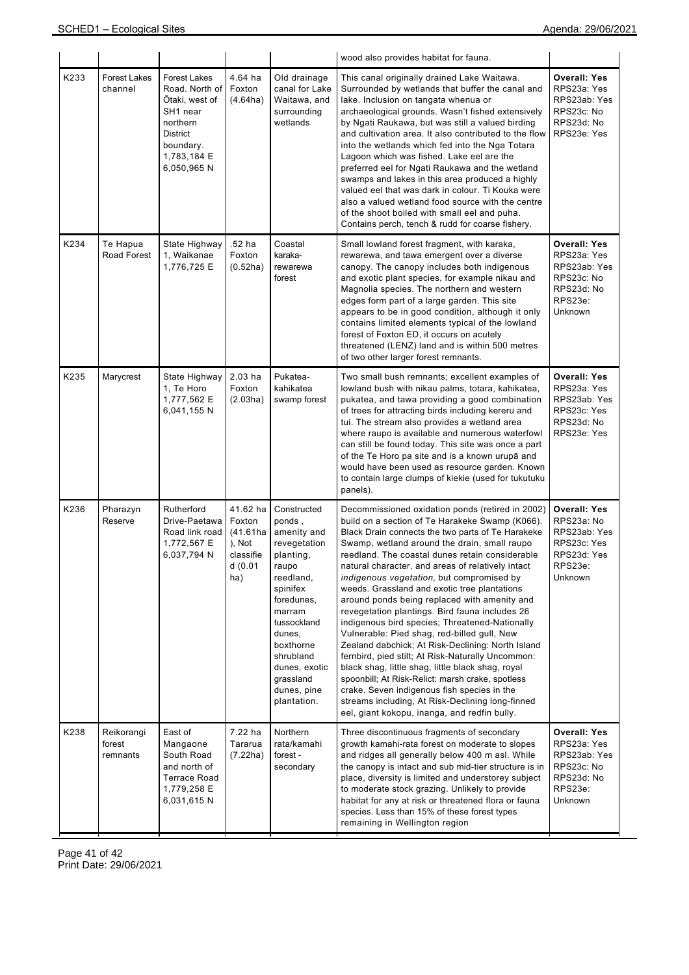|      |                                  |                                                                                                                                       |                                                                         |                                                                                                                                                                                                                                            | wood also provides habitat for fauna.                                                                                                                                                                                                                                                                                                                                                                                                                                                                                                                                                                                                                                                                                                                                                                                                                                                                                                                                                  |                                                                                                       |
|------|----------------------------------|---------------------------------------------------------------------------------------------------------------------------------------|-------------------------------------------------------------------------|--------------------------------------------------------------------------------------------------------------------------------------------------------------------------------------------------------------------------------------------|----------------------------------------------------------------------------------------------------------------------------------------------------------------------------------------------------------------------------------------------------------------------------------------------------------------------------------------------------------------------------------------------------------------------------------------------------------------------------------------------------------------------------------------------------------------------------------------------------------------------------------------------------------------------------------------------------------------------------------------------------------------------------------------------------------------------------------------------------------------------------------------------------------------------------------------------------------------------------------------|-------------------------------------------------------------------------------------------------------|
| K233 | <b>Forest Lakes</b><br>channel   | <b>Forest Lakes</b><br>Road. North of<br>Ōtaki, west of<br>SH1 near<br>northern<br>District<br>boundary.<br>1,783,184 E<br>6,050,965N | 4.64 ha<br>Foxton<br>(4.64ha)                                           | Old drainage<br>canal for Lake<br>Waitawa, and<br>surrounding<br>wetlands                                                                                                                                                                  | This canal originally drained Lake Waitawa.<br>Surrounded by wetlands that buffer the canal and<br>lake. Inclusion on tangata whenua or<br>archaeological grounds. Wasn't fished extensively<br>by Ngati Raukawa, but was still a valued birding<br>and cultivation area. It also contributed to the flow<br>into the wetlands which fed into the Nga Totara<br>Lagoon which was fished. Lake eel are the<br>preferred eel for Ngati Raukawa and the wetland<br>swamps and lakes in this area produced a highly<br>valued eel that was dark in colour. Ti Kouka were<br>also a valued wetland food source with the centre<br>of the shoot boiled with small eel and puha.<br>Contains perch, tench & rudd for coarse fishery.                                                                                                                                                                                                                                                          | <b>Overall: Yes</b><br>RPS23a: Yes<br>RPS23ab: Yes<br>RPS23c: No<br>RPS23d: No<br>RPS23e: Yes         |
| K234 | Te Hapua<br>Road Forest          | State Highway<br>1, Waikanae<br>1,776,725 E                                                                                           | .52 ha<br>Foxton<br>(0.52ha)                                            | Coastal<br>karaka-<br>rewarewa<br>forest                                                                                                                                                                                                   | Small lowland forest fragment, with karaka,<br>rewarewa, and tawa emergent over a diverse<br>canopy. The canopy includes both indigenous<br>and exotic plant species, for example nikau and<br>Magnolia species. The northern and western<br>edges form part of a large garden. This site<br>appears to be in good condition, although it only<br>contains limited elements typical of the lowland<br>forest of Foxton ED, it occurs on acutely<br>threatened (LENZ) land and is within 500 metres<br>of two other larger forest remnants.                                                                                                                                                                                                                                                                                                                                                                                                                                             | <b>Overall: Yes</b><br>RPS23a: Yes<br>RPS23ab: Yes<br>RPS23c: No<br>RPS23d: No<br>RPS23e:<br>Unknown  |
| K235 | Marycrest                        | State Highway<br>1, Te Horo<br>1,777,562 E<br>6,041,155 N                                                                             | $2.03$ ha<br>Foxton<br>(2.03ha)                                         | Pukatea-<br>kahikatea<br>swamp forest                                                                                                                                                                                                      | Two small bush remnants; excellent examples of<br>lowland bush with nikau palms, totara, kahikatea,<br>pukatea, and tawa providing a good combination<br>of trees for attracting birds including kereru and<br>tui. The stream also provides a wetland area<br>where raupo is available and numerous waterfowl<br>can still be found today. This site was once a part<br>of the Te Horo pa site and is a known urupā and<br>would have been used as resource garden. Known<br>to contain large clumps of kiekie (used for tukutuku<br>panels).                                                                                                                                                                                                                                                                                                                                                                                                                                         | <b>Overall: Yes</b><br>RPS23a: Yes<br>RPS23ab: Yes<br>RPS23c: Yes<br>RPS23d: No<br>RPS23e: Yes        |
| K236 | Pharazyn<br>Reserve              | Rutherford<br>Drive-Paetawa<br>Road link road<br>1,772,567 E<br>6,037,794 N                                                           | 41.62 ha<br>Foxton<br>(41.61ha<br>), Not<br>classifie<br>d (0.01<br>ha) | Constructed<br>ponds,<br>amenity and<br>revegetation<br>planting,<br>raupo<br>reedland,<br>spinifex<br>foredunes,<br>marram<br>tussockland<br>dunes,<br>boxthorne<br>shrubland<br>dunes, exotic<br>grassland<br>dunes, pine<br>plantation. | Decommissioned oxidation ponds (retired in 2002)<br>build on a section of Te Harakeke Swamp (K066).<br>Black Drain connects the two parts of Te Harakeke<br>Swamp, wetland around the drain, small raupo<br>reedland. The coastal dunes retain considerable<br>natural character, and areas of relatively intact<br>indigenous vegetation, but compromised by<br>weeds. Grassland and exotic tree plantations<br>around ponds being replaced with amenity and<br>revegetation plantings. Bird fauna includes 26<br>indigenous bird species; Threatened-Nationally<br>Vulnerable: Pied shag, red-billed gull, New<br>Zealand dabchick; At Risk-Declining: North Island<br>fernbird, pied stilt; At Risk-Naturally Uncommon:<br>black shag, little shag, little black shag, royal<br>spoonbill; At Risk-Relict: marsh crake, spotless<br>crake. Seven indigenous fish species in the<br>streams including, At Risk-Declining long-finned<br>eel, giant kokopu, inanga, and redfin bully. | <b>Overall: Yes</b><br>RPS23a: No<br>RPS23ab: Yes<br>RPS23c: Yes<br>RPS23d: Yes<br>RPS23e:<br>Unknown |
| K238 | Reikorangi<br>forest<br>remnants | East of<br>Mangaone<br>South Road<br>and north of<br><b>Terrace Road</b><br>1,779,258 E<br>6,031,615 N                                | 7.22 ha<br>Tararua<br>(7.22ha)                                          | Northern<br>rata/kamahi<br>forest -<br>secondary                                                                                                                                                                                           | Three discontinuous fragments of secondary<br>growth kamahi-rata forest on moderate to slopes<br>and ridges all generally below 400 m asl. While<br>the canopy is intact and sub mid-tier structure is in<br>place, diversity is limited and understorey subject<br>to moderate stock grazing. Unlikely to provide<br>habitat for any at risk or threatened flora or fauna<br>species. Less than 15% of these forest types<br>remaining in Wellington region                                                                                                                                                                                                                                                                                                                                                                                                                                                                                                                           | <b>Overall: Yes</b><br>RPS23a: Yes<br>RPS23ab: Yes<br>RPS23c: No<br>RPS23d: No<br>RPS23e:<br>Unknown  |

Page 41 of 42 Print Date: 29/06/2021